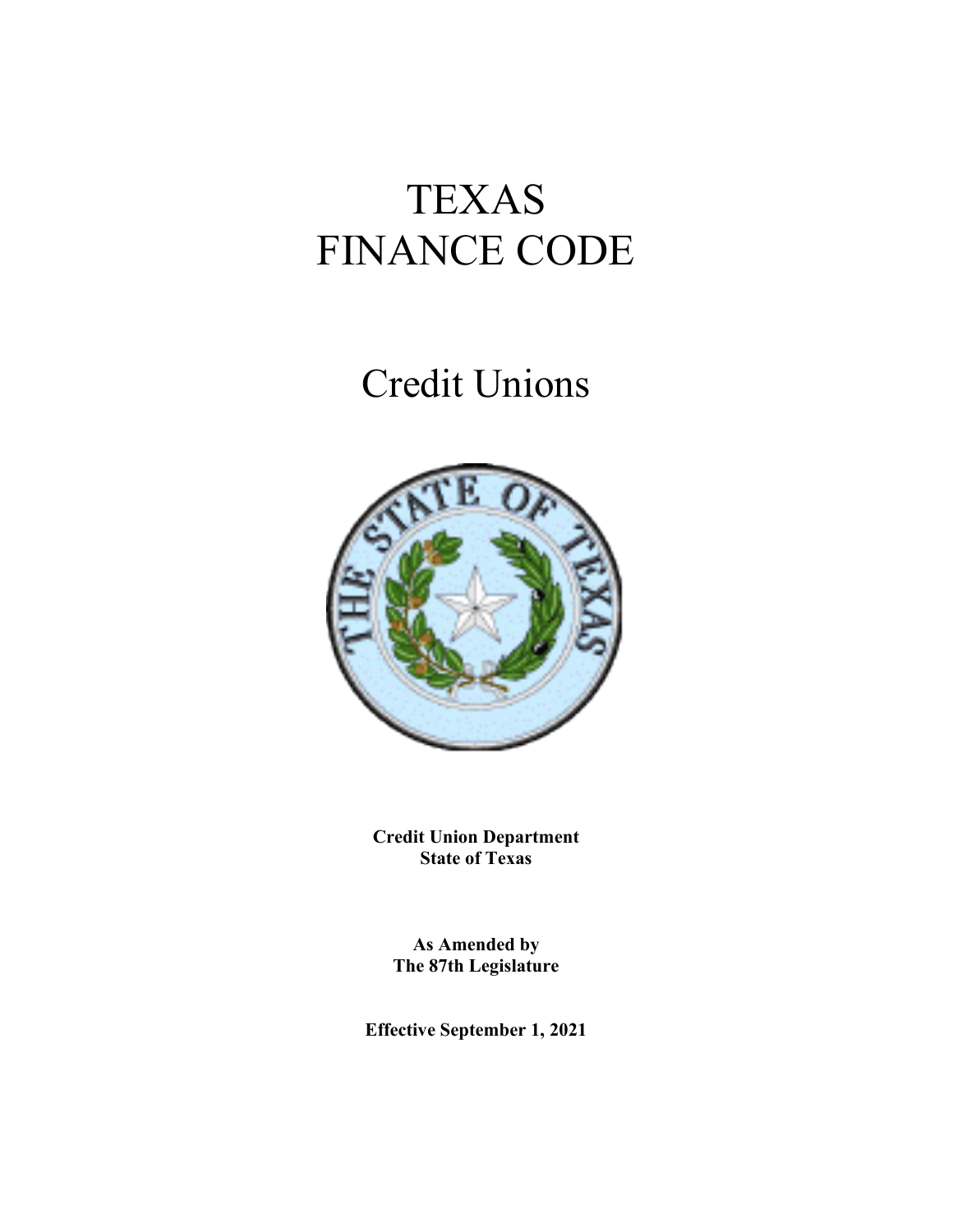# TEXAS FINANCE CODE

# Credit Unions



**Credit Union Department State of Texas**

**As Amended by The 87th Legislature**

**Effective September 1, 2021**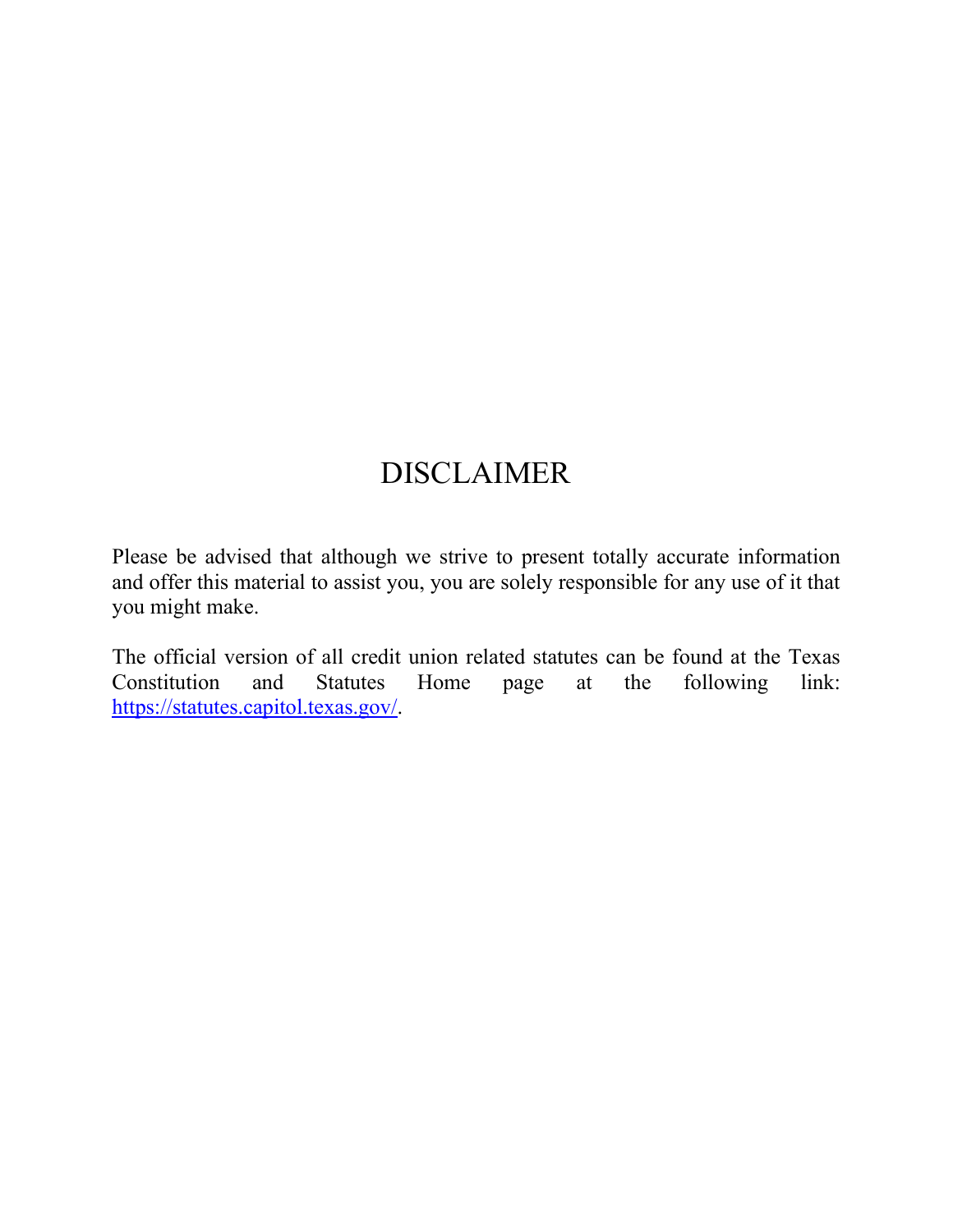# DISCLAIMER

Please be advised that although we strive to present totally accurate information and offer this material to assist you, you are solely responsible for any use of it that you might make.

The official version of all credit union related statutes can be found at the Texas Constitution and Statutes Home page at the following link: [https://statutes.capitol.texas.gov/.](https://statutes.capitol.texas.gov/)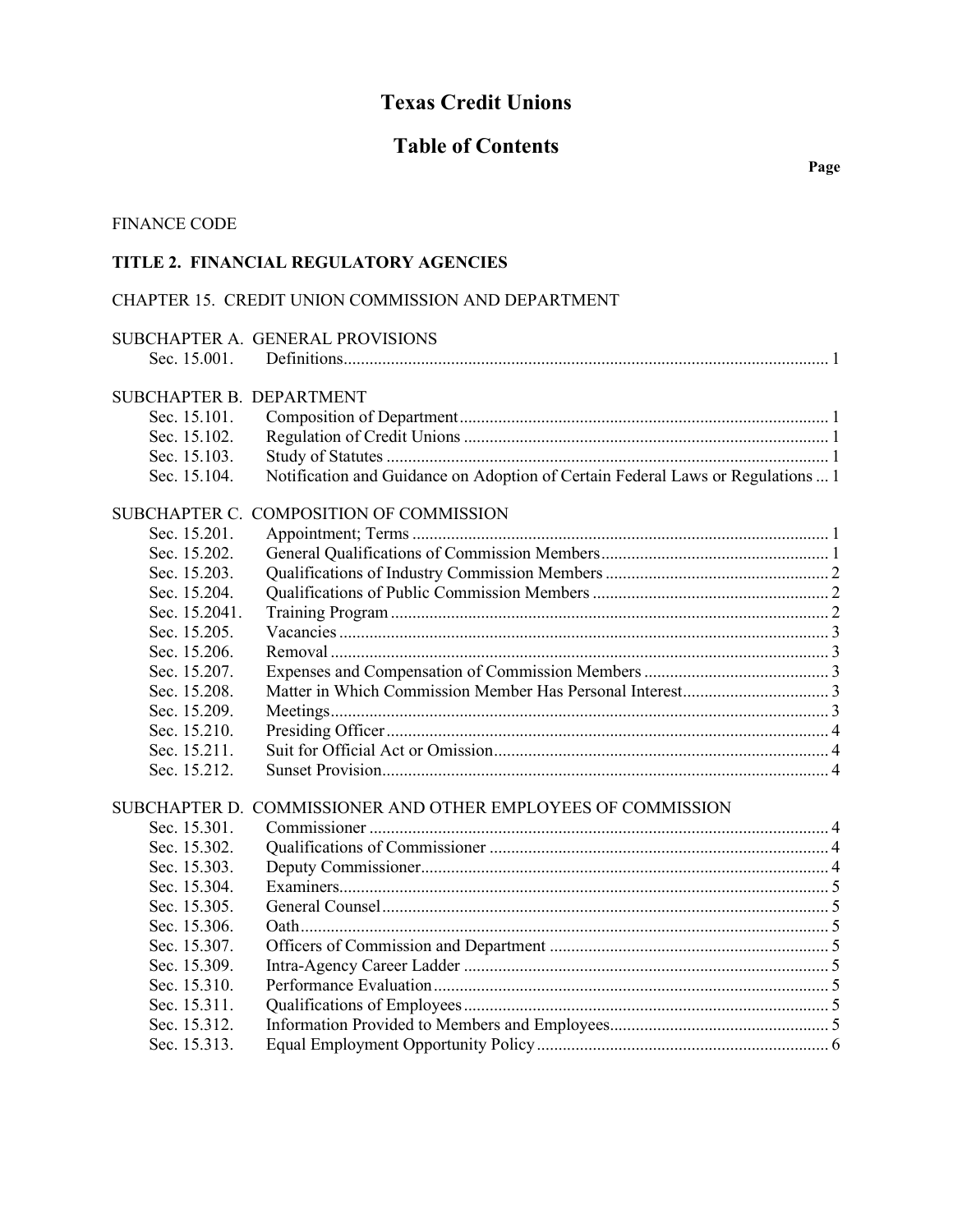# **Texas Credit Unions**

## **Table of Contents**

## FINANCE CODE

## **TITLE 2. FINANCIAL REGULATORY AGENCIES**

## CHAPTER 15. CREDIT UNION COMMISSION AND DEPARTMENT

|                          | SUBCHAPTER A. GENERAL PROVISIONS                                                |
|--------------------------|---------------------------------------------------------------------------------|
| Sec. 15.001.             |                                                                                 |
| SUBCHAPTER B. DEPARTMENT |                                                                                 |
| Sec. 15.101.             |                                                                                 |
| Sec. 15.102.             |                                                                                 |
| Sec. 15.103.             |                                                                                 |
| Sec. 15.104.             | Notification and Guidance on Adoption of Certain Federal Laws or Regulations  1 |
|                          | SUBCHAPTER C. COMPOSITION OF COMMISSION                                         |
| Sec. 15.201.             |                                                                                 |
| Sec. 15.202.             |                                                                                 |
| Sec. 15.203.             |                                                                                 |
| Sec. 15.204.             |                                                                                 |
| Sec. 15.2041.            |                                                                                 |
| Sec. 15.205.             |                                                                                 |
| Sec. 15.206.             |                                                                                 |
| Sec. 15.207.             |                                                                                 |
| Sec. 15.208.             |                                                                                 |
| Sec. 15.209.             |                                                                                 |
| Sec. 15.210.             |                                                                                 |
| Sec. 15.211.             |                                                                                 |
| Sec. 15.212.             |                                                                                 |
|                          | SUBCHAPTER D. COMMISSIONER AND OTHER EMPLOYEES OF COMMISSION                    |
| Sec. 15.301.             |                                                                                 |
| Sec. 15.302.             |                                                                                 |
| Sec. 15.303.             |                                                                                 |
| Sec. 15.304.             |                                                                                 |
| Sec. 15.305.             |                                                                                 |
| Sec. 15.306.             |                                                                                 |
| Sec. 15.307.             |                                                                                 |
| Sec. 15.309.             |                                                                                 |
| Sec. 15.310.             |                                                                                 |
| Sec. 15.311.             |                                                                                 |
| Sec. 15.312.             |                                                                                 |
| Sec. 15.313.             |                                                                                 |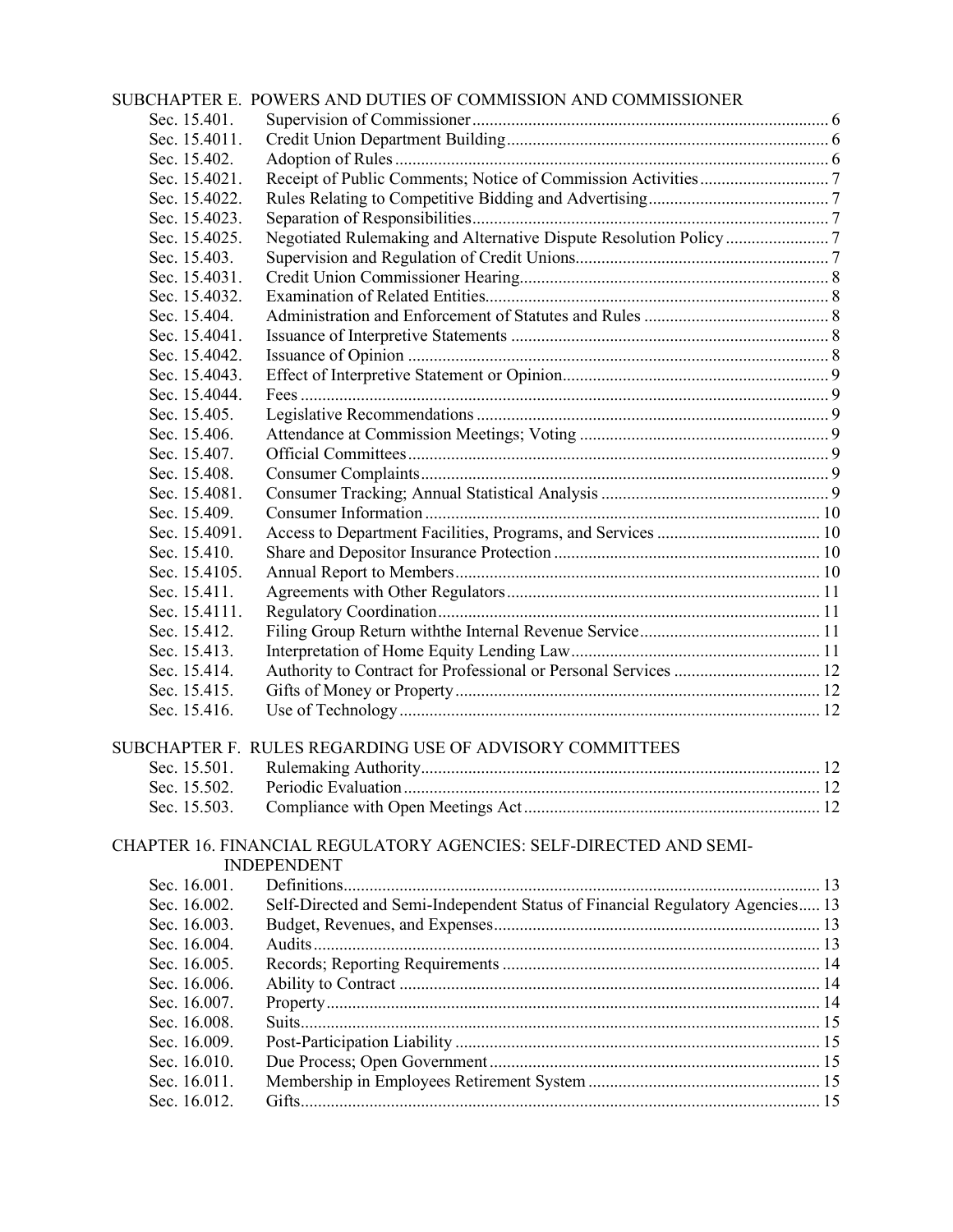|               | SUBCHAPTER E. POWERS AND DUTIES OF COMMISSION AND COMMISSIONER                |  |
|---------------|-------------------------------------------------------------------------------|--|
| Sec. 15.401.  |                                                                               |  |
| Sec. 15.4011. |                                                                               |  |
| Sec. 15.402.  |                                                                               |  |
| Sec. 15.4021. |                                                                               |  |
| Sec. 15.4022. |                                                                               |  |
| Sec. 15.4023. |                                                                               |  |
| Sec. 15.4025. |                                                                               |  |
| Sec. 15.403.  |                                                                               |  |
| Sec. 15.4031. |                                                                               |  |
| Sec. 15.4032. |                                                                               |  |
| Sec. 15.404.  |                                                                               |  |
| Sec. 15.4041. |                                                                               |  |
| Sec. 15.4042. |                                                                               |  |
| Sec. 15.4043. |                                                                               |  |
| Sec. 15.4044. |                                                                               |  |
| Sec. 15.405.  |                                                                               |  |
| Sec. 15.406.  |                                                                               |  |
| Sec. 15.407.  |                                                                               |  |
| Sec. 15.408.  |                                                                               |  |
| Sec. 15.4081. |                                                                               |  |
| Sec. 15.409.  |                                                                               |  |
| Sec. 15.4091. |                                                                               |  |
| Sec. 15.410.  |                                                                               |  |
| Sec. 15.4105. |                                                                               |  |
| Sec. 15.411.  |                                                                               |  |
| Sec. 15.4111. |                                                                               |  |
| Sec. 15.412.  |                                                                               |  |
| Sec. 15.413.  |                                                                               |  |
| Sec. 15.414.  | Authority to Contract for Professional or Personal Services  12               |  |
| Sec. 15.415.  |                                                                               |  |
| Sec. 15.416.  |                                                                               |  |
|               | SUBCHAPTER F. RULES REGARDING USE OF ADVISORY COMMITTEES                      |  |
| Sec. 15.501.  |                                                                               |  |
| Sec. 15.502.  |                                                                               |  |
| Sec. 15.503.  |                                                                               |  |
|               |                                                                               |  |
|               | CHAPTER 16. FINANCIAL REGULATORY AGENCIES: SELF-DIRECTED AND SEMI-            |  |
|               | <b>INDEPENDENT</b>                                                            |  |
| Sec. 16.001.  |                                                                               |  |
| Sec. 16.002.  | Self-Directed and Semi-Independent Status of Financial Regulatory Agencies 13 |  |
| Sec. 16.003.  |                                                                               |  |
| Sec. 16.004.  |                                                                               |  |
| Sec. 16.005.  |                                                                               |  |
| Sec. 16.006.  |                                                                               |  |
| Sec. 16.007.  |                                                                               |  |
| Sec. 16.008.  |                                                                               |  |
| Sec. 16.009.  |                                                                               |  |
| Sec. 16.010.  |                                                                               |  |
| Sec. 16.011.  |                                                                               |  |
| Sec. 16.012.  |                                                                               |  |
|               |                                                                               |  |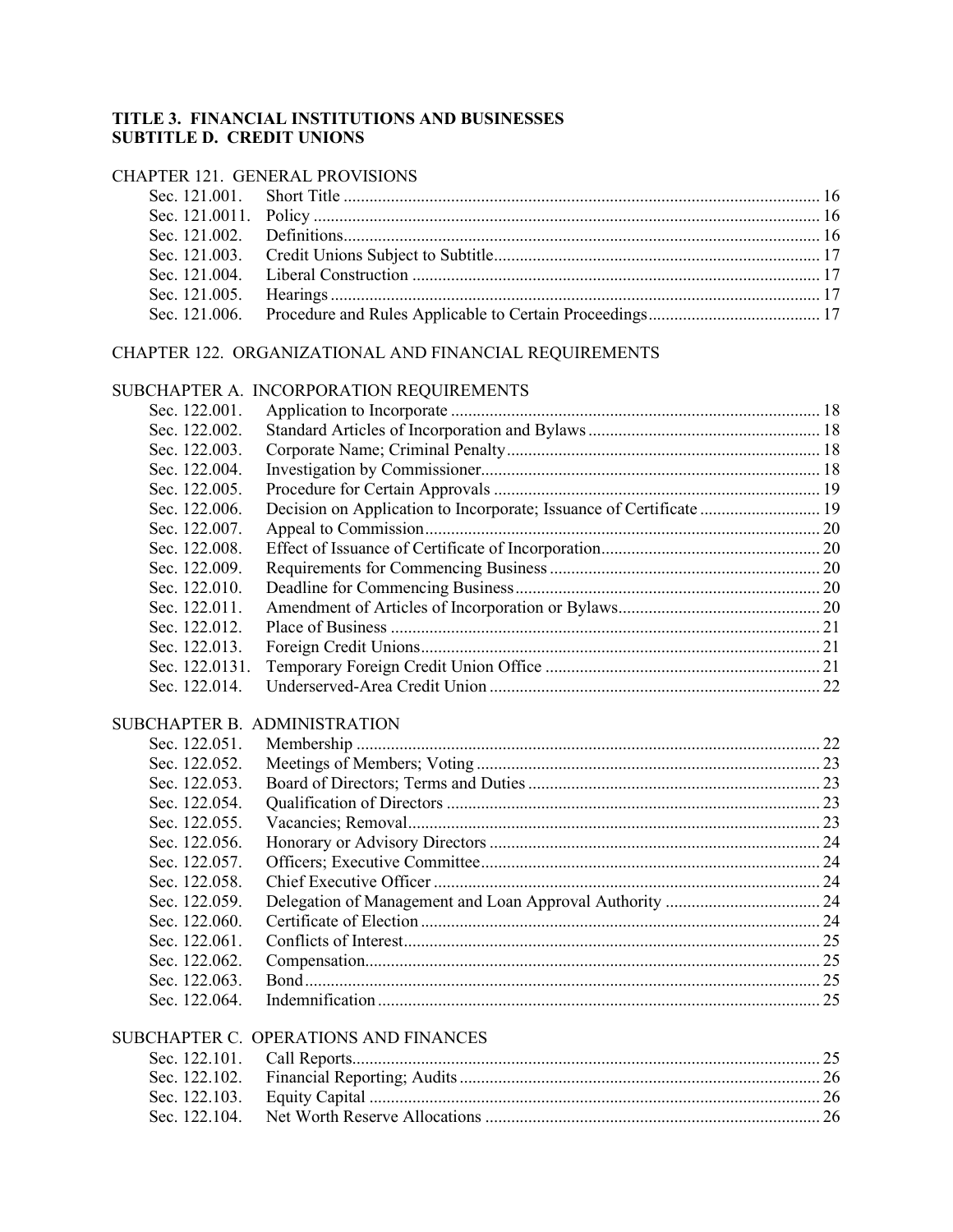## **TITLE 3. FINANCIAL INSTITUTIONS AND BUSINESSES SUBTITLE D. CREDIT UNIONS**

## CHAPTER 121. GENERAL PROVISIONS

## CHAPTER 122. ORGANIZATIONAL AND FINANCIAL REQUIREMENTS

## SUBCHAPTER A. INCORPORATION REQUIREMENTS

| Sec. 122.001.  |  |
|----------------|--|
| Sec. 122.002.  |  |
| Sec. 122.003.  |  |
| Sec. 122,004.  |  |
| Sec. 122,005.  |  |
| Sec. 122.006.  |  |
| Sec. 122.007.  |  |
| Sec. 122,008.  |  |
| Sec. 122.009.  |  |
| Sec. 122.010.  |  |
| Sec. 122.011.  |  |
| Sec. 122.012.  |  |
| Sec. 122.013.  |  |
| Sec. 122.0131. |  |
| Sec. 122.014.  |  |
|                |  |

## SUBCHAPTER B. ADMINISTRATION

| Sec. 122.051. |  |
|---------------|--|
| Sec. 122.052. |  |
| Sec. 122.053. |  |
| Sec. 122.054. |  |
| Sec. 122,055. |  |
| Sec. 122,056. |  |
| Sec. 122,057. |  |
| Sec. 122.058. |  |
| Sec. 122.059. |  |
| Sec. 122,060. |  |
| Sec. 122.061. |  |
| Sec. 122.062. |  |
| Sec. 122,063. |  |
| Sec. 122,064. |  |
|               |  |

## SUBCHAPTER C. OPERATIONS AND FINANCES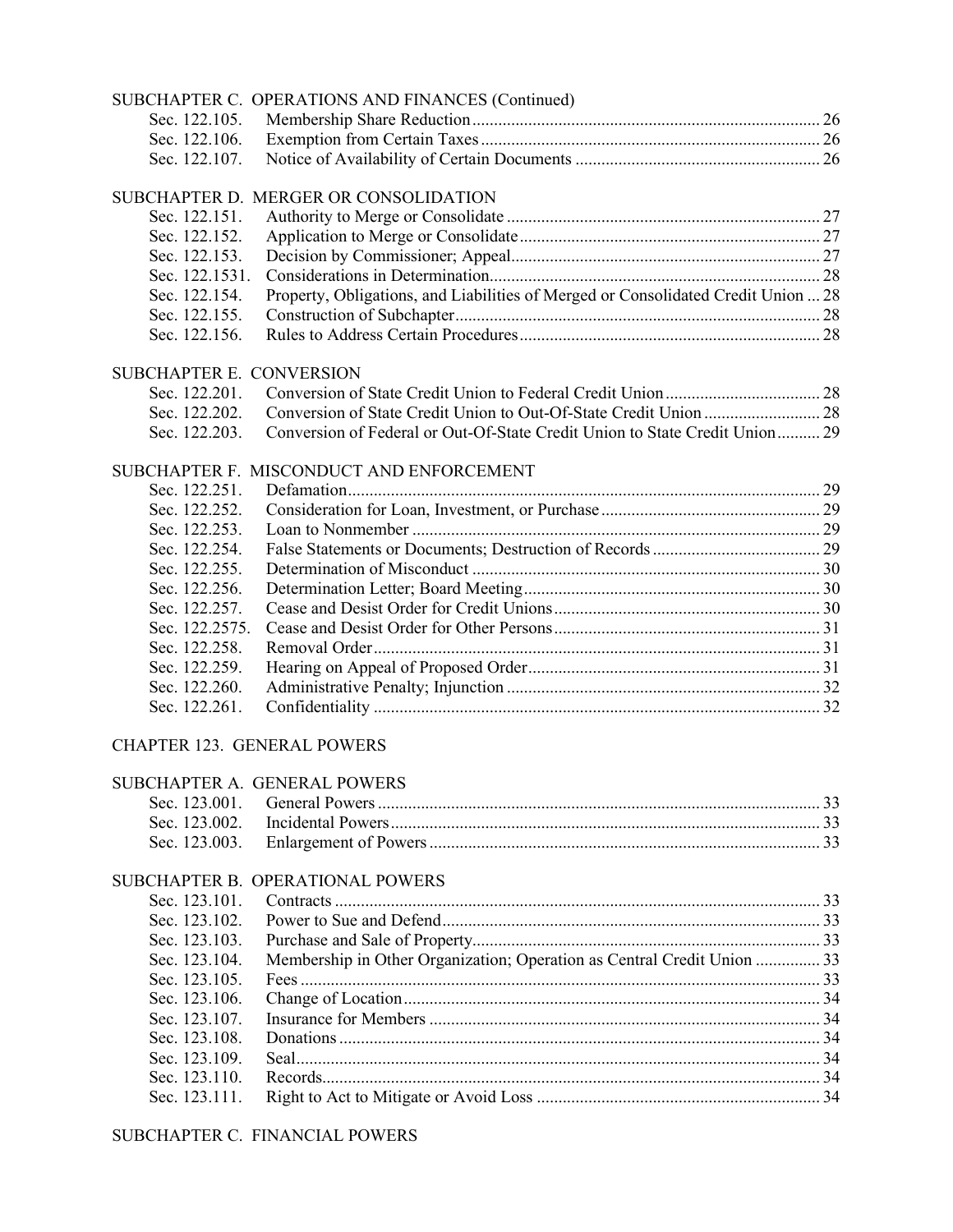|                                    | SUBCHAPTER C. OPERATIONS AND FINANCES (Continued)                                 |  |
|------------------------------------|-----------------------------------------------------------------------------------|--|
| Sec. 122.105.                      |                                                                                   |  |
| Sec. 122.106.                      |                                                                                   |  |
| Sec. 122.107.                      |                                                                                   |  |
|                                    | SUBCHAPTER D. MERGER OR CONSOLIDATION                                             |  |
| Sec. 122.151.                      |                                                                                   |  |
| Sec. 122.152.                      |                                                                                   |  |
|                                    |                                                                                   |  |
| Sec. 122.153.                      |                                                                                   |  |
| Sec. 122.1531.                     |                                                                                   |  |
| Sec. 122.154.                      | Property, Obligations, and Liabilities of Merged or Consolidated Credit Union  28 |  |
| Sec. 122.155.                      |                                                                                   |  |
| Sec. 122.156.                      |                                                                                   |  |
| SUBCHAPTER E. CONVERSION           |                                                                                   |  |
| Sec. 122.201.                      |                                                                                   |  |
| Sec. 122.202.                      |                                                                                   |  |
| Sec. 122.203.                      | Conversion of Federal or Out-Of-State Credit Union to State Credit Union 29       |  |
|                                    | SUBCHAPTER F. MISCONDUCT AND ENFORCEMENT                                          |  |
| Sec. 122.251.                      |                                                                                   |  |
| Sec. 122.252.                      |                                                                                   |  |
| Sec. 122.253.                      |                                                                                   |  |
| Sec. 122.254.                      |                                                                                   |  |
| Sec. 122.255.                      |                                                                                   |  |
| Sec. 122.256.                      |                                                                                   |  |
| Sec. 122.257.                      |                                                                                   |  |
| Sec. 122.2575.                     |                                                                                   |  |
| Sec. 122.258.                      |                                                                                   |  |
| Sec. 122.259.                      |                                                                                   |  |
| Sec. 122.260.                      |                                                                                   |  |
| Sec. 122.261.                      |                                                                                   |  |
| <b>CHAPTER 123. GENERAL POWERS</b> |                                                                                   |  |
|                                    | SUBCHAPTER A. GENERAL POWERS                                                      |  |
| Sec. 123.001.                      |                                                                                   |  |
| Sec. 123.002.                      |                                                                                   |  |
| Sec. 123.003.                      |                                                                                   |  |
|                                    |                                                                                   |  |
|                                    | SUBCHAPTER B. OPERATIONAL POWERS                                                  |  |
| Sec. 123.101.                      |                                                                                   |  |
| Sec. 123.102.                      |                                                                                   |  |
| Sec. 123.103.                      |                                                                                   |  |
| Sec. 123.104.                      | Membership in Other Organization; Operation as Central Credit Union  33           |  |
| Sec. 123.105.                      |                                                                                   |  |
| Sec. 123.106.                      |                                                                                   |  |
| Sec. 123.107.                      |                                                                                   |  |
| Sec. 123.108.                      |                                                                                   |  |
| Sec. 123.109.                      |                                                                                   |  |
| Sec. 123.110.                      |                                                                                   |  |
| Sec. 123.111.                      |                                                                                   |  |
|                                    | SUBCHAPTER C. FINANCIAL POWERS                                                    |  |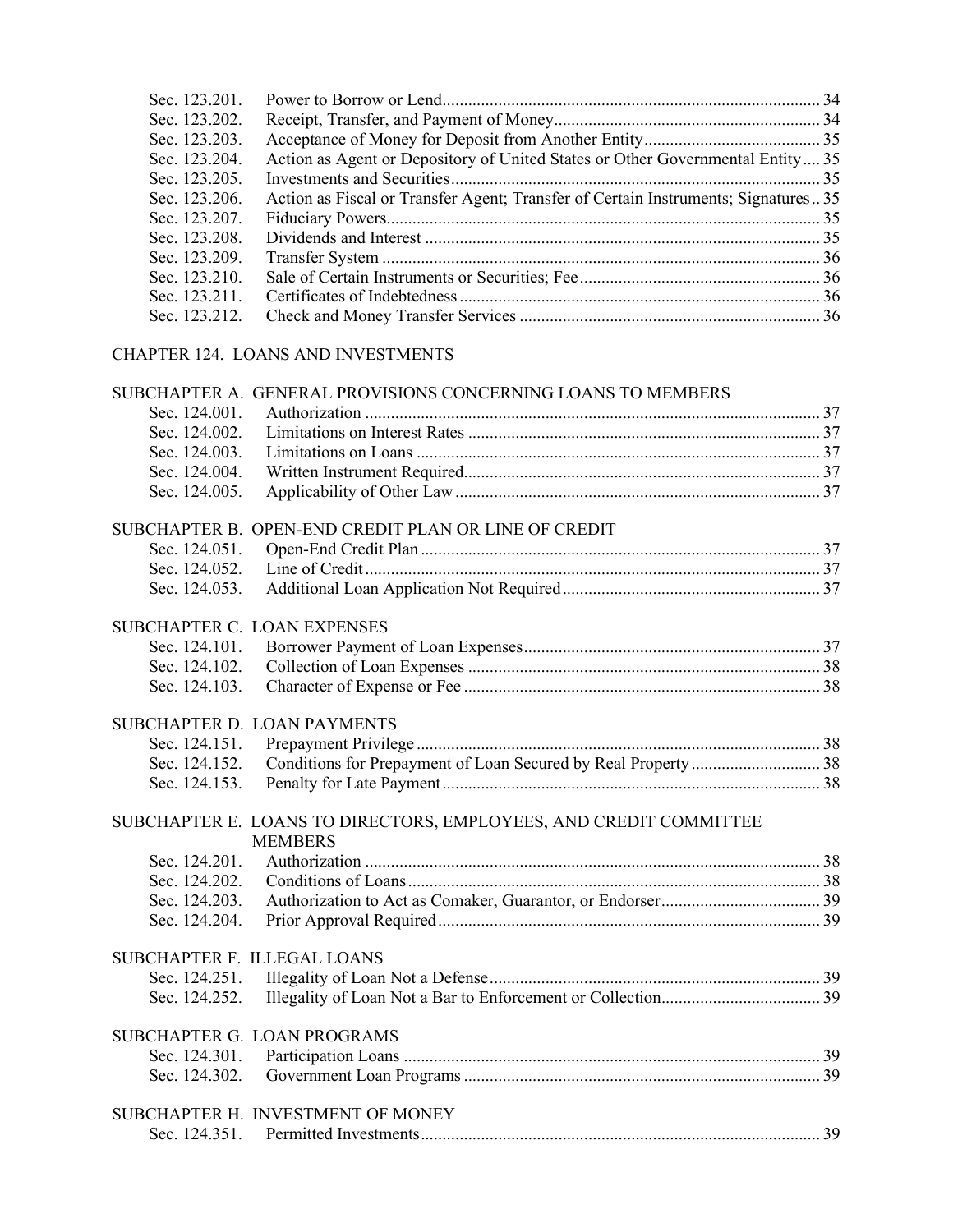| Sec. 123.201. |                                                                                     |  |
|---------------|-------------------------------------------------------------------------------------|--|
| Sec. 123.202. |                                                                                     |  |
| Sec. 123.203. |                                                                                     |  |
| Sec. 123.204. | Action as Agent or Depository of United States or Other Governmental Entity 35      |  |
| Sec. 123.205. |                                                                                     |  |
| Sec. 123.206. | Action as Fiscal or Transfer Agent; Transfer of Certain Instruments; Signatures35   |  |
| Sec. 123.207. |                                                                                     |  |
| Sec. 123.208. |                                                                                     |  |
| Sec. 123.209. |                                                                                     |  |
| Sec. 123.210. |                                                                                     |  |
| Sec. 123.211. |                                                                                     |  |
| Sec. 123.212. |                                                                                     |  |
|               | <b>CHAPTER 124. LOANS AND INVESTMENTS</b>                                           |  |
|               | SUBCHAPTER A. GENERAL PROVISIONS CONCERNING LOANS TO MEMBERS                        |  |
| Sec. 124.001. |                                                                                     |  |
| Sec. 124.002. |                                                                                     |  |
| Sec. 124.003. |                                                                                     |  |
| Sec. 124.004. |                                                                                     |  |
| Sec. 124.005. |                                                                                     |  |
|               | SUBCHAPTER B. OPEN-END CREDIT PLAN OR LINE OF CREDIT                                |  |
| Sec. 124.051. |                                                                                     |  |
| Sec. 124.052. |                                                                                     |  |
| Sec. 124.053. |                                                                                     |  |
|               | SUBCHAPTER C. LOAN EXPENSES                                                         |  |
| Sec. 124.101. |                                                                                     |  |
| Sec. 124.102. |                                                                                     |  |
| Sec. 124.103. |                                                                                     |  |
|               | SUBCHAPTER D. LOAN PAYMENTS                                                         |  |
| Sec. 124.151. |                                                                                     |  |
| Sec. 124.152. |                                                                                     |  |
| Sec. 124.153. |                                                                                     |  |
|               | SUBCHAPTER E. LOANS TO DIRECTORS, EMPLOYEES, AND CREDIT COMMITTEE<br><b>MEMBERS</b> |  |
| Sec. 124.201. |                                                                                     |  |
| Sec. 124.202. |                                                                                     |  |
| Sec. 124.203. |                                                                                     |  |
| Sec. 124.204. |                                                                                     |  |
|               | SUBCHAPTER F. ILLEGAL LOANS                                                         |  |
| Sec. 124.251. |                                                                                     |  |
| Sec. 124.252. |                                                                                     |  |
|               | SUBCHAPTER G. LOAN PROGRAMS                                                         |  |
| Sec. 124.301. |                                                                                     |  |
| Sec. 124.302. |                                                                                     |  |
|               | SUBCHAPTER H. INVESTMENT OF MONEY                                                   |  |
|               |                                                                                     |  |
|               |                                                                                     |  |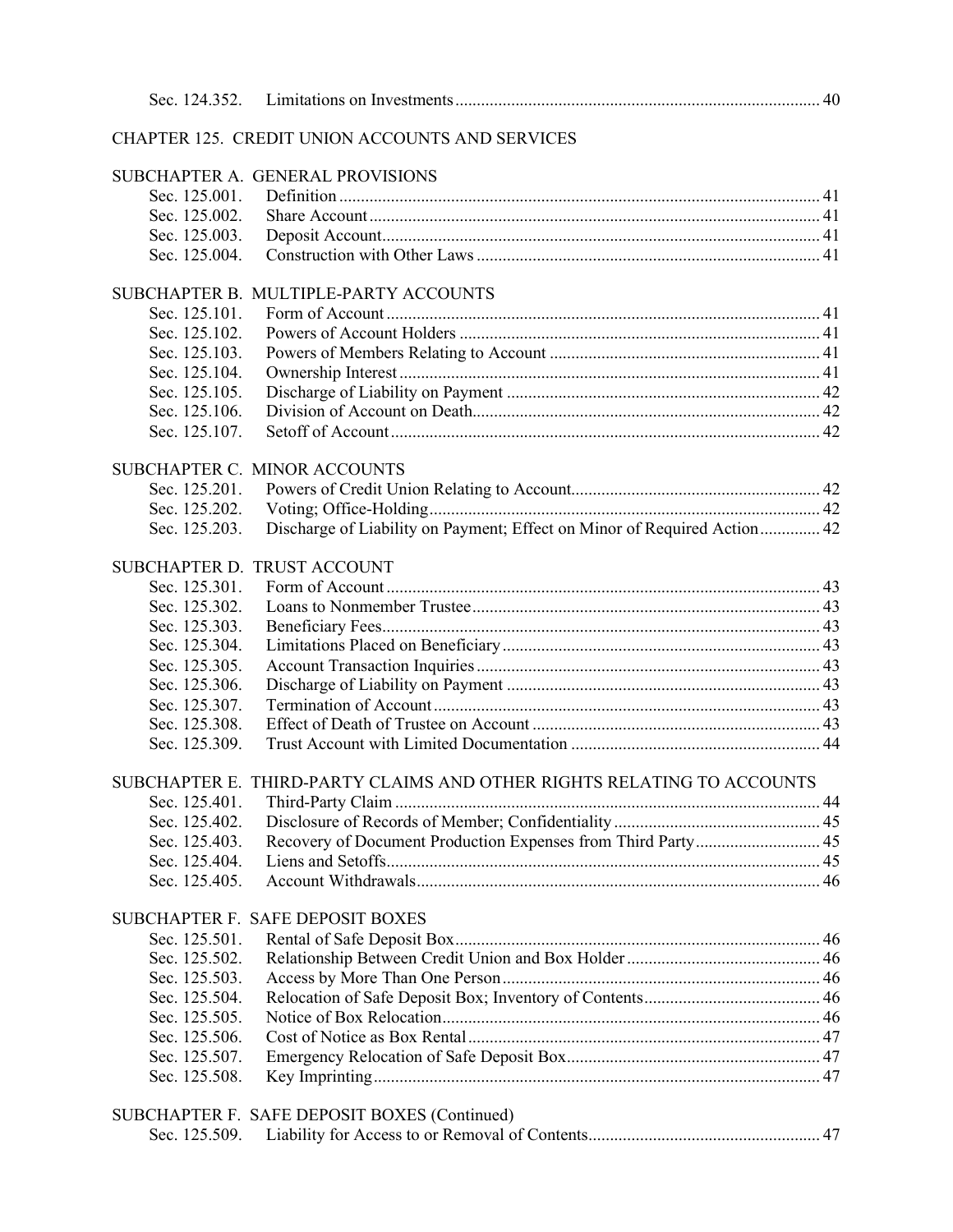|               | CHAPTER 125. CREDIT UNION ACCOUNTS AND SERVICES                          |  |
|---------------|--------------------------------------------------------------------------|--|
|               | SUBCHAPTER A. GENERAL PROVISIONS                                         |  |
| Sec. 125.001. |                                                                          |  |
| Sec. 125.002. |                                                                          |  |
| Sec. 125.003. |                                                                          |  |
| Sec. 125.004. |                                                                          |  |
|               |                                                                          |  |
|               | SUBCHAPTER B. MULTIPLE-PARTY ACCOUNTS                                    |  |
| Sec. 125.101. |                                                                          |  |
| Sec. 125.102. |                                                                          |  |
| Sec. 125.103. |                                                                          |  |
| Sec. 125.104. |                                                                          |  |
| Sec. 125.105. |                                                                          |  |
| Sec. 125.106. |                                                                          |  |
| Sec. 125.107. |                                                                          |  |
|               |                                                                          |  |
| Sec. 125.201. | SUBCHAPTER C. MINOR ACCOUNTS                                             |  |
| Sec. 125.202. |                                                                          |  |
| Sec. 125.203. | Discharge of Liability on Payment; Effect on Minor of Required Action 42 |  |
|               |                                                                          |  |
|               | SUBCHAPTER D. TRUST ACCOUNT                                              |  |
| Sec. 125.301. |                                                                          |  |
| Sec. 125.302. |                                                                          |  |
| Sec. 125.303. |                                                                          |  |
| Sec. 125.304. |                                                                          |  |
| Sec. 125.305. |                                                                          |  |
| Sec. 125.306. |                                                                          |  |
| Sec. 125.307. |                                                                          |  |
| Sec. 125.308. |                                                                          |  |
| Sec. 125.309. |                                                                          |  |
|               | SUBCHAPTER E. THIRD-PARTY CLAIMS AND OTHER RIGHTS RELATING TO ACCOUNTS   |  |
| Sec. 125.401. |                                                                          |  |
| Sec. 125.402. |                                                                          |  |
| Sec. 125.403. | Recovery of Document Production Expenses from Third Party 45             |  |
| Sec. 125.404. |                                                                          |  |
| Sec. 125.405. |                                                                          |  |
|               |                                                                          |  |
|               | SUBCHAPTER F. SAFE DEPOSIT BOXES                                         |  |
| Sec. 125.501. |                                                                          |  |
| Sec. 125.502. |                                                                          |  |
| Sec. 125.503. |                                                                          |  |
| Sec. 125.504. |                                                                          |  |
| Sec. 125.505. |                                                                          |  |
| Sec. 125.506. |                                                                          |  |
| Sec. 125.507. |                                                                          |  |
| Sec. 125.508. |                                                                          |  |
|               |                                                                          |  |
|               | SUBCHAPTER F. SAFE DEPOSIT BOXES (Continued)                             |  |
| Sec. 125.509. |                                                                          |  |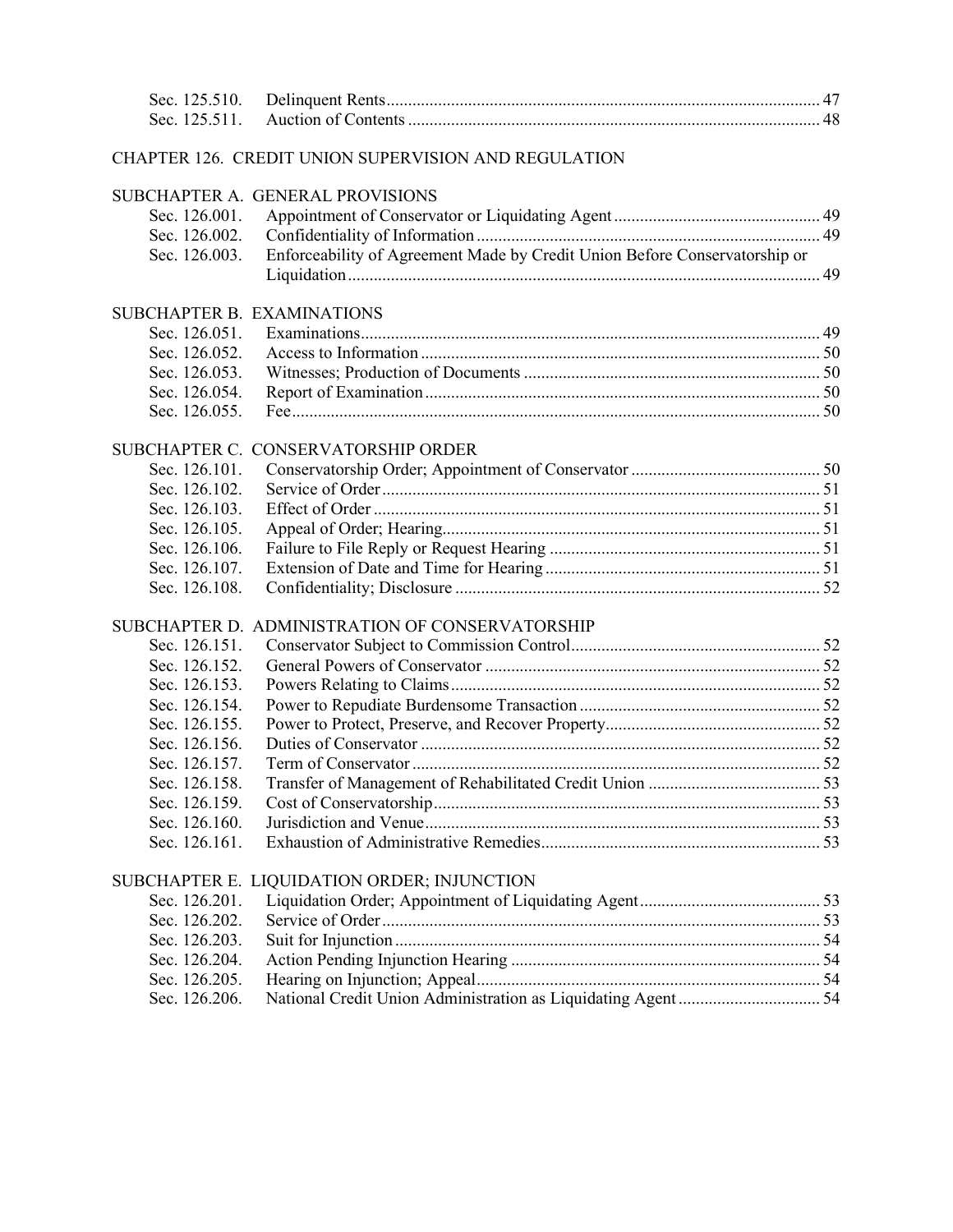| Sec. 125.510. |                                                                            |  |
|---------------|----------------------------------------------------------------------------|--|
| Sec. 125.511. |                                                                            |  |
|               | CHAPTER 126. CREDIT UNION SUPERVISION AND REGULATION                       |  |
|               | SUBCHAPTER A. GENERAL PROVISIONS                                           |  |
| Sec. 126.001. |                                                                            |  |
| Sec. 126.002. |                                                                            |  |
| Sec. 126.003. | Enforceability of Agreement Made by Credit Union Before Conservatorship or |  |
|               |                                                                            |  |
|               | SUBCHAPTER B. EXAMINATIONS                                                 |  |
| Sec. 126.051. |                                                                            |  |
| Sec. 126.052. |                                                                            |  |
| Sec. 126.053. |                                                                            |  |
| Sec. 126.054. |                                                                            |  |
| Sec. 126.055. |                                                                            |  |
|               | SUBCHAPTER C. CONSERVATORSHIP ORDER                                        |  |
| Sec. 126.101. |                                                                            |  |
| Sec. 126.102. |                                                                            |  |
| Sec. 126.103. |                                                                            |  |
| Sec. 126.105. |                                                                            |  |
| Sec. 126.106. |                                                                            |  |
| Sec. 126.107. |                                                                            |  |
| Sec. 126.108. |                                                                            |  |
|               | SUBCHAPTER D. ADMINISTRATION OF CONSERVATORSHIP                            |  |
| Sec. 126.151. |                                                                            |  |
| Sec. 126.152. |                                                                            |  |
| Sec. 126.153. |                                                                            |  |
| Sec. 126.154. |                                                                            |  |
| Sec. 126.155. |                                                                            |  |
| Sec. 126.156. |                                                                            |  |
| Sec. 126.157. |                                                                            |  |
| Sec. 126.158. |                                                                            |  |
| Sec. 126.159. |                                                                            |  |
| Sec. 126.160. |                                                                            |  |
| Sec. 126.161. |                                                                            |  |
|               | SUBCHAPTER E. LIQUIDATION ORDER; INJUNCTION                                |  |
| Sec. 126.201. |                                                                            |  |
| Sec. 126.202. |                                                                            |  |
| Sec. 126.203. |                                                                            |  |
| Sec. 126.204. |                                                                            |  |
| Sec. 126.205. |                                                                            |  |
| Sec. 126.206. |                                                                            |  |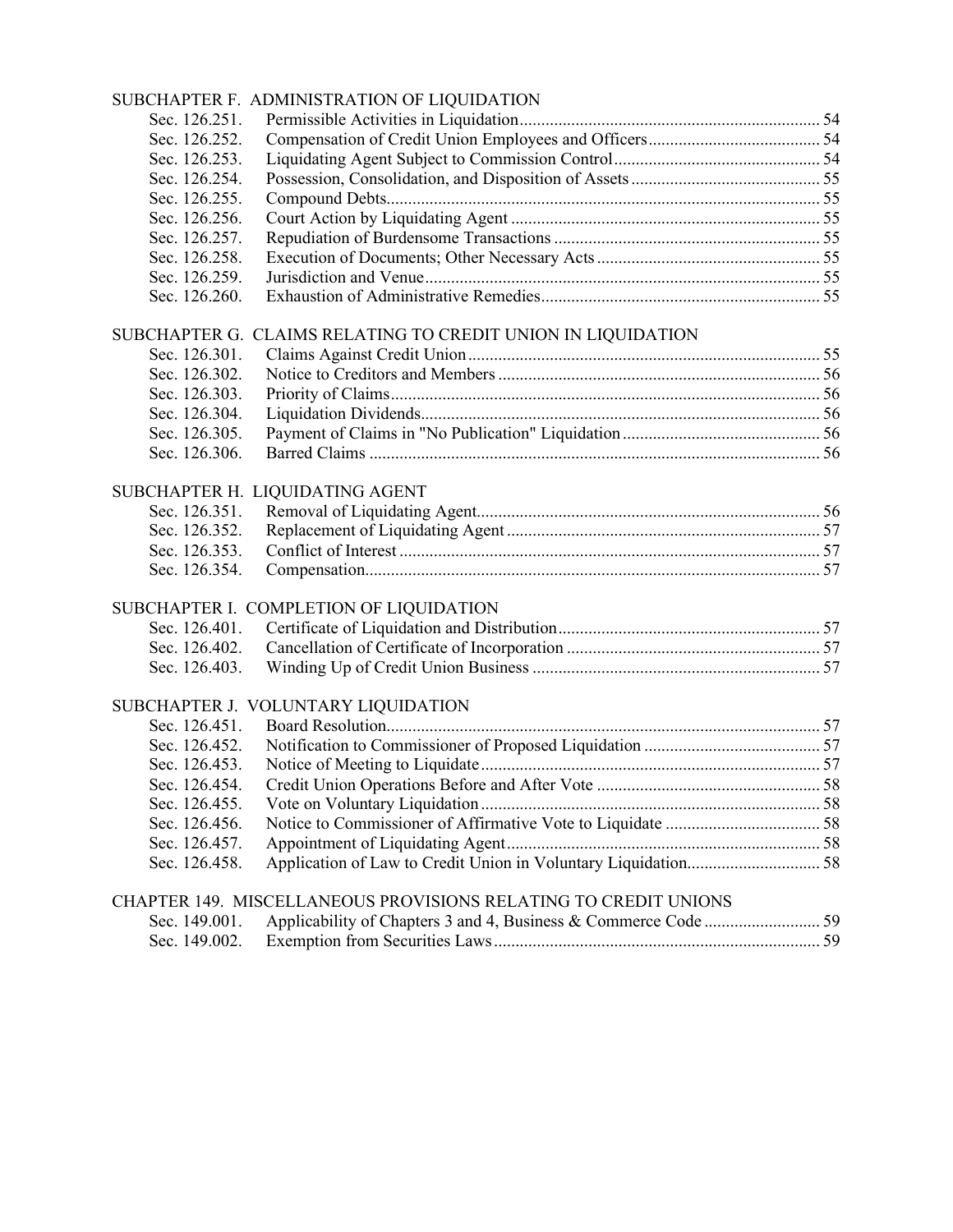|               | SUBCHAPTER F. ADMINISTRATION OF LIQUIDATION                     |  |
|---------------|-----------------------------------------------------------------|--|
| Sec. 126.251. |                                                                 |  |
| Sec. 126.252. |                                                                 |  |
| Sec. 126.253. |                                                                 |  |
| Sec. 126.254. |                                                                 |  |
| Sec. 126.255. |                                                                 |  |
| Sec. 126.256. |                                                                 |  |
| Sec. 126.257. |                                                                 |  |
| Sec. 126.258. |                                                                 |  |
| Sec. 126.259. |                                                                 |  |
| Sec. 126.260. |                                                                 |  |
|               | SUBCHAPTER G. CLAIMS RELATING TO CREDIT UNION IN LIQUIDATION    |  |
| Sec. 126.301. |                                                                 |  |
| Sec. 126.302. |                                                                 |  |
| Sec. 126.303. |                                                                 |  |
| Sec. 126.304. |                                                                 |  |
| Sec. 126.305. |                                                                 |  |
| Sec. 126.306. |                                                                 |  |
|               | SUBCHAPTER H. LIQUIDATING AGENT                                 |  |
| Sec. 126.351. |                                                                 |  |
| Sec. 126.352. |                                                                 |  |
| Sec. 126.353. |                                                                 |  |
| Sec. 126.354. |                                                                 |  |
|               | SUBCHAPTER I. COMPLETION OF LIQUIDATION                         |  |
| Sec. 126.401. |                                                                 |  |
| Sec. 126.402. |                                                                 |  |
| Sec. 126.403. |                                                                 |  |
|               | SUBCHAPTER J. VOLUNTARY LIQUIDATION                             |  |
| Sec. 126.451. |                                                                 |  |
| Sec. 126.452. |                                                                 |  |
| Sec. 126.453. |                                                                 |  |
| Sec. 126.454. |                                                                 |  |
| Sec. 126.455. |                                                                 |  |
| Sec. 126.456. |                                                                 |  |
| Sec. 126.457. |                                                                 |  |
| Sec. 126.458. |                                                                 |  |
|               | CHAPTER 149. MISCELLANEOUS PROVISIONS RELATING TO CREDIT UNIONS |  |
| Sec. 149.001. |                                                                 |  |
| Sec. 149.002. |                                                                 |  |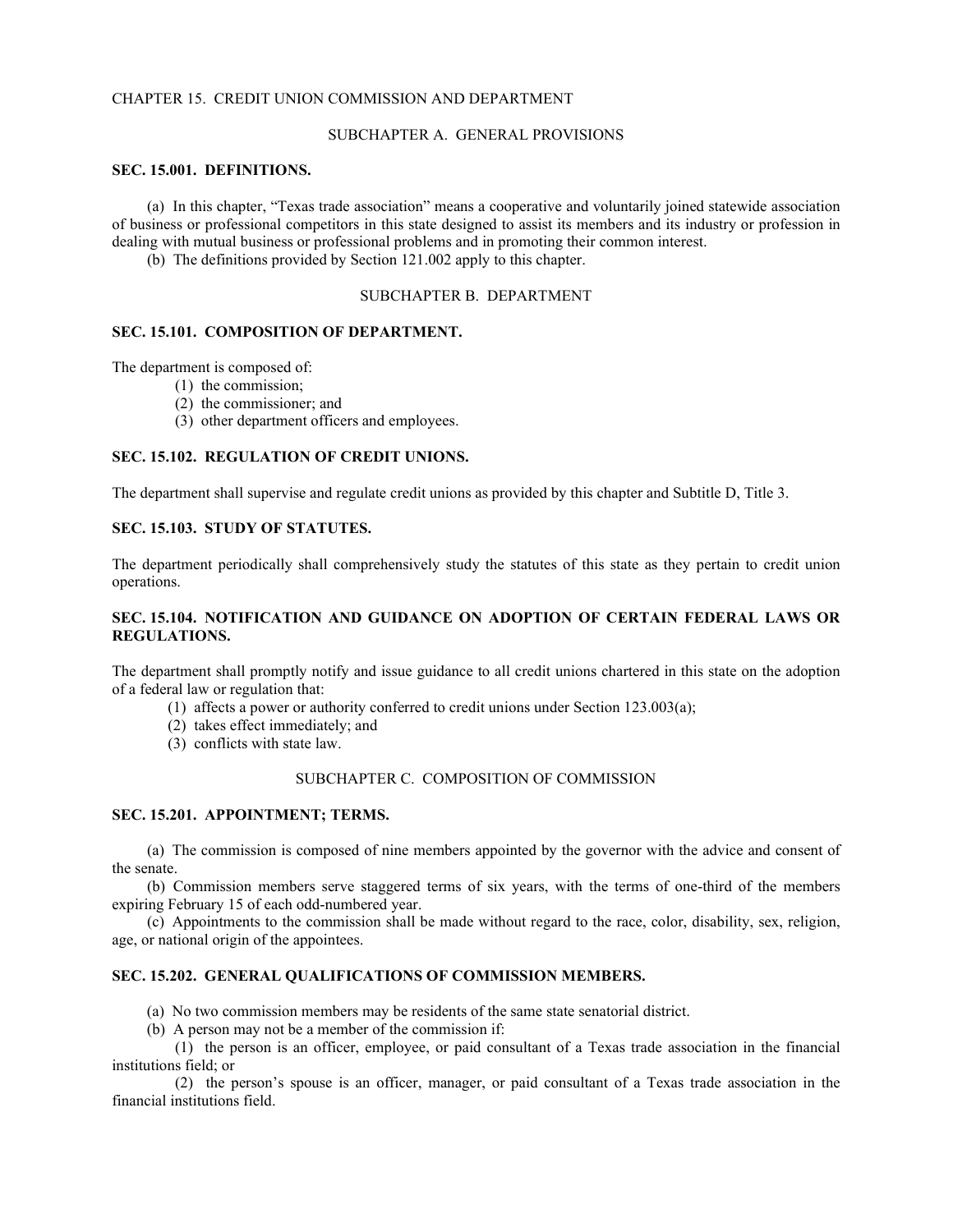## CHAPTER 15. CREDIT UNION COMMISSION AND DEPARTMENT

## SUBCHAPTER A. GENERAL PROVISIONS

## **SEC. 15.001. DEFINITIONS.**

(a) In this chapter, "Texas trade association" means a cooperative and voluntarily joined statewide association of business or professional competitors in this state designed to assist its members and its industry or profession in dealing with mutual business or professional problems and in promoting their common interest.

(b) The definitions provided by Section 121.002 apply to this chapter.

## SUBCHAPTER B. DEPARTMENT

#### **SEC. 15.101. COMPOSITION OF DEPARTMENT.**

The department is composed of:

- (1) the commission;
- (2) the commissioner; and
- (3) other department officers and employees.

## **SEC. 15.102. REGULATION OF CREDIT UNIONS.**

The department shall supervise and regulate credit unions as provided by this chapter and Subtitle D, Title 3.

## **SEC. 15.103. STUDY OF STATUTES.**

The department periodically shall comprehensively study the statutes of this state as they pertain to credit union operations.

## **SEC. 15.104. NOTIFICATION AND GUIDANCE ON ADOPTION OF CERTAIN FEDERAL LAWS OR REGULATIONS.**

The department shall promptly notify and issue guidance to all credit unions chartered in this state on the adoption of a federal law or regulation that:

- (1) affects a power or authority conferred to credit unions under Section 123.003(a);
- (2) takes effect immediately; and
- (3) conflicts with state law.

## SUBCHAPTER C. COMPOSITION OF COMMISSION

## **SEC. 15.201. APPOINTMENT; TERMS.**

(a) The commission is composed of nine members appointed by the governor with the advice and consent of the senate.

(b) Commission members serve staggered terms of six years, with the terms of one-third of the members expiring February 15 of each odd-numbered year.

(c) Appointments to the commission shall be made without regard to the race, color, disability, sex, religion, age, or national origin of the appointees.

## **SEC. 15.202. GENERAL QUALIFICATIONS OF COMMISSION MEMBERS.**

(a) No two commission members may be residents of the same state senatorial district.

(b) A person may not be a member of the commission if:

(1) the person is an officer, employee, or paid consultant of a Texas trade association in the financial institutions field; or

(2) the person's spouse is an officer, manager, or paid consultant of a Texas trade association in the financial institutions field.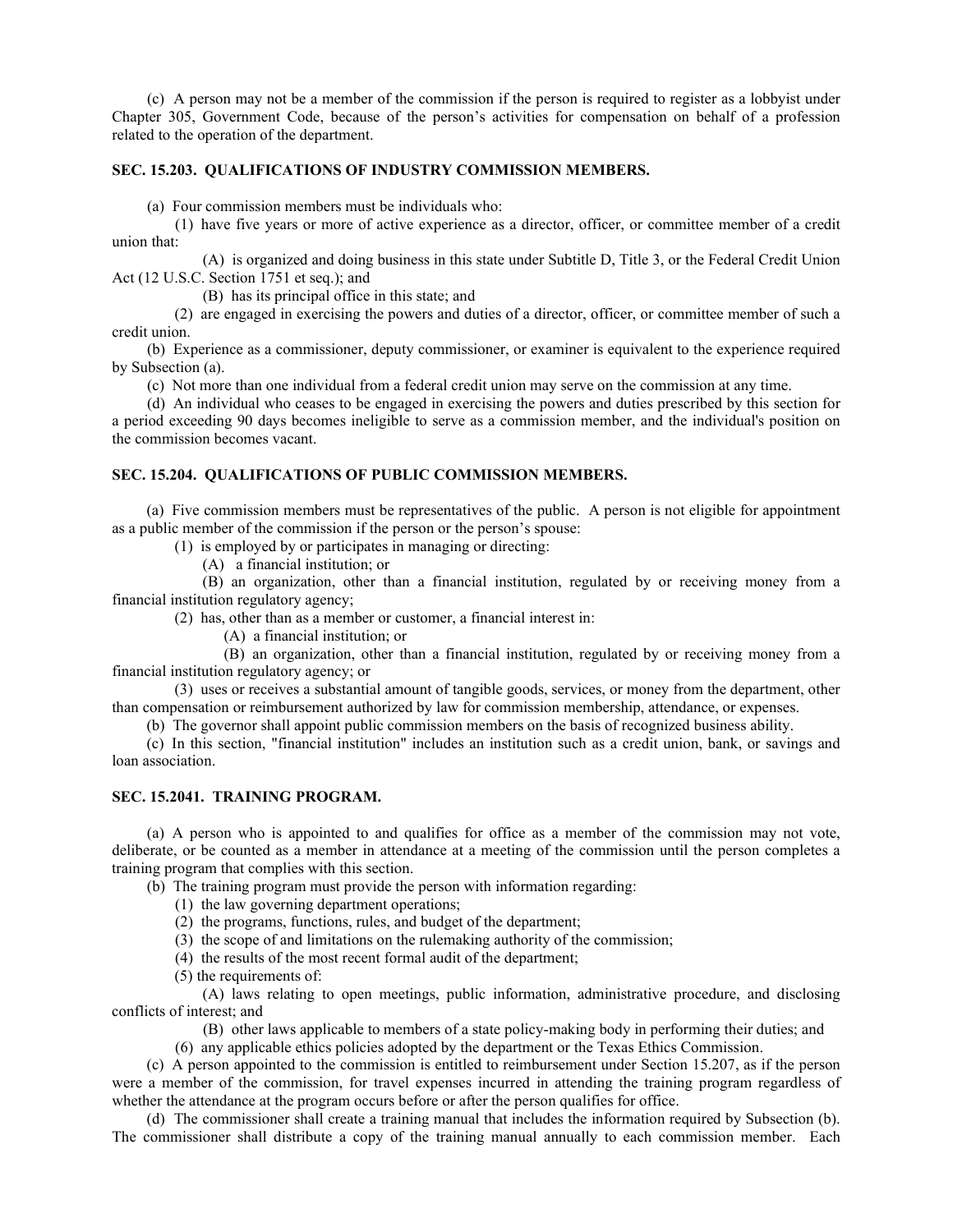(c) A person may not be a member of the commission if the person is required to register as a lobbyist under Chapter 305, Government Code, because of the person's activities for compensation on behalf of a profession related to the operation of the department.

## **SEC. 15.203. QUALIFICATIONS OF INDUSTRY COMMISSION MEMBERS.**

(a) Four commission members must be individuals who:

(1) have five years or more of active experience as a director, officer, or committee member of a credit union that:

(A) is organized and doing business in this state under Subtitle D, Title 3, or the Federal Credit Union Act (12 U.S.C. Section 1751 et seq.); and

(B) has its principal office in this state; and

(2) are engaged in exercising the powers and duties of a director, officer, or committee member of such a credit union.

(b) Experience as a commissioner, deputy commissioner, or examiner is equivalent to the experience required by Subsection (a).

(c) Not more than one individual from a federal credit union may serve on the commission at any time.

(d) An individual who ceases to be engaged in exercising the powers and duties prescribed by this section for a period exceeding 90 days becomes ineligible to serve as a commission member, and the individual's position on the commission becomes vacant.

## **SEC. 15.204. QUALIFICATIONS OF PUBLIC COMMISSION MEMBERS.**

(a) Five commission members must be representatives of the public. A person is not eligible for appointment as a public member of the commission if the person or the person's spouse:

(1) is employed by or participates in managing or directing:

(A) a financial institution; or

(B) an organization, other than a financial institution, regulated by or receiving money from a financial institution regulatory agency;

(2) has, other than as a member or customer, a financial interest in:

(A) a financial institution; or

(B) an organization, other than a financial institution, regulated by or receiving money from a financial institution regulatory agency; or

(3) uses or receives a substantial amount of tangible goods, services, or money from the department, other than compensation or reimbursement authorized by law for commission membership, attendance, or expenses.

(b) The governor shall appoint public commission members on the basis of recognized business ability.

(c) In this section, "financial institution" includes an institution such as a credit union, bank, or savings and loan association.

## **SEC. 15.2041. TRAINING PROGRAM.**

(a) A person who is appointed to and qualifies for office as a member of the commission may not vote, deliberate, or be counted as a member in attendance at a meeting of the commission until the person completes a training program that complies with this section.

(b) The training program must provide the person with information regarding:

- (1) the law governing department operations;
- (2) the programs, functions, rules, and budget of the department;
- (3) the scope of and limitations on the rulemaking authority of the commission;
- (4) the results of the most recent formal audit of the department;
- (5) the requirements of:

(A) laws relating to open meetings, public information, administrative procedure, and disclosing conflicts of interest; and

(B) other laws applicable to members of a state policy-making body in performing their duties; and

(6) any applicable ethics policies adopted by the department or the Texas Ethics Commission.

(c) A person appointed to the commission is entitled to reimbursement under Section 15.207, as if the person were a member of the commission, for travel expenses incurred in attending the training program regardless of whether the attendance at the program occurs before or after the person qualifies for office.

(d) The commissioner shall create a training manual that includes the information required by Subsection (b). The commissioner shall distribute a copy of the training manual annually to each commission member. Each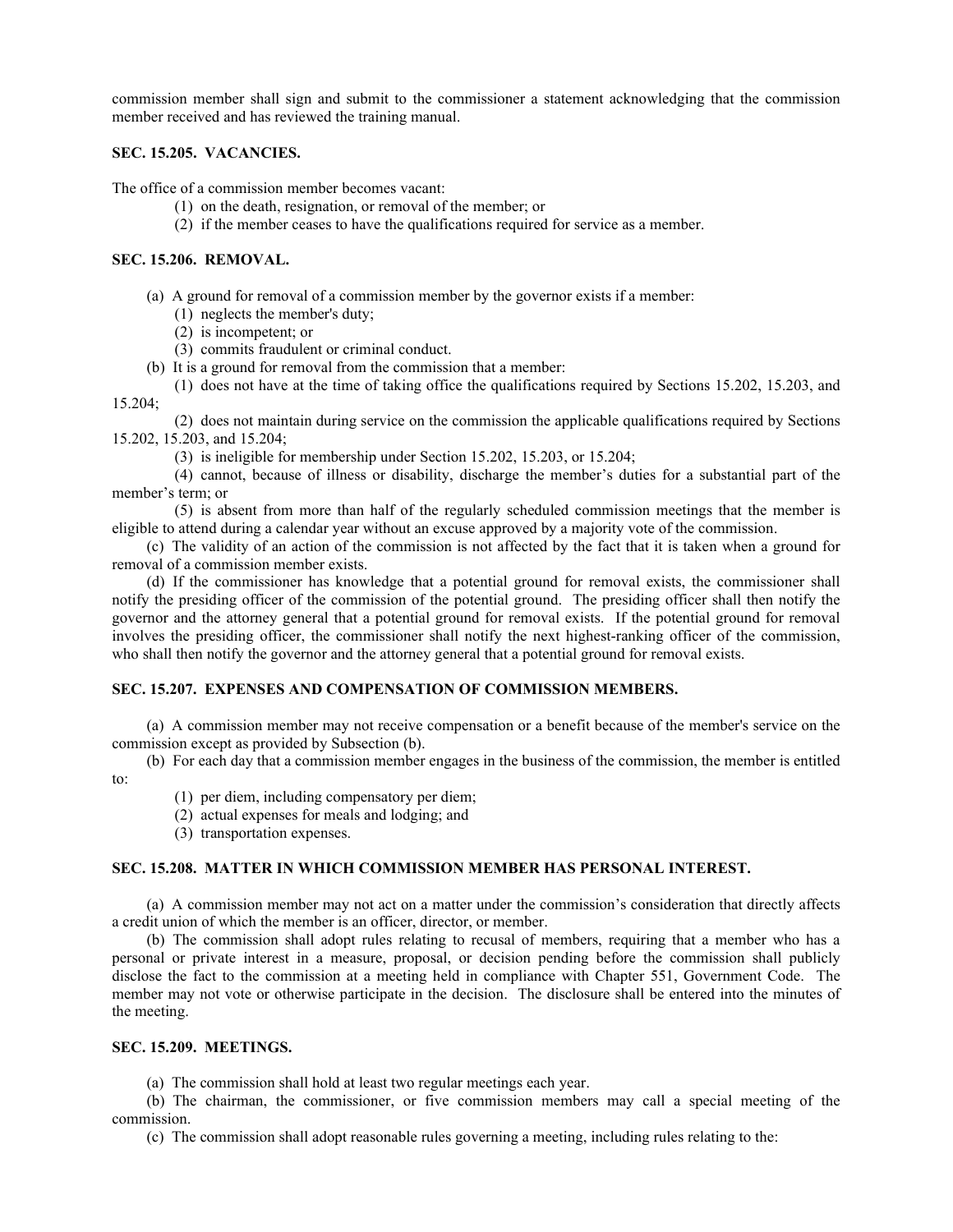commission member shall sign and submit to the commissioner a statement acknowledging that the commission member received and has reviewed the training manual.

## **SEC. 15.205. VACANCIES.**

The office of a commission member becomes vacant:

- (1) on the death, resignation, or removal of the member; or
- (2) if the member ceases to have the qualifications required for service as a member.

## **SEC. 15.206. REMOVAL.**

- (a) A ground for removal of a commission member by the governor exists if a member:
	- (1) neglects the member's duty;
	- (2) is incompetent; or
	- (3) commits fraudulent or criminal conduct.
- (b) It is a ground for removal from the commission that a member:
- (1) does not have at the time of taking office the qualifications required by Sections 15.202, 15.203, and 15.204;

(2) does not maintain during service on the commission the applicable qualifications required by Sections 15.202, 15.203, and 15.204;

(3) is ineligible for membership under Section 15.202, 15.203, or 15.204;

(4) cannot, because of illness or disability, discharge the member's duties for a substantial part of the member's term; or

(5) is absent from more than half of the regularly scheduled commission meetings that the member is eligible to attend during a calendar year without an excuse approved by a majority vote of the commission.

(c) The validity of an action of the commission is not affected by the fact that it is taken when a ground for removal of a commission member exists.

(d) If the commissioner has knowledge that a potential ground for removal exists, the commissioner shall notify the presiding officer of the commission of the potential ground. The presiding officer shall then notify the governor and the attorney general that a potential ground for removal exists. If the potential ground for removal involves the presiding officer, the commissioner shall notify the next highest-ranking officer of the commission, who shall then notify the governor and the attorney general that a potential ground for removal exists.

## **SEC. 15.207. EXPENSES AND COMPENSATION OF COMMISSION MEMBERS.**

(a) A commission member may not receive compensation or a benefit because of the member's service on the commission except as provided by Subsection (b).

(b) For each day that a commission member engages in the business of the commission, the member is entitled to:

- (1) per diem, including compensatory per diem;
- (2) actual expenses for meals and lodging; and
- (3) transportation expenses.

## **SEC. 15.208. MATTER IN WHICH COMMISSION MEMBER HAS PERSONAL INTEREST.**

(a) A commission member may not act on a matter under the commission's consideration that directly affects a credit union of which the member is an officer, director, or member.

(b) The commission shall adopt rules relating to recusal of members, requiring that a member who has a personal or private interest in a measure, proposal, or decision pending before the commission shall publicly disclose the fact to the commission at a meeting held in compliance with Chapter 551, Government Code. The member may not vote or otherwise participate in the decision. The disclosure shall be entered into the minutes of the meeting.

## **SEC. 15.209. MEETINGS.**

(a) The commission shall hold at least two regular meetings each year.

(b) The chairman, the commissioner, or five commission members may call a special meeting of the commission.

(c) The commission shall adopt reasonable rules governing a meeting, including rules relating to the: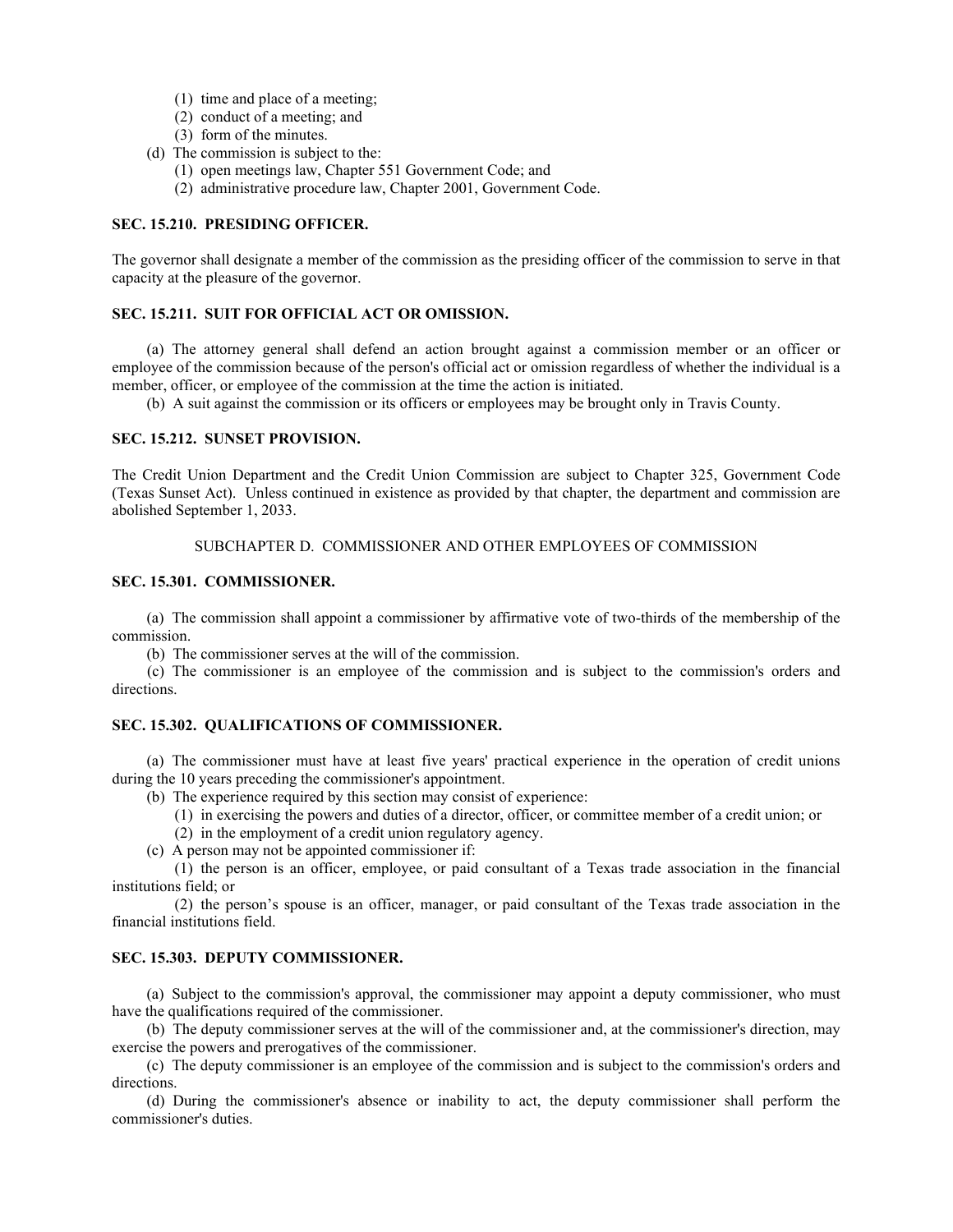- (1) time and place of a meeting;
- (2) conduct of a meeting; and
- (3) form of the minutes.
- (d) The commission is subject to the:
	- (1) open meetings law, Chapter 551 Government Code; and
	- (2) administrative procedure law, Chapter 2001, Government Code.

## **SEC. 15.210. PRESIDING OFFICER.**

The governor shall designate a member of the commission as the presiding officer of the commission to serve in that capacity at the pleasure of the governor.

### **SEC. 15.211. SUIT FOR OFFICIAL ACT OR OMISSION.**

(a) The attorney general shall defend an action brought against a commission member or an officer or employee of the commission because of the person's official act or omission regardless of whether the individual is a member, officer, or employee of the commission at the time the action is initiated.

(b) A suit against the commission or its officers or employees may be brought only in Travis County.

## **SEC. 15.212. SUNSET PROVISION.**

The Credit Union Department and the Credit Union Commission are subject to Chapter 325, Government Code (Texas Sunset Act). Unless continued in existence as provided by that chapter, the department and commission are abolished September 1, 2033.

## SUBCHAPTER D. COMMISSIONER AND OTHER EMPLOYEES OF COMMISSION

#### **SEC. 15.301. COMMISSIONER.**

(a) The commission shall appoint a commissioner by affirmative vote of two-thirds of the membership of the commission.

(b) The commissioner serves at the will of the commission.

(c) The commissioner is an employee of the commission and is subject to the commission's orders and directions.

## **SEC. 15.302. QUALIFICATIONS OF COMMISSIONER.**

(a) The commissioner must have at least five years' practical experience in the operation of credit unions during the 10 years preceding the commissioner's appointment.

- (b) The experience required by this section may consist of experience:
	- (1) in exercising the powers and duties of a director, officer, or committee member of a credit union; or
	- (2) in the employment of a credit union regulatory agency.
- (c) A person may not be appointed commissioner if:

(1) the person is an officer, employee, or paid consultant of a Texas trade association in the financial institutions field; or

(2) the person's spouse is an officer, manager, or paid consultant of the Texas trade association in the financial institutions field.

#### **SEC. 15.303. DEPUTY COMMISSIONER.**

(a) Subject to the commission's approval, the commissioner may appoint a deputy commissioner, who must have the qualifications required of the commissioner.

(b) The deputy commissioner serves at the will of the commissioner and, at the commissioner's direction, may exercise the powers and prerogatives of the commissioner.

(c) The deputy commissioner is an employee of the commission and is subject to the commission's orders and directions.

(d) During the commissioner's absence or inability to act, the deputy commissioner shall perform the commissioner's duties.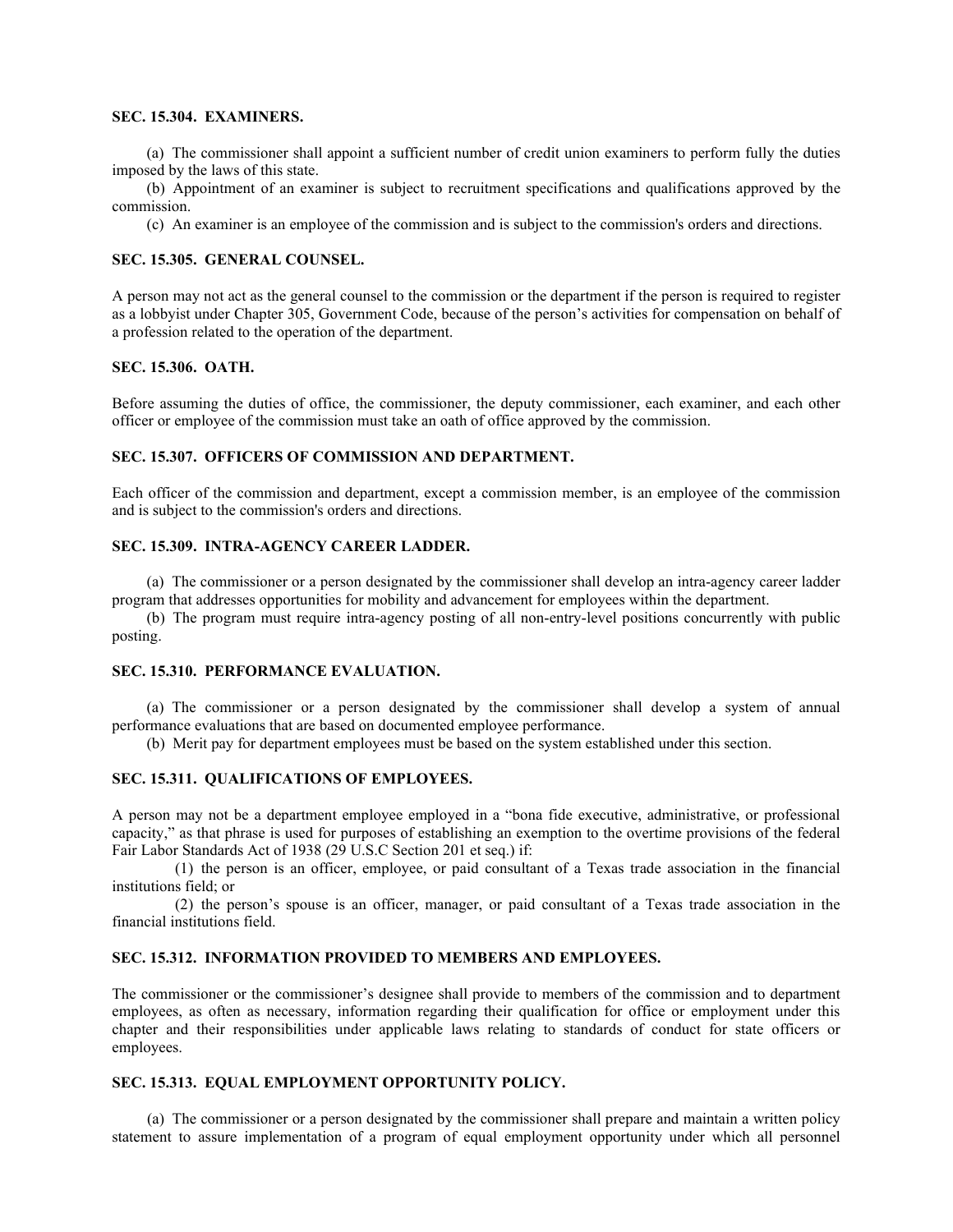## **SEC. 15.304. EXAMINERS.**

(a) The commissioner shall appoint a sufficient number of credit union examiners to perform fully the duties imposed by the laws of this state.

(b) Appointment of an examiner is subject to recruitment specifications and qualifications approved by the commission.

(c) An examiner is an employee of the commission and is subject to the commission's orders and directions.

## **SEC. 15.305. GENERAL COUNSEL.**

A person may not act as the general counsel to the commission or the department if the person is required to register as a lobbyist under Chapter 305, Government Code, because of the person's activities for compensation on behalf of a profession related to the operation of the department.

## **SEC. 15.306. OATH.**

Before assuming the duties of office, the commissioner, the deputy commissioner, each examiner, and each other officer or employee of the commission must take an oath of office approved by the commission.

## **SEC. 15.307. OFFICERS OF COMMISSION AND DEPARTMENT.**

Each officer of the commission and department, except a commission member, is an employee of the commission and is subject to the commission's orders and directions.

## **SEC. 15.309. INTRA-AGENCY CAREER LADDER.**

(a) The commissioner or a person designated by the commissioner shall develop an intra-agency career ladder program that addresses opportunities for mobility and advancement for employees within the department.

(b) The program must require intra-agency posting of all non-entry-level positions concurrently with public posting.

#### **SEC. 15.310. PERFORMANCE EVALUATION.**

(a) The commissioner or a person designated by the commissioner shall develop a system of annual performance evaluations that are based on documented employee performance.

(b) Merit pay for department employees must be based on the system established under this section.

## **SEC. 15.311. QUALIFICATIONS OF EMPLOYEES.**

A person may not be a department employee employed in a "bona fide executive, administrative, or professional capacity," as that phrase is used for purposes of establishing an exemption to the overtime provisions of the federal Fair Labor Standards Act of 1938 (29 U.S.C Section 201 et seq.) if:

(1) the person is an officer, employee, or paid consultant of a Texas trade association in the financial institutions field; or

(2) the person's spouse is an officer, manager, or paid consultant of a Texas trade association in the financial institutions field.

#### **SEC. 15.312. INFORMATION PROVIDED TO MEMBERS AND EMPLOYEES.**

The commissioner or the commissioner's designee shall provide to members of the commission and to department employees, as often as necessary, information regarding their qualification for office or employment under this chapter and their responsibilities under applicable laws relating to standards of conduct for state officers or employees.

#### **SEC. 15.313. EQUAL EMPLOYMENT OPPORTUNITY POLICY.**

(a) The commissioner or a person designated by the commissioner shall prepare and maintain a written policy statement to assure implementation of a program of equal employment opportunity under which all personnel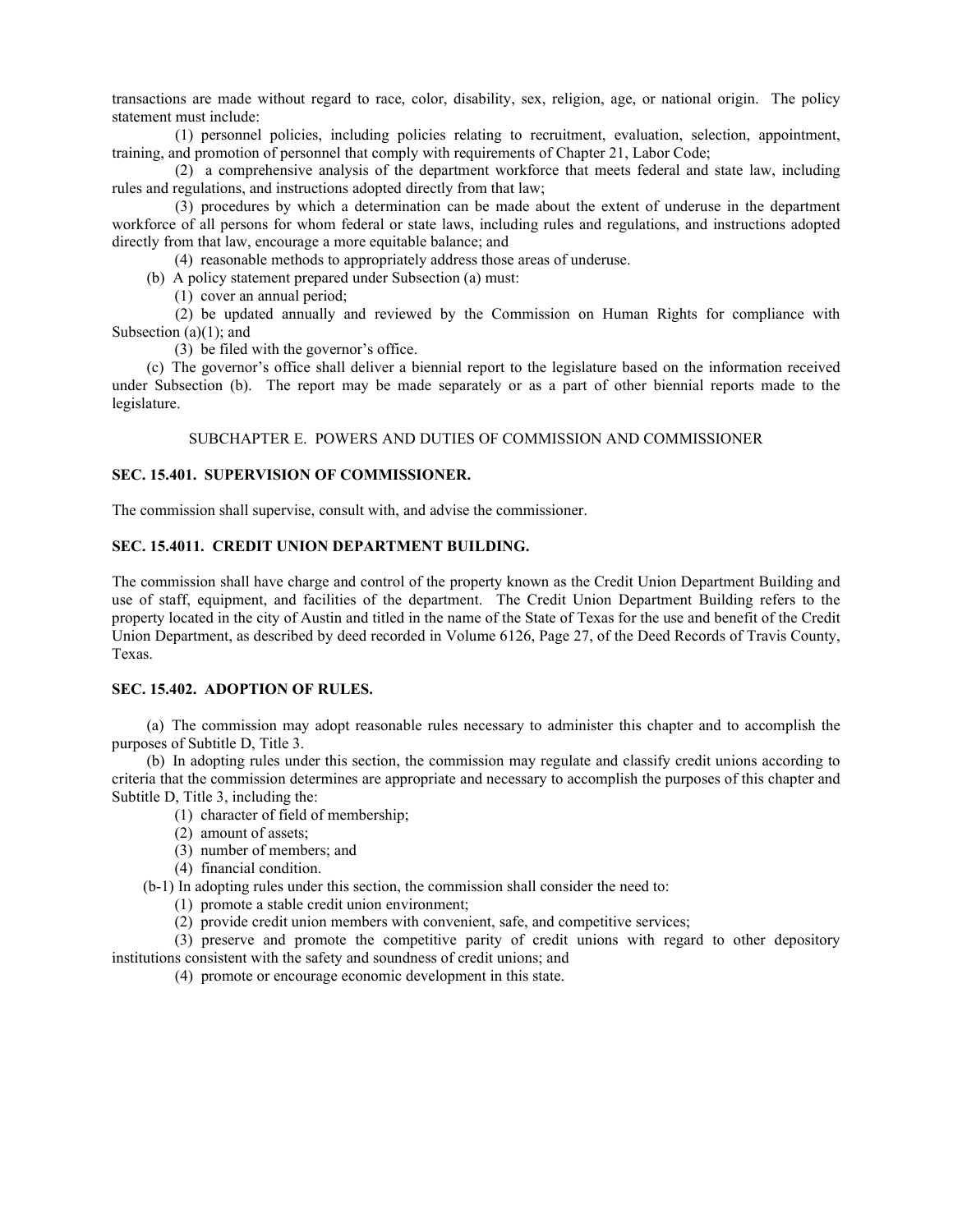transactions are made without regard to race, color, disability, sex, religion, age, or national origin. The policy statement must include:

(1) personnel policies, including policies relating to recruitment, evaluation, selection, appointment, training, and promotion of personnel that comply with requirements of Chapter 21, Labor Code;

(2) a comprehensive analysis of the department workforce that meets federal and state law, including rules and regulations, and instructions adopted directly from that law;

(3) procedures by which a determination can be made about the extent of underuse in the department workforce of all persons for whom federal or state laws, including rules and regulations, and instructions adopted directly from that law, encourage a more equitable balance; and

(4) reasonable methods to appropriately address those areas of underuse.

(b) A policy statement prepared under Subsection (a) must:

(1) cover an annual period;

(2) be updated annually and reviewed by the Commission on Human Rights for compliance with Subsection (a)(1); and

(3) be filed with the governor's office.

(c) The governor's office shall deliver a biennial report to the legislature based on the information received under Subsection (b). The report may be made separately or as a part of other biennial reports made to the legislature.

SUBCHAPTER E. POWERS AND DUTIES OF COMMISSION AND COMMISSIONER

## **SEC. 15.401. SUPERVISION OF COMMISSIONER.**

The commission shall supervise, consult with, and advise the commissioner.

## **SEC. 15.4011. CREDIT UNION DEPARTMENT BUILDING.**

The commission shall have charge and control of the property known as the Credit Union Department Building and use of staff, equipment, and facilities of the department. The Credit Union Department Building refers to the property located in the city of Austin and titled in the name of the State of Texas for the use and benefit of the Credit Union Department, as described by deed recorded in Volume 6126, Page 27, of the Deed Records of Travis County, Texas.

## **SEC. 15.402. ADOPTION OF RULES.**

(a) The commission may adopt reasonable rules necessary to administer this chapter and to accomplish the purposes of Subtitle D, Title 3.

(b) In adopting rules under this section, the commission may regulate and classify credit unions according to criteria that the commission determines are appropriate and necessary to accomplish the purposes of this chapter and Subtitle D, Title 3, including the:

- (1) character of field of membership;
- (2) amount of assets;
- (3) number of members; and
- (4) financial condition.

(b-1) In adopting rules under this section, the commission shall consider the need to:

(1) promote a stable credit union environment;

(2) provide credit union members with convenient, safe, and competitive services;

(3) preserve and promote the competitive parity of credit unions with regard to other depository institutions consistent with the safety and soundness of credit unions; and

(4) promote or encourage economic development in this state.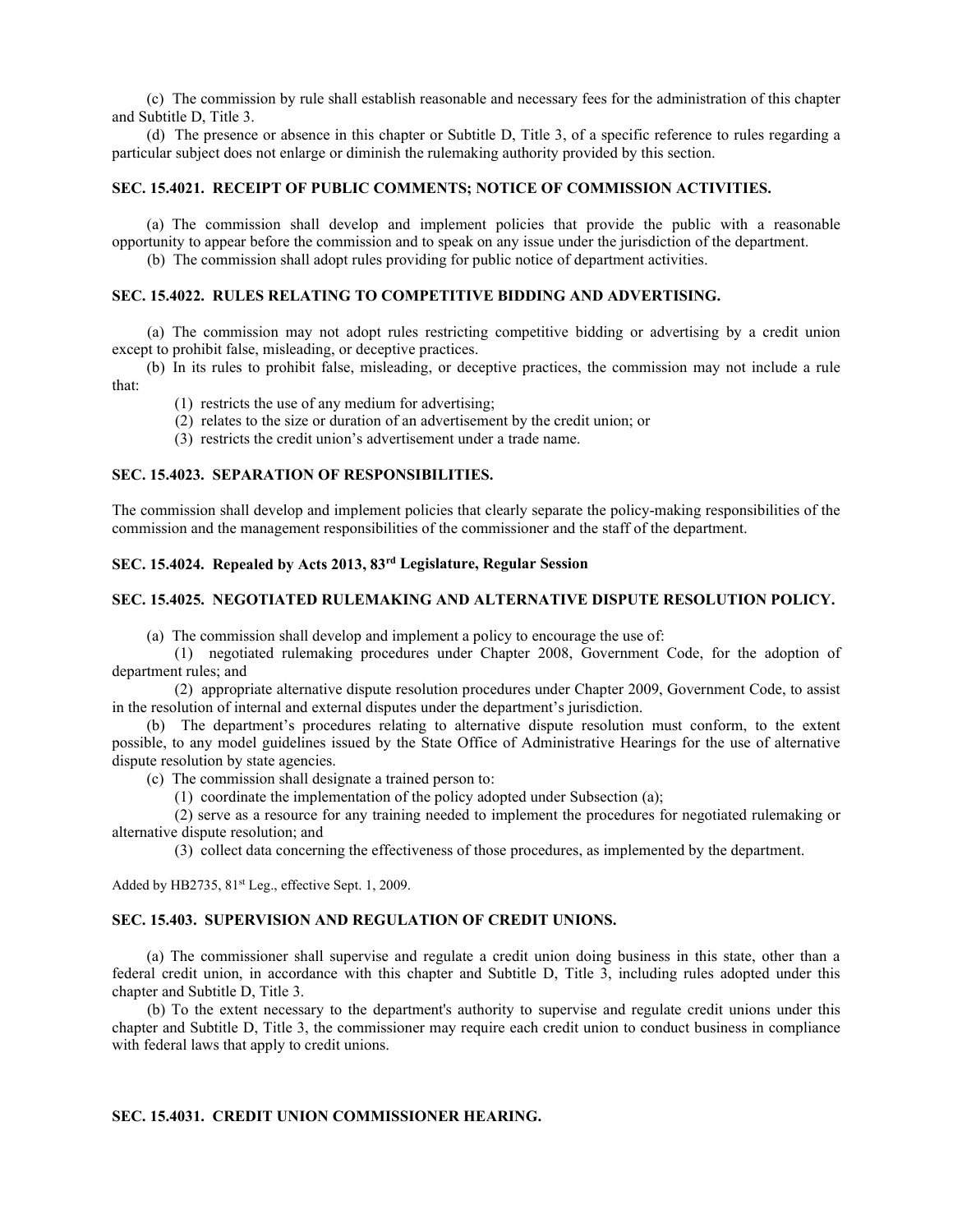(c) The commission by rule shall establish reasonable and necessary fees for the administration of this chapter and Subtitle D, Title 3.

(d) The presence or absence in this chapter or Subtitle D, Title 3, of a specific reference to rules regarding a particular subject does not enlarge or diminish the rulemaking authority provided by this section.

## **SEC. 15.4021. RECEIPT OF PUBLIC COMMENTS; NOTICE OF COMMISSION ACTIVITIES.**

(a) The commission shall develop and implement policies that provide the public with a reasonable opportunity to appear before the commission and to speak on any issue under the jurisdiction of the department.

(b) The commission shall adopt rules providing for public notice of department activities.

## **SEC. 15.4022. RULES RELATING TO COMPETITIVE BIDDING AND ADVERTISING.**

(a) The commission may not adopt rules restricting competitive bidding or advertising by a credit union except to prohibit false, misleading, or deceptive practices.

(b) In its rules to prohibit false, misleading, or deceptive practices, the commission may not include a rule that:

- (1) restricts the use of any medium for advertising;
- (2) relates to the size or duration of an advertisement by the credit union; or
- (3) restricts the credit union's advertisement under a trade name.

## **SEC. 15.4023. SEPARATION OF RESPONSIBILITIES.**

The commission shall develop and implement policies that clearly separate the policy-making responsibilities of the commission and the management responsibilities of the commissioner and the staff of the department.

## **SEC. 15.4024. Repealed by Acts 2013, 83rd Legislature, Regular Session**

#### **SEC. 15.4025. NEGOTIATED RULEMAKING AND ALTERNATIVE DISPUTE RESOLUTION POLICY.**

(a) The commission shall develop and implement a policy to encourage the use of:

(1) negotiated rulemaking procedures under Chapter 2008, Government Code, for the adoption of department rules; and

(2) appropriate alternative dispute resolution procedures under Chapter 2009, Government Code, to assist in the resolution of internal and external disputes under the department's jurisdiction.

(b) The department's procedures relating to alternative dispute resolution must conform, to the extent possible, to any model guidelines issued by the State Office of Administrative Hearings for the use of alternative dispute resolution by state agencies.

(c) The commission shall designate a trained person to:

(1) coordinate the implementation of the policy adopted under Subsection (a);

(2) serve as a resource for any training needed to implement the procedures for negotiated rulemaking or alternative dispute resolution; and

(3) collect data concerning the effectiveness of those procedures, as implemented by the department.

Added by HB2735, 81<sup>st</sup> Leg., effective Sept. 1, 2009.

#### **SEC. 15.403. SUPERVISION AND REGULATION OF CREDIT UNIONS.**

(a) The commissioner shall supervise and regulate a credit union doing business in this state, other than a federal credit union, in accordance with this chapter and Subtitle D, Title 3, including rules adopted under this chapter and Subtitle D, Title 3.

 (b) To the extent necessary to the department's authority to supervise and regulate credit unions under this chapter and Subtitle D, Title 3, the commissioner may require each credit union to conduct business in compliance with federal laws that apply to credit unions.

#### **SEC. 15.4031. CREDIT UNION COMMISSIONER HEARING.**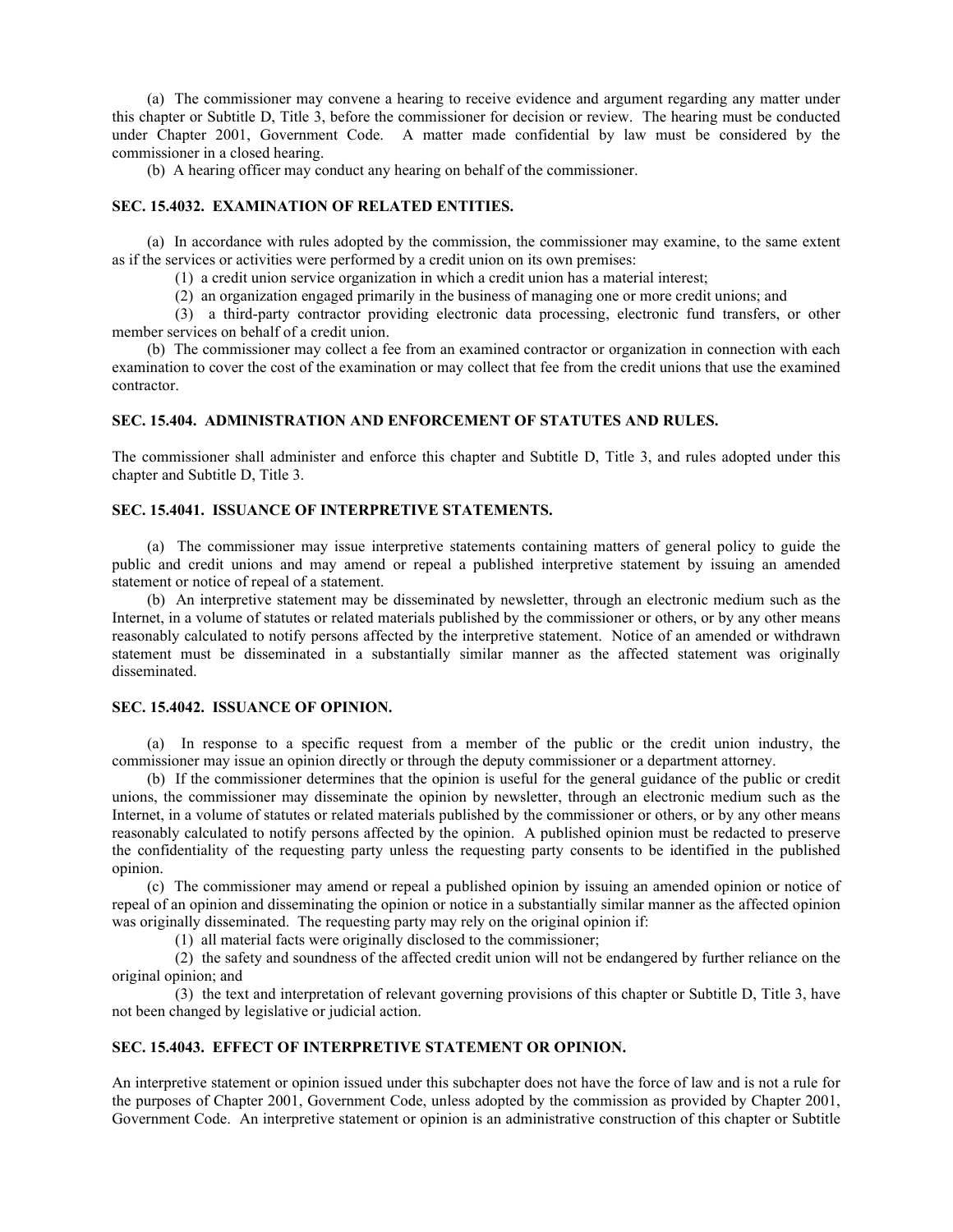(a) The commissioner may convene a hearing to receive evidence and argument regarding any matter under this chapter or Subtitle D, Title 3, before the commissioner for decision or review. The hearing must be conducted under Chapter 2001, Government Code. A matter made confidential by law must be considered by the commissioner in a closed hearing.

(b) A hearing officer may conduct any hearing on behalf of the commissioner.

## **SEC. 15.4032. EXAMINATION OF RELATED ENTITIES.**

(a) In accordance with rules adopted by the commission, the commissioner may examine, to the same extent as if the services or activities were performed by a credit union on its own premises:

(1) a credit union service organization in which a credit union has a material interest;

(2) an organization engaged primarily in the business of managing one or more credit unions; and

(3) a third-party contractor providing electronic data processing, electronic fund transfers, or other member services on behalf of a credit union.

(b) The commissioner may collect a fee from an examined contractor or organization in connection with each examination to cover the cost of the examination or may collect that fee from the credit unions that use the examined contractor.

## **SEC. 15.404. ADMINISTRATION AND ENFORCEMENT OF STATUTES AND RULES.**

The commissioner shall administer and enforce this chapter and Subtitle D, Title 3, and rules adopted under this chapter and Subtitle D, Title 3.

#### **SEC. 15.4041. ISSUANCE OF INTERPRETIVE STATEMENTS.**

(a) The commissioner may issue interpretive statements containing matters of general policy to guide the public and credit unions and may amend or repeal a published interpretive statement by issuing an amended statement or notice of repeal of a statement.

(b) An interpretive statement may be disseminated by newsletter, through an electronic medium such as the Internet, in a volume of statutes or related materials published by the commissioner or others, or by any other means reasonably calculated to notify persons affected by the interpretive statement. Notice of an amended or withdrawn statement must be disseminated in a substantially similar manner as the affected statement was originally disseminated.

#### **SEC. 15.4042. ISSUANCE OF OPINION.**

(a) In response to a specific request from a member of the public or the credit union industry, the commissioner may issue an opinion directly or through the deputy commissioner or a department attorney.

(b) If the commissioner determines that the opinion is useful for the general guidance of the public or credit unions, the commissioner may disseminate the opinion by newsletter, through an electronic medium such as the Internet, in a volume of statutes or related materials published by the commissioner or others, or by any other means reasonably calculated to notify persons affected by the opinion. A published opinion must be redacted to preserve the confidentiality of the requesting party unless the requesting party consents to be identified in the published opinion.

(c) The commissioner may amend or repeal a published opinion by issuing an amended opinion or notice of repeal of an opinion and disseminating the opinion or notice in a substantially similar manner as the affected opinion was originally disseminated. The requesting party may rely on the original opinion if:

(1) all material facts were originally disclosed to the commissioner;

(2) the safety and soundness of the affected credit union will not be endangered by further reliance on the original opinion; and

(3) the text and interpretation of relevant governing provisions of this chapter or Subtitle D, Title 3, have not been changed by legislative or judicial action.

## **SEC. 15.4043. EFFECT OF INTERPRETIVE STATEMENT OR OPINION.**

An interpretive statement or opinion issued under this subchapter does not have the force of law and is not a rule for the purposes of Chapter 2001, Government Code, unless adopted by the commission as provided by Chapter 2001, Government Code. An interpretive statement or opinion is an administrative construction of this chapter or Subtitle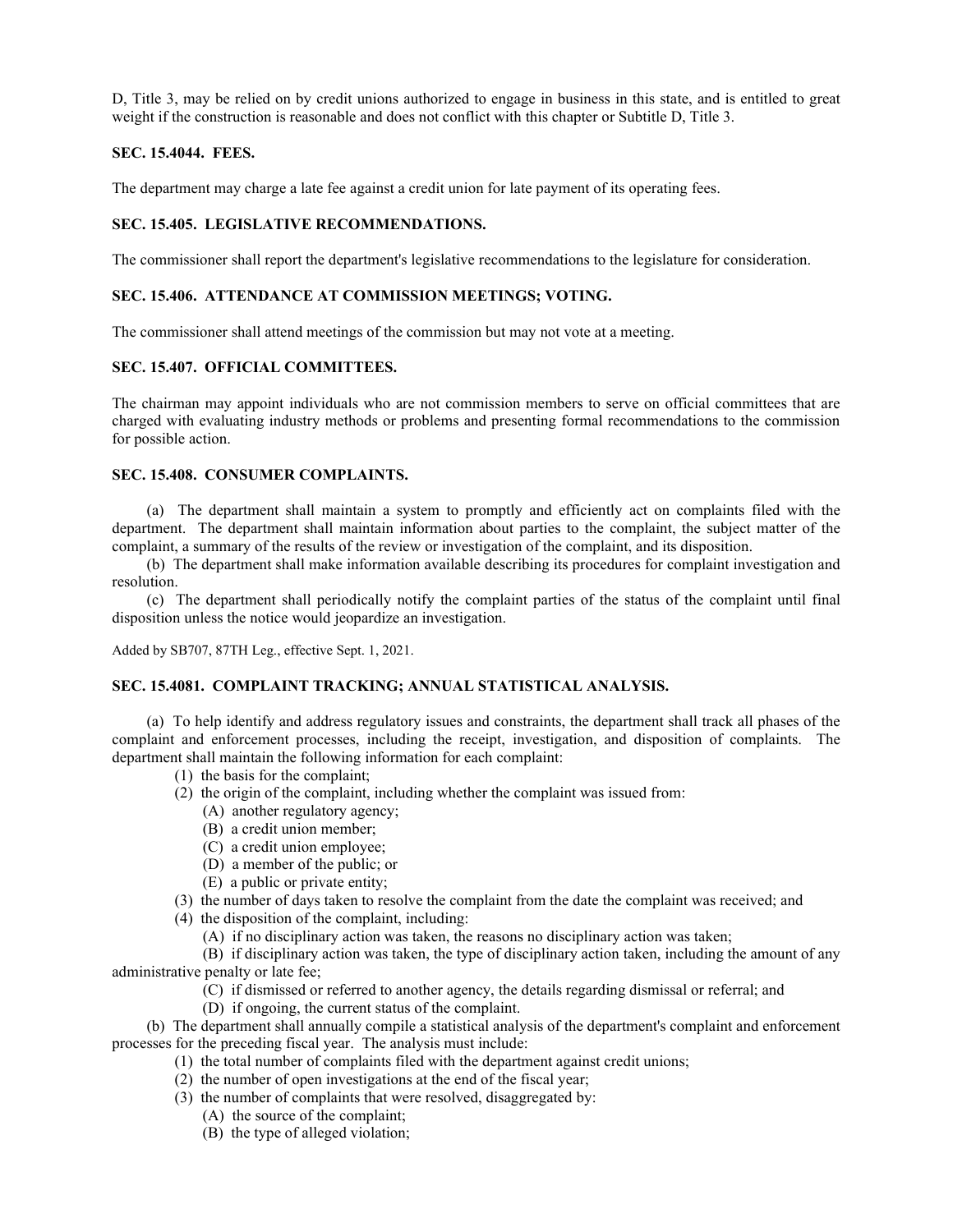D, Title 3, may be relied on by credit unions authorized to engage in business in this state, and is entitled to great weight if the construction is reasonable and does not conflict with this chapter or Subtitle D, Title 3.

## **SEC. 15.4044. FEES.**

The department may charge a late fee against a credit union for late payment of its operating fees.

## **SEC. 15.405. LEGISLATIVE RECOMMENDATIONS.**

The commissioner shall report the department's legislative recommendations to the legislature for consideration.

## **SEC. 15.406. ATTENDANCE AT COMMISSION MEETINGS; VOTING.**

The commissioner shall attend meetings of the commission but may not vote at a meeting.

## **SEC. 15.407. OFFICIAL COMMITTEES.**

The chairman may appoint individuals who are not commission members to serve on official committees that are charged with evaluating industry methods or problems and presenting formal recommendations to the commission for possible action.

## **SEC. 15.408. CONSUMER COMPLAINTS.**

(a) The department shall maintain a system to promptly and efficiently act on complaints filed with the department. The department shall maintain information about parties to the complaint, the subject matter of the complaint, a summary of the results of the review or investigation of the complaint, and its disposition.

(b) The department shall make information available describing its procedures for complaint investigation and resolution.

(c) The department shall periodically notify the complaint parties of the status of the complaint until final disposition unless the notice would jeopardize an investigation.

Added by SB707, 87TH Leg., effective Sept. 1, 2021.

## **SEC. 15.4081. COMPLAINT TRACKING; ANNUAL STATISTICAL ANALYSIS.**

(a) To help identify and address regulatory issues and constraints, the department shall track all phases of the complaint and enforcement processes, including the receipt, investigation, and disposition of complaints. The department shall maintain the following information for each complaint:

- (1) the basis for the complaint;
- (2) the origin of the complaint, including whether the complaint was issued from:
	- (A) another regulatory agency;
	- (B) a credit union member;
	- (C) a credit union employee;
	- (D) a member of the public; or
	- (E) a public or private entity;
- (3) the number of days taken to resolve the complaint from the date the complaint was received; and
- (4) the disposition of the complaint, including:
	- (A) if no disciplinary action was taken, the reasons no disciplinary action was taken;

(B) if disciplinary action was taken, the type of disciplinary action taken, including the amount of any administrative penalty or late fee;

- (C) if dismissed or referred to another agency, the details regarding dismissal or referral; and
- (D) if ongoing, the current status of the complaint.

(b) The department shall annually compile a statistical analysis of the department's complaint and enforcement processes for the preceding fiscal year. The analysis must include:

- (1) the total number of complaints filed with the department against credit unions;
- (2) the number of open investigations at the end of the fiscal year;
- (3) the number of complaints that were resolved, disaggregated by:
	- (A) the source of the complaint;
	- (B) the type of alleged violation;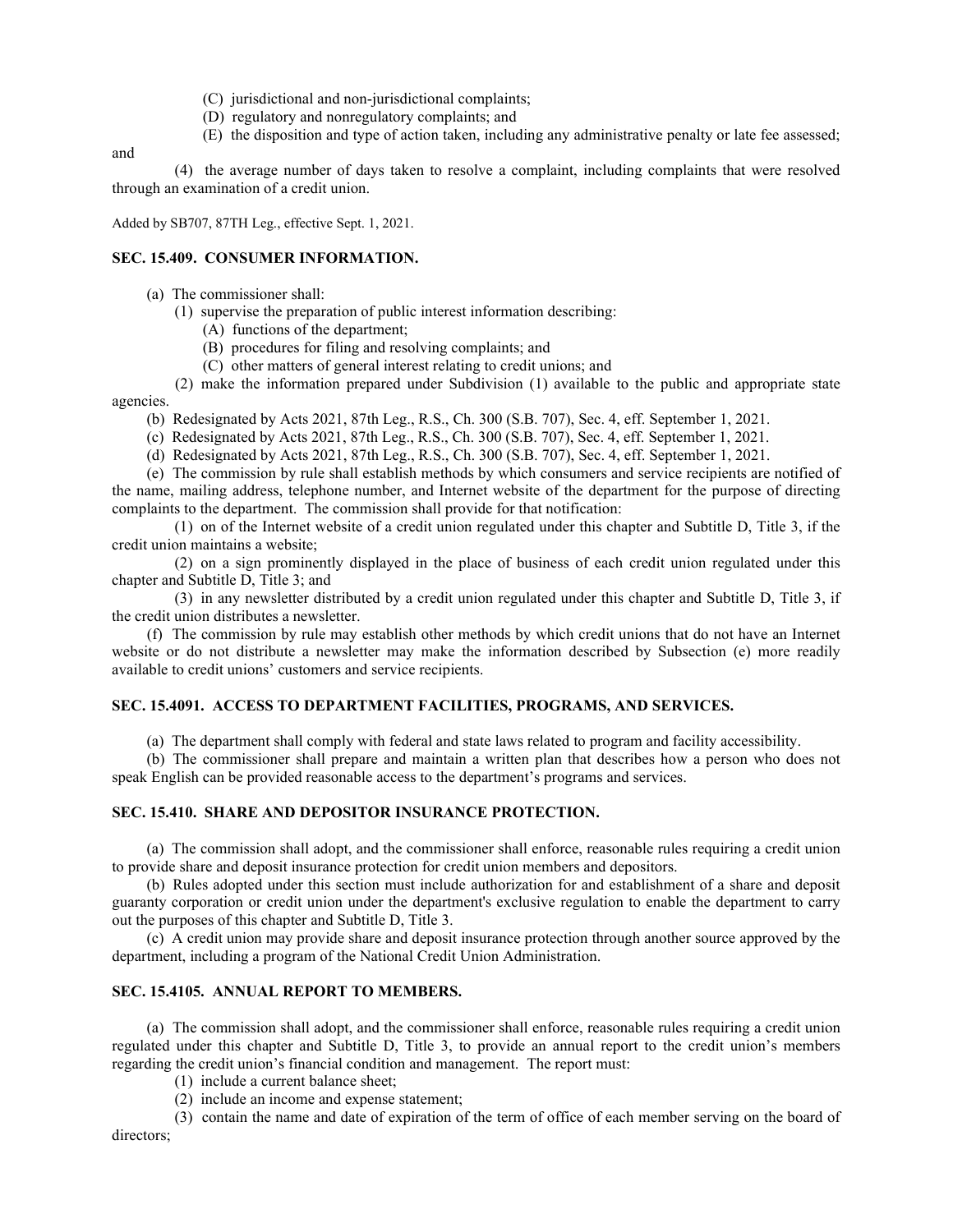- (C) jurisdictional and non-jurisdictional complaints;
- (D) regulatory and nonregulatory complaints; and
- (E) the disposition and type of action taken, including any administrative penalty or late fee assessed;

and

(4) the average number of days taken to resolve a complaint, including complaints that were resolved through an examination of a credit union.

Added by SB707, 87TH Leg., effective Sept. 1, 2021.

#### **SEC. 15.409. CONSUMER INFORMATION.**

- (a) The commissioner shall:
	- (1) supervise the preparation of public interest information describing:
		- (A) functions of the department;
		- (B) procedures for filing and resolving complaints; and
		- (C) other matters of general interest relating to credit unions; and

(2) make the information prepared under Subdivision (1) available to the public and appropriate state agencies.

- (b) Redesignated by Acts 2021, 87th Leg., R.S., Ch. 300 (S.B. 707), Sec. 4, eff. September 1, 2021.
- (c) Redesignated by Acts 2021, 87th Leg., R.S., Ch. 300 (S.B. 707), Sec. 4, eff. September 1, 2021.
- (d) Redesignated by Acts 2021, 87th Leg., R.S., Ch. 300 (S.B. 707), Sec. 4, eff. September 1, 2021.

(e) The commission by rule shall establish methods by which consumers and service recipients are notified of the name, mailing address, telephone number, and Internet website of the department for the purpose of directing complaints to the department. The commission shall provide for that notification:

(1) on of the Internet website of a credit union regulated under this chapter and Subtitle D, Title 3, if the credit union maintains a website;

(2) on a sign prominently displayed in the place of business of each credit union regulated under this chapter and Subtitle D, Title 3; and

(3) in any newsletter distributed by a credit union regulated under this chapter and Subtitle D, Title 3, if the credit union distributes a newsletter.

(f) The commission by rule may establish other methods by which credit unions that do not have an Internet website or do not distribute a newsletter may make the information described by Subsection (e) more readily available to credit unions' customers and service recipients.

## **SEC. 15.4091. ACCESS TO DEPARTMENT FACILITIES, PROGRAMS, AND SERVICES.**

(a) The department shall comply with federal and state laws related to program and facility accessibility.

(b) The commissioner shall prepare and maintain a written plan that describes how a person who does not speak English can be provided reasonable access to the department's programs and services.

## **SEC. 15.410. SHARE AND DEPOSITOR INSURANCE PROTECTION.**

(a) The commission shall adopt, and the commissioner shall enforce, reasonable rules requiring a credit union to provide share and deposit insurance protection for credit union members and depositors.

(b) Rules adopted under this section must include authorization for and establishment of a share and deposit guaranty corporation or credit union under the department's exclusive regulation to enable the department to carry out the purposes of this chapter and Subtitle D, Title 3.

(c) A credit union may provide share and deposit insurance protection through another source approved by the department, including a program of the National Credit Union Administration.

## **SEC. 15.4105. ANNUAL REPORT TO MEMBERS.**

(a) The commission shall adopt, and the commissioner shall enforce, reasonable rules requiring a credit union regulated under this chapter and Subtitle D, Title 3, to provide an annual report to the credit union's members regarding the credit union's financial condition and management. The report must:

- (1) include a current balance sheet;
- (2) include an income and expense statement;

(3) contain the name and date of expiration of the term of office of each member serving on the board of directors;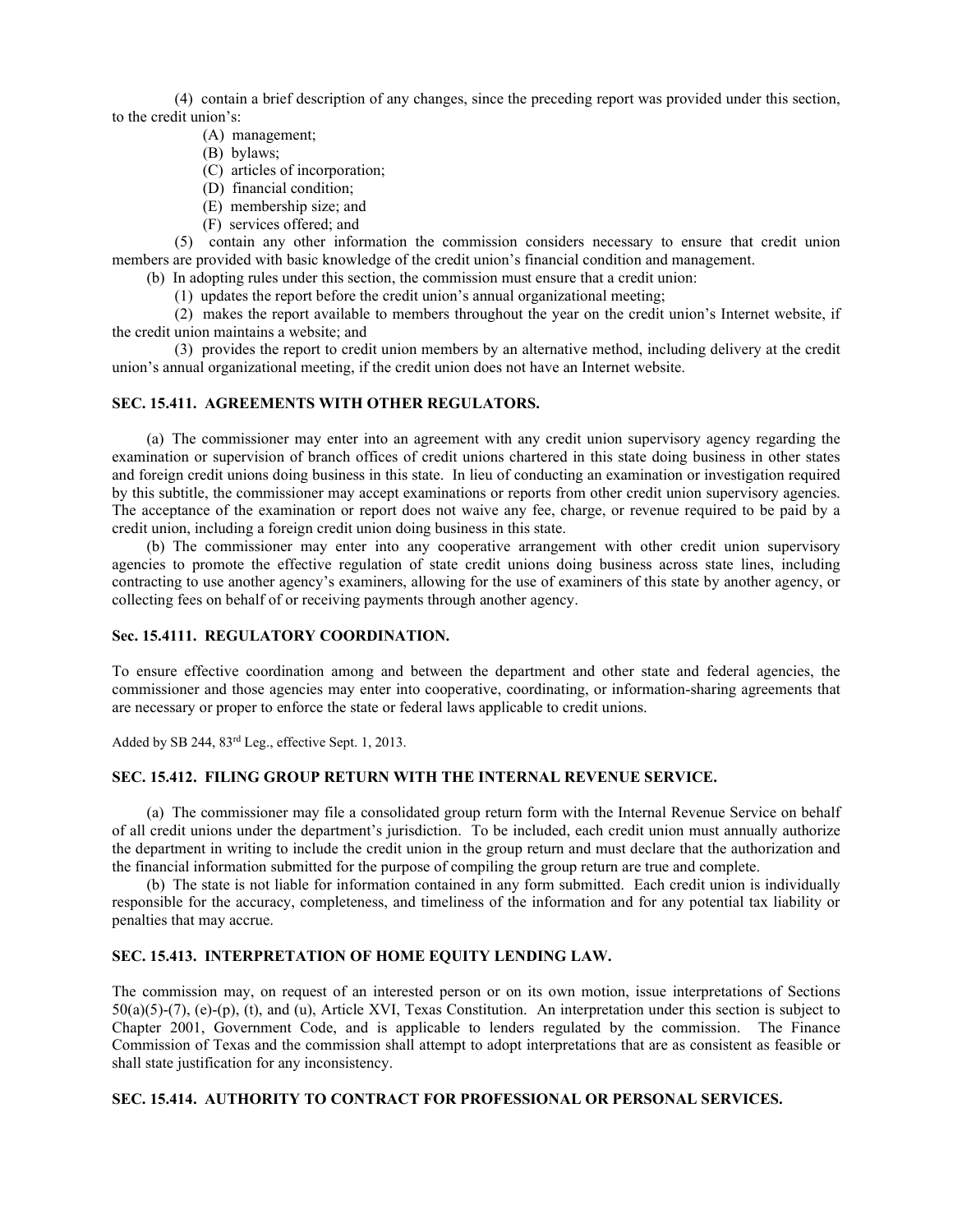(4) contain a brief description of any changes, since the preceding report was provided under this section, to the credit union's:

- (A) management;
- (B) bylaws;
- (C) articles of incorporation;
- (D) financial condition;
- (E) membership size; and
- (F) services offered; and

(5) contain any other information the commission considers necessary to ensure that credit union members are provided with basic knowledge of the credit union's financial condition and management.

(b) In adopting rules under this section, the commission must ensure that a credit union:

(1) updates the report before the credit union's annual organizational meeting;

(2) makes the report available to members throughout the year on the credit union's Internet website, if the credit union maintains a website; and

(3) provides the report to credit union members by an alternative method, including delivery at the credit union's annual organizational meeting, if the credit union does not have an Internet website.

## **SEC. 15.411. AGREEMENTS WITH OTHER REGULATORS.**

(a) The commissioner may enter into an agreement with any credit union supervisory agency regarding the examination or supervision of branch offices of credit unions chartered in this state doing business in other states and foreign credit unions doing business in this state. In lieu of conducting an examination or investigation required by this subtitle, the commissioner may accept examinations or reports from other credit union supervisory agencies. The acceptance of the examination or report does not waive any fee, charge, or revenue required to be paid by a credit union, including a foreign credit union doing business in this state.

(b) The commissioner may enter into any cooperative arrangement with other credit union supervisory agencies to promote the effective regulation of state credit unions doing business across state lines, including contracting to use another agency's examiners, allowing for the use of examiners of this state by another agency, or collecting fees on behalf of or receiving payments through another agency.

## **Sec. 15.4111. REGULATORY COORDINATION.**

To ensure effective coordination among and between the department and other state and federal agencies, the commissioner and those agencies may enter into cooperative, coordinating, or information-sharing agreements that are necessary or proper to enforce the state or federal laws applicable to credit unions.

Added by SB 244, 83rd Leg., effective Sept. 1, 2013.

## **SEC. 15.412. FILING GROUP RETURN WITH THE INTERNAL REVENUE SERVICE.**

(a) The commissioner may file a consolidated group return form with the Internal Revenue Service on behalf of all credit unions under the department's jurisdiction. To be included, each credit union must annually authorize the department in writing to include the credit union in the group return and must declare that the authorization and the financial information submitted for the purpose of compiling the group return are true and complete.

(b) The state is not liable for information contained in any form submitted. Each credit union is individually responsible for the accuracy, completeness, and timeliness of the information and for any potential tax liability or penalties that may accrue.

## **SEC. 15.413. INTERPRETATION OF HOME EQUITY LENDING LAW.**

The commission may, on request of an interested person or on its own motion, issue interpretations of Sections  $50(a)(5)-(7)$ , (e)-(p), (t), and (u), Article XVI, Texas Constitution. An interpretation under this section is subject to Chapter 2001, Government Code, and is applicable to lenders regulated by the commission. The Finance Commission of Texas and the commission shall attempt to adopt interpretations that are as consistent as feasible or shall state justification for any inconsistency.

## **SEC. 15.414. AUTHORITY TO CONTRACT FOR PROFESSIONAL OR PERSONAL SERVICES.**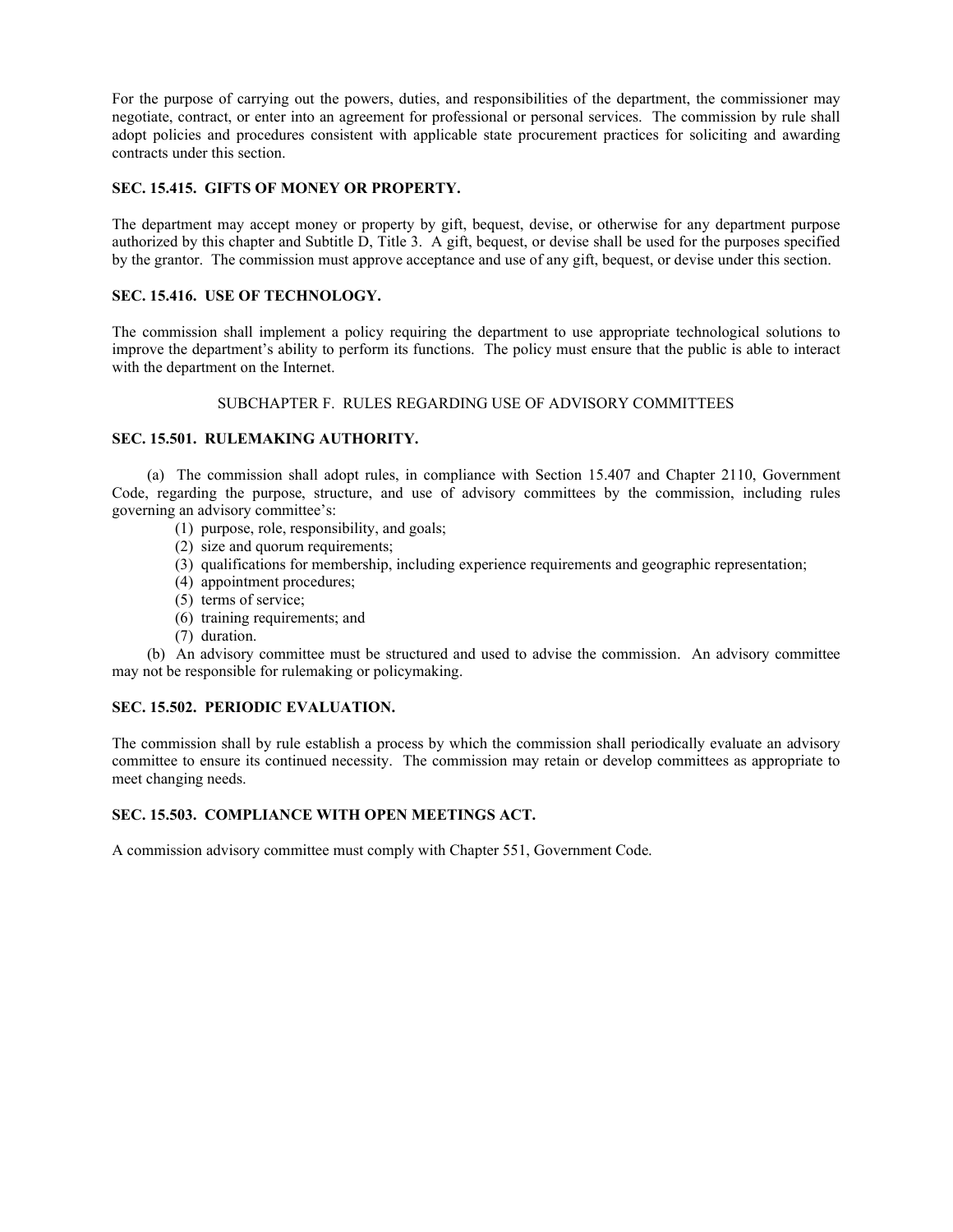For the purpose of carrying out the powers, duties, and responsibilities of the department, the commissioner may negotiate, contract, or enter into an agreement for professional or personal services. The commission by rule shall adopt policies and procedures consistent with applicable state procurement practices for soliciting and awarding contracts under this section.

## **SEC. 15.415. GIFTS OF MONEY OR PROPERTY.**

The department may accept money or property by gift, bequest, devise, or otherwise for any department purpose authorized by this chapter and Subtitle D, Title 3. A gift, bequest, or devise shall be used for the purposes specified by the grantor. The commission must approve acceptance and use of any gift, bequest, or devise under this section.

## **SEC. 15.416. USE OF TECHNOLOGY.**

The commission shall implement a policy requiring the department to use appropriate technological solutions to improve the department's ability to perform its functions. The policy must ensure that the public is able to interact with the department on the Internet.

## SUBCHAPTER F. RULES REGARDING USE OF ADVISORY COMMITTEES

## **SEC. 15.501. RULEMAKING AUTHORITY.**

(a) The commission shall adopt rules, in compliance with Section 15.407 and Chapter 2110, Government Code, regarding the purpose, structure, and use of advisory committees by the commission, including rules governing an advisory committee's:

- (1) purpose, role, responsibility, and goals;
- (2) size and quorum requirements;
- (3) qualifications for membership, including experience requirements and geographic representation;
- (4) appointment procedures;
- (5) terms of service;
- (6) training requirements; and
- (7) duration.

(b) An advisory committee must be structured and used to advise the commission. An advisory committee may not be responsible for rulemaking or policymaking.

## **SEC. 15.502. PERIODIC EVALUATION.**

The commission shall by rule establish a process by which the commission shall periodically evaluate an advisory committee to ensure its continued necessity. The commission may retain or develop committees as appropriate to meet changing needs.

## **SEC. 15.503. COMPLIANCE WITH OPEN MEETINGS ACT.**

A commission advisory committee must comply with Chapter 551, Government Code.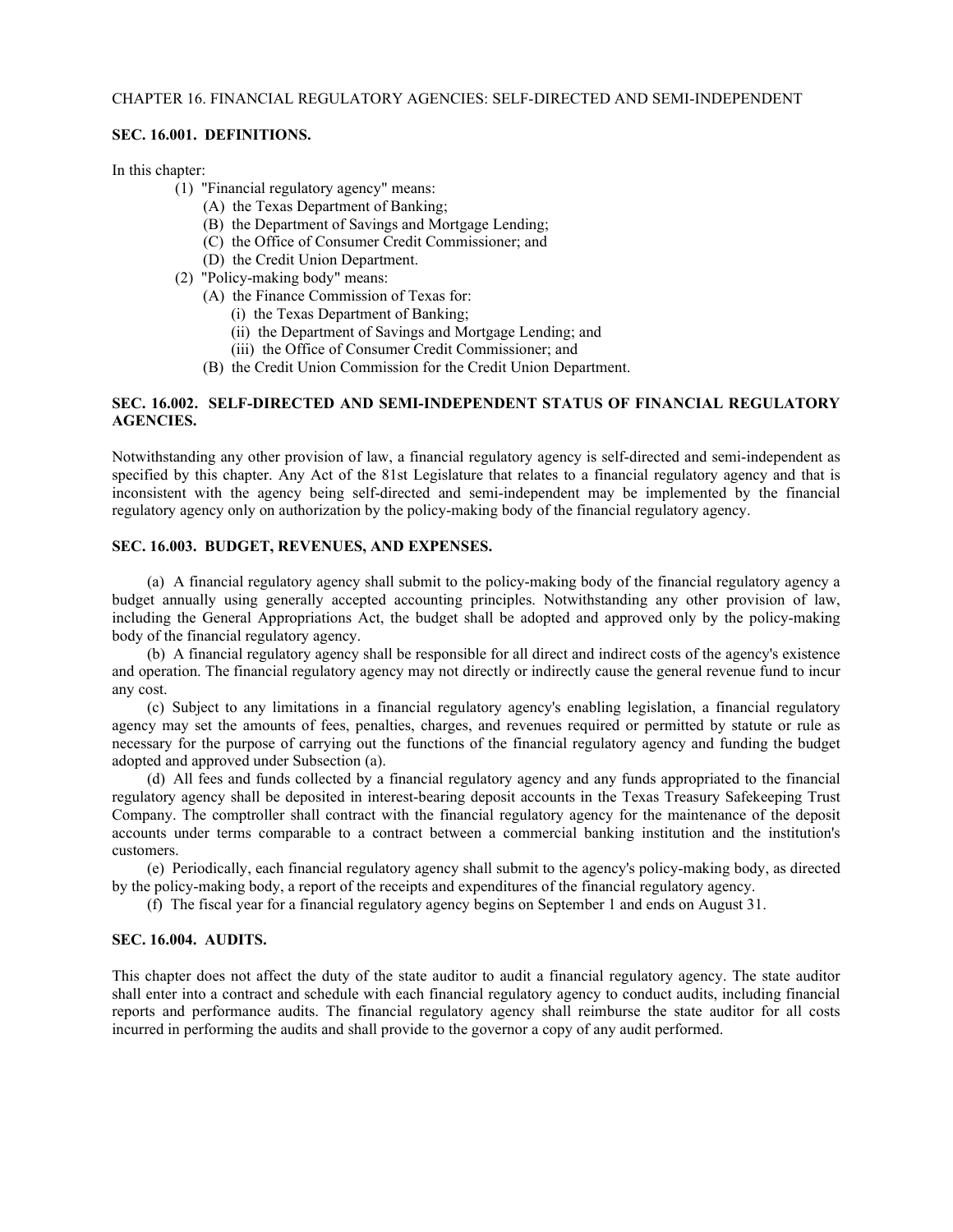#### CHAPTER 16. FINANCIAL REGULATORY AGENCIES: SELF-DIRECTED AND SEMI-INDEPENDENT

#### **SEC. 16.001. DEFINITIONS.**

In this chapter:

- (1) "Financial regulatory agency" means:
	- (A) the Texas Department of Banking;
	- (B) the Department of Savings and Mortgage Lending;
	- (C) the Office of Consumer Credit Commissioner; and
	- (D) the Credit Union Department.
- (2) "Policy-making body" means:
	- (A) the Finance Commission of Texas for:
		- (i) the Texas Department of Banking;
		- (ii) the Department of Savings and Mortgage Lending; and
		- (iii) the Office of Consumer Credit Commissioner; and
	- (B) the Credit Union Commission for the Credit Union Department.

## **SEC. 16.002. SELF-DIRECTED AND SEMI-INDEPENDENT STATUS OF FINANCIAL REGULATORY AGENCIES.**

Notwithstanding any other provision of law, a financial regulatory agency is self-directed and semi-independent as specified by this chapter. Any Act of the 81st Legislature that relates to a financial regulatory agency and that is inconsistent with the agency being self-directed and semi-independent may be implemented by the financial regulatory agency only on authorization by the policy-making body of the financial regulatory agency.

## **SEC. 16.003. BUDGET, REVENUES, AND EXPENSES.**

(a) A financial regulatory agency shall submit to the policy-making body of the financial regulatory agency a budget annually using generally accepted accounting principles. Notwithstanding any other provision of law, including the General Appropriations Act, the budget shall be adopted and approved only by the policy-making body of the financial regulatory agency.

(b) A financial regulatory agency shall be responsible for all direct and indirect costs of the agency's existence and operation. The financial regulatory agency may not directly or indirectly cause the general revenue fund to incur any cost.

(c) Subject to any limitations in a financial regulatory agency's enabling legislation, a financial regulatory agency may set the amounts of fees, penalties, charges, and revenues required or permitted by statute or rule as necessary for the purpose of carrying out the functions of the financial regulatory agency and funding the budget adopted and approved under Subsection (a).

(d) All fees and funds collected by a financial regulatory agency and any funds appropriated to the financial regulatory agency shall be deposited in interest-bearing deposit accounts in the Texas Treasury Safekeeping Trust Company. The comptroller shall contract with the financial regulatory agency for the maintenance of the deposit accounts under terms comparable to a contract between a commercial banking institution and the institution's customers.

(e) Periodically, each financial regulatory agency shall submit to the agency's policy-making body, as directed by the policy-making body, a report of the receipts and expenditures of the financial regulatory agency.

(f) The fiscal year for a financial regulatory agency begins on September 1 and ends on August 31.

#### **SEC. 16.004. AUDITS.**

This chapter does not affect the duty of the state auditor to audit a financial regulatory agency. The state auditor shall enter into a contract and schedule with each financial regulatory agency to conduct audits, including financial reports and performance audits. The financial regulatory agency shall reimburse the state auditor for all costs incurred in performing the audits and shall provide to the governor a copy of any audit performed.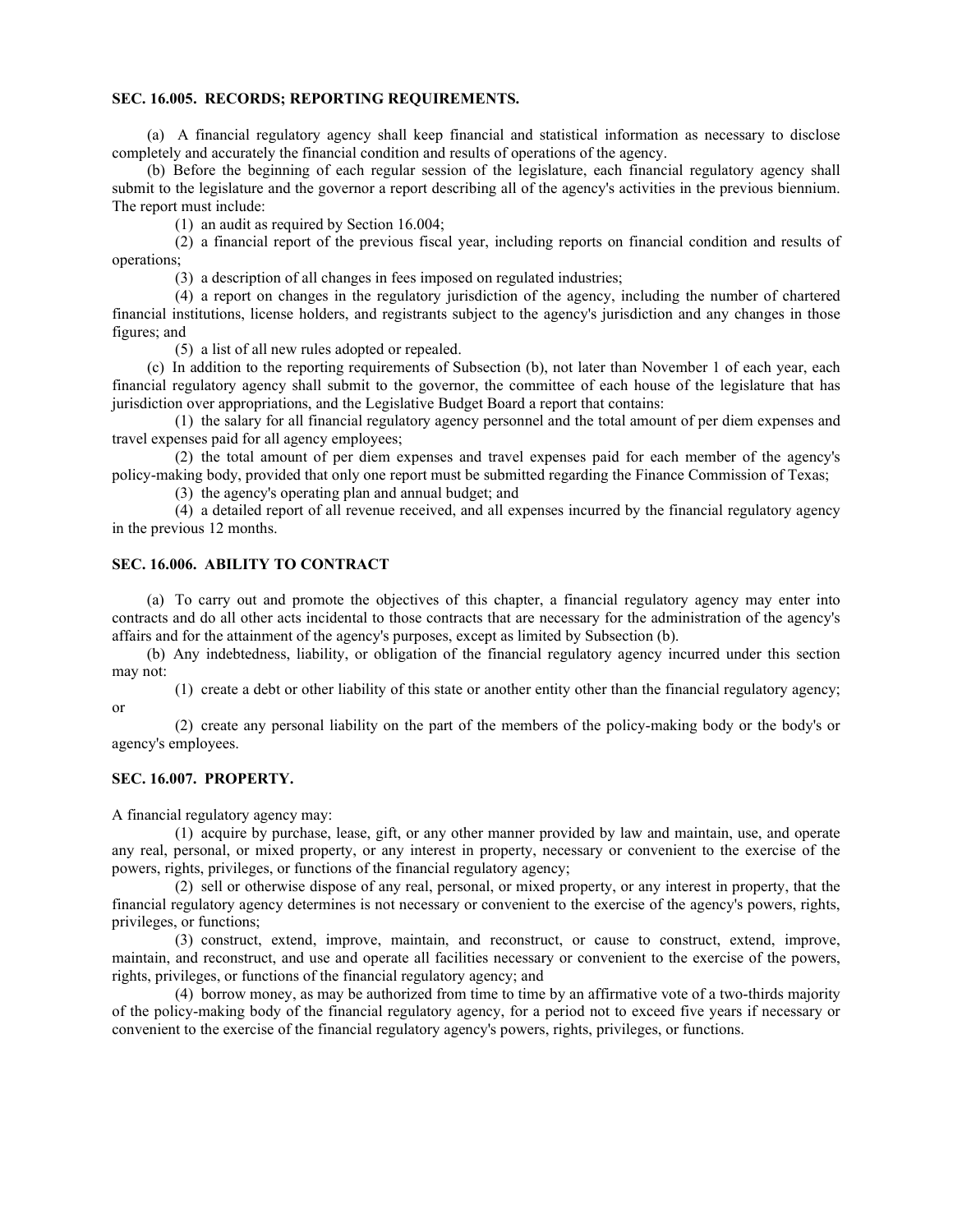#### **SEC. 16.005. RECORDS; REPORTING REQUIREMENTS.**

(a) A financial regulatory agency shall keep financial and statistical information as necessary to disclose completely and accurately the financial condition and results of operations of the agency.

(b) Before the beginning of each regular session of the legislature, each financial regulatory agency shall submit to the legislature and the governor a report describing all of the agency's activities in the previous biennium. The report must include:

(1) an audit as required by Section 16.004;

(2) a financial report of the previous fiscal year, including reports on financial condition and results of operations;

(3) a description of all changes in fees imposed on regulated industries;

(4) a report on changes in the regulatory jurisdiction of the agency, including the number of chartered financial institutions, license holders, and registrants subject to the agency's jurisdiction and any changes in those figures; and

(5) a list of all new rules adopted or repealed.

(c) In addition to the reporting requirements of Subsection (b), not later than November 1 of each year, each financial regulatory agency shall submit to the governor, the committee of each house of the legislature that has jurisdiction over appropriations, and the Legislative Budget Board a report that contains:

(1) the salary for all financial regulatory agency personnel and the total amount of per diem expenses and travel expenses paid for all agency employees;

(2) the total amount of per diem expenses and travel expenses paid for each member of the agency's policy-making body, provided that only one report must be submitted regarding the Finance Commission of Texas;

(3) the agency's operating plan and annual budget; and

(4) a detailed report of all revenue received, and all expenses incurred by the financial regulatory agency in the previous 12 months.

## **SEC. 16.006. ABILITY TO CONTRACT**

(a) To carry out and promote the objectives of this chapter, a financial regulatory agency may enter into contracts and do all other acts incidental to those contracts that are necessary for the administration of the agency's affairs and for the attainment of the agency's purposes, except as limited by Subsection (b).

(b) Any indebtedness, liability, or obligation of the financial regulatory agency incurred under this section may not:

(1) create a debt or other liability of this state or another entity other than the financial regulatory agency; or

(2) create any personal liability on the part of the members of the policy-making body or the body's or agency's employees.

## **SEC. 16.007. PROPERTY.**

A financial regulatory agency may:

(1) acquire by purchase, lease, gift, or any other manner provided by law and maintain, use, and operate any real, personal, or mixed property, or any interest in property, necessary or convenient to the exercise of the powers, rights, privileges, or functions of the financial regulatory agency;

(2) sell or otherwise dispose of any real, personal, or mixed property, or any interest in property, that the financial regulatory agency determines is not necessary or convenient to the exercise of the agency's powers, rights, privileges, or functions;

(3) construct, extend, improve, maintain, and reconstruct, or cause to construct, extend, improve, maintain, and reconstruct, and use and operate all facilities necessary or convenient to the exercise of the powers, rights, privileges, or functions of the financial regulatory agency; and

(4) borrow money, as may be authorized from time to time by an affirmative vote of a two-thirds majority of the policy-making body of the financial regulatory agency, for a period not to exceed five years if necessary or convenient to the exercise of the financial regulatory agency's powers, rights, privileges, or functions.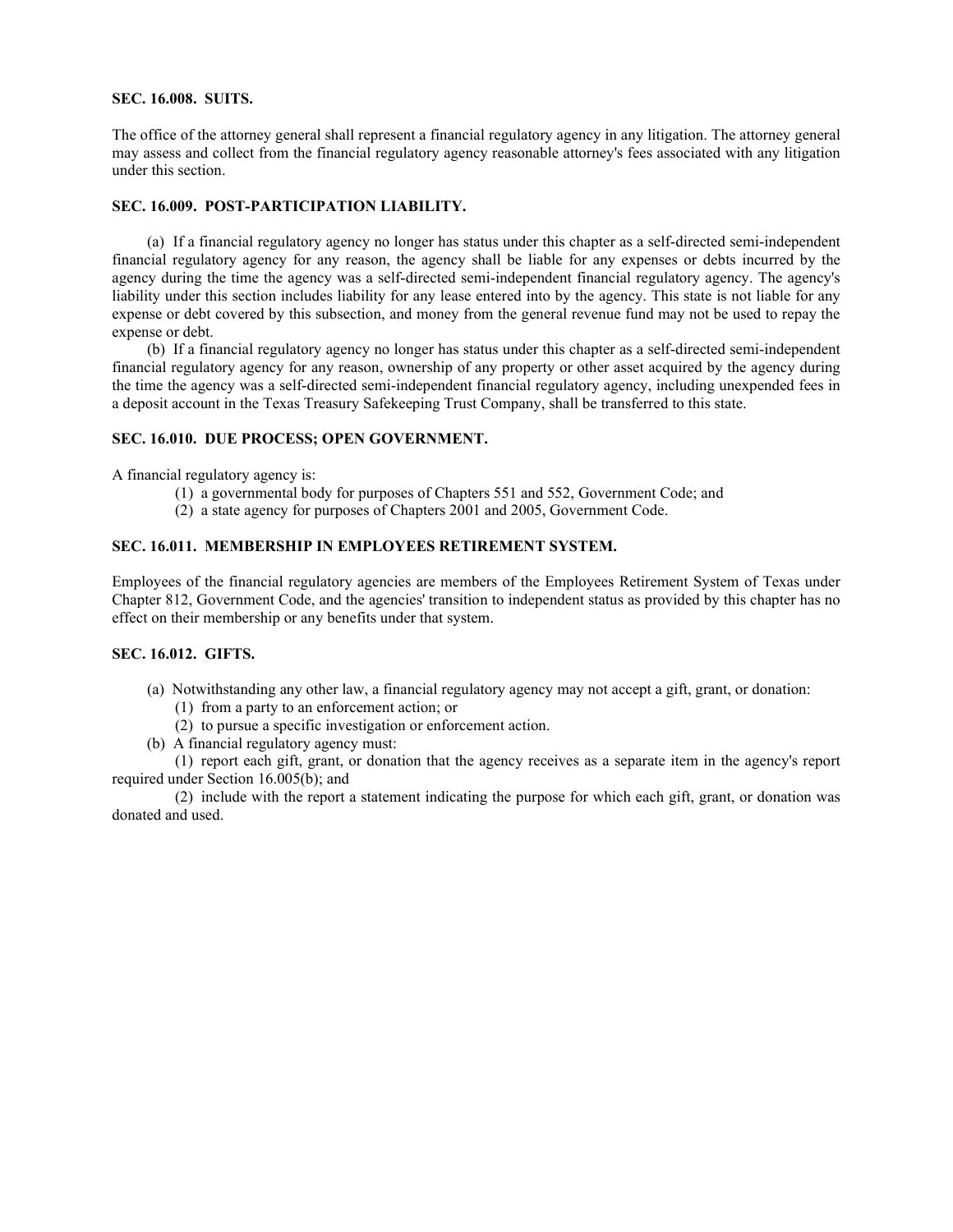## **SEC. 16.008. SUITS.**

The office of the attorney general shall represent a financial regulatory agency in any litigation. The attorney general may assess and collect from the financial regulatory agency reasonable attorney's fees associated with any litigation under this section.

## **SEC. 16.009. POST-PARTICIPATION LIABILITY.**

(a) If a financial regulatory agency no longer has status under this chapter as a self-directed semi-independent financial regulatory agency for any reason, the agency shall be liable for any expenses or debts incurred by the agency during the time the agency was a self-directed semi-independent financial regulatory agency. The agency's liability under this section includes liability for any lease entered into by the agency. This state is not liable for any expense or debt covered by this subsection, and money from the general revenue fund may not be used to repay the expense or debt.

(b) If a financial regulatory agency no longer has status under this chapter as a self-directed semi-independent financial regulatory agency for any reason, ownership of any property or other asset acquired by the agency during the time the agency was a self-directed semi-independent financial regulatory agency, including unexpended fees in a deposit account in the Texas Treasury Safekeeping Trust Company, shall be transferred to this state.

## **SEC. 16.010. DUE PROCESS; OPEN GOVERNMENT.**

A financial regulatory agency is:

- (1) a governmental body for purposes of Chapters 551 and 552, Government Code; and
- (2) a state agency for purposes of Chapters 2001 and 2005, Government Code.

## **SEC. 16.011. MEMBERSHIP IN EMPLOYEES RETIREMENT SYSTEM.**

Employees of the financial regulatory agencies are members of the Employees Retirement System of Texas under Chapter 812, Government Code, and the agencies' transition to independent status as provided by this chapter has no effect on their membership or any benefits under that system.

## **SEC. 16.012. GIFTS.**

- (a) Notwithstanding any other law, a financial regulatory agency may not accept a gift, grant, or donation:
	- (1) from a party to an enforcement action; or
	- (2) to pursue a specific investigation or enforcement action.
- (b) A financial regulatory agency must:

(1) report each gift, grant, or donation that the agency receives as a separate item in the agency's report required under Section 16.005(b); and

(2) include with the report a statement indicating the purpose for which each gift, grant, or donation was donated and used.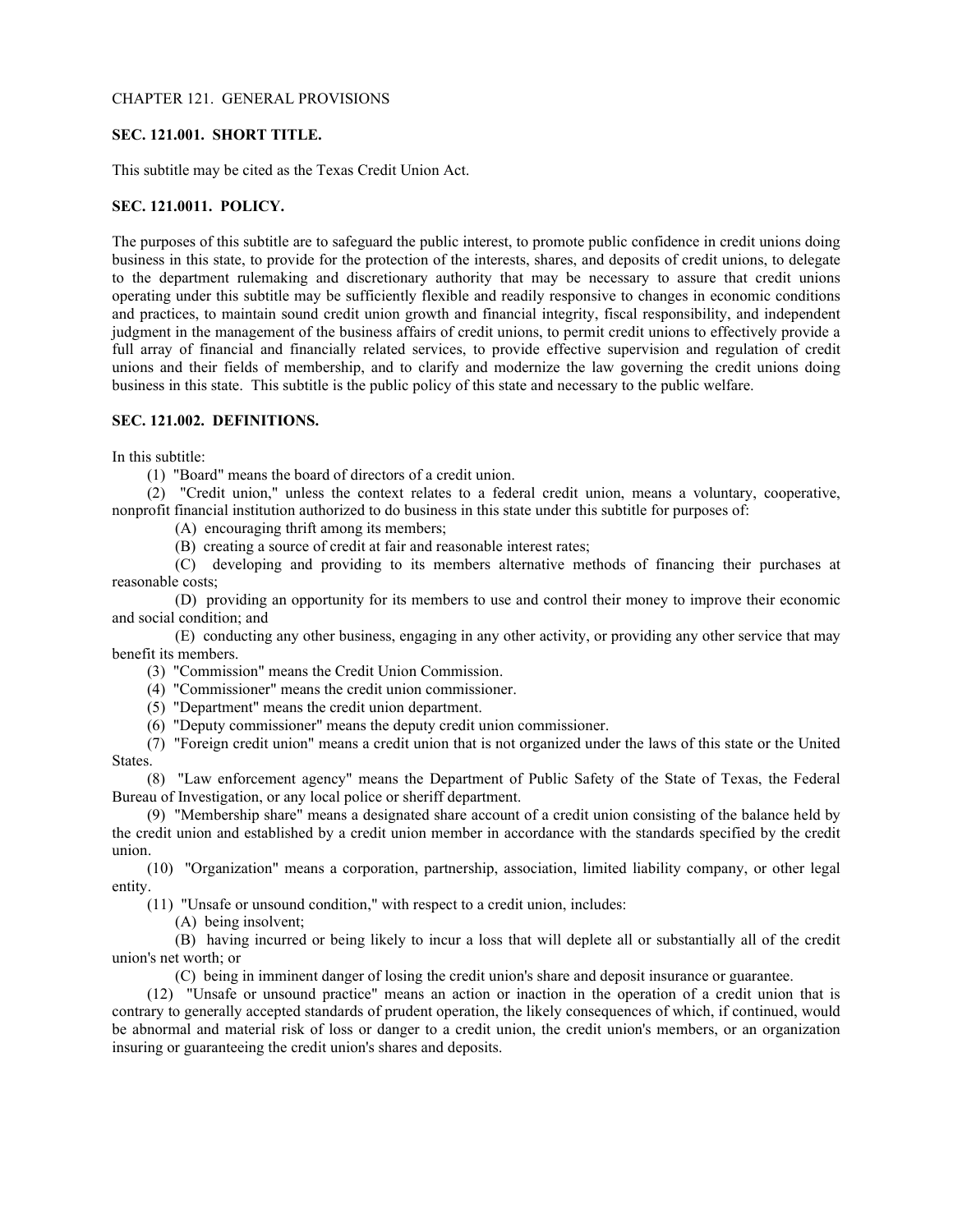#### CHAPTER 121. GENERAL PROVISIONS

#### **SEC. 121.001. SHORT TITLE.**

This subtitle may be cited as the Texas Credit Union Act.

## **SEC. 121.0011. POLICY.**

The purposes of this subtitle are to safeguard the public interest, to promote public confidence in credit unions doing business in this state, to provide for the protection of the interests, shares, and deposits of credit unions, to delegate to the department rulemaking and discretionary authority that may be necessary to assure that credit unions operating under this subtitle may be sufficiently flexible and readily responsive to changes in economic conditions and practices, to maintain sound credit union growth and financial integrity, fiscal responsibility, and independent judgment in the management of the business affairs of credit unions, to permit credit unions to effectively provide a full array of financial and financially related services, to provide effective supervision and regulation of credit unions and their fields of membership, and to clarify and modernize the law governing the credit unions doing business in this state. This subtitle is the public policy of this state and necessary to the public welfare.

## **SEC. 121.002. DEFINITIONS.**

In this subtitle:

(1) "Board" means the board of directors of a credit union.

(2) "Credit union," unless the context relates to a federal credit union, means a voluntary, cooperative, nonprofit financial institution authorized to do business in this state under this subtitle for purposes of:

(A) encouraging thrift among its members;

(B) creating a source of credit at fair and reasonable interest rates;

(C) developing and providing to its members alternative methods of financing their purchases at reasonable costs;

(D) providing an opportunity for its members to use and control their money to improve their economic and social condition; and

(E) conducting any other business, engaging in any other activity, or providing any other service that may benefit its members.

(3) "Commission" means the Credit Union Commission.

(4) "Commissioner" means the credit union commissioner.

(5) "Department" means the credit union department.

(6) "Deputy commissioner" means the deputy credit union commissioner.

(7) "Foreign credit union" means a credit union that is not organized under the laws of this state or the United States.

(8) "Law enforcement agency" means the Department of Public Safety of the State of Texas, the Federal Bureau of Investigation, or any local police or sheriff department.

(9) "Membership share" means a designated share account of a credit union consisting of the balance held by the credit union and established by a credit union member in accordance with the standards specified by the credit union.

(10) "Organization" means a corporation, partnership, association, limited liability company, or other legal entity.

(11) "Unsafe or unsound condition," with respect to a credit union, includes:

(A) being insolvent;

(B) having incurred or being likely to incur a loss that will deplete all or substantially all of the credit union's net worth; or

(C) being in imminent danger of losing the credit union's share and deposit insurance or guarantee.

(12) "Unsafe or unsound practice" means an action or inaction in the operation of a credit union that is contrary to generally accepted standards of prudent operation, the likely consequences of which, if continued, would be abnormal and material risk of loss or danger to a credit union, the credit union's members, or an organization insuring or guaranteeing the credit union's shares and deposits.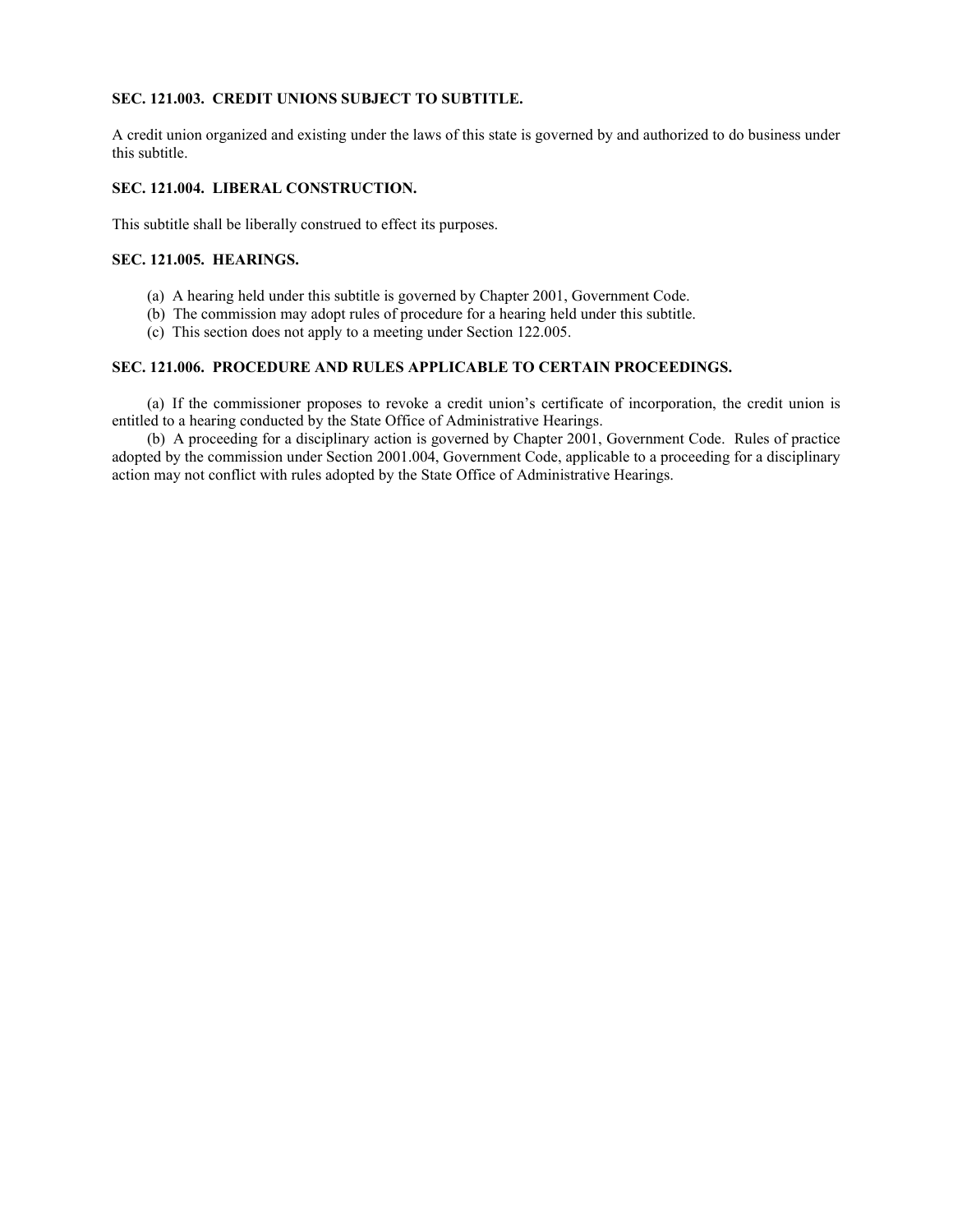## **SEC. 121.003. CREDIT UNIONS SUBJECT TO SUBTITLE.**

A credit union organized and existing under the laws of this state is governed by and authorized to do business under this subtitle.

## **SEC. 121.004. LIBERAL CONSTRUCTION.**

This subtitle shall be liberally construed to effect its purposes.

## **SEC. 121.005. HEARINGS.**

- (a) A hearing held under this subtitle is governed by Chapter 2001, Government Code.
- (b) The commission may adopt rules of procedure for a hearing held under this subtitle.
- (c) This section does not apply to a meeting under Section 122.005.

## **SEC. 121.006. PROCEDURE AND RULES APPLICABLE TO CERTAIN PROCEEDINGS.**

(a) If the commissioner proposes to revoke a credit union's certificate of incorporation, the credit union is entitled to a hearing conducted by the State Office of Administrative Hearings.

(b) A proceeding for a disciplinary action is governed by Chapter 2001, Government Code. Rules of practice adopted by the commission under Section 2001.004, Government Code, applicable to a proceeding for a disciplinary action may not conflict with rules adopted by the State Office of Administrative Hearings.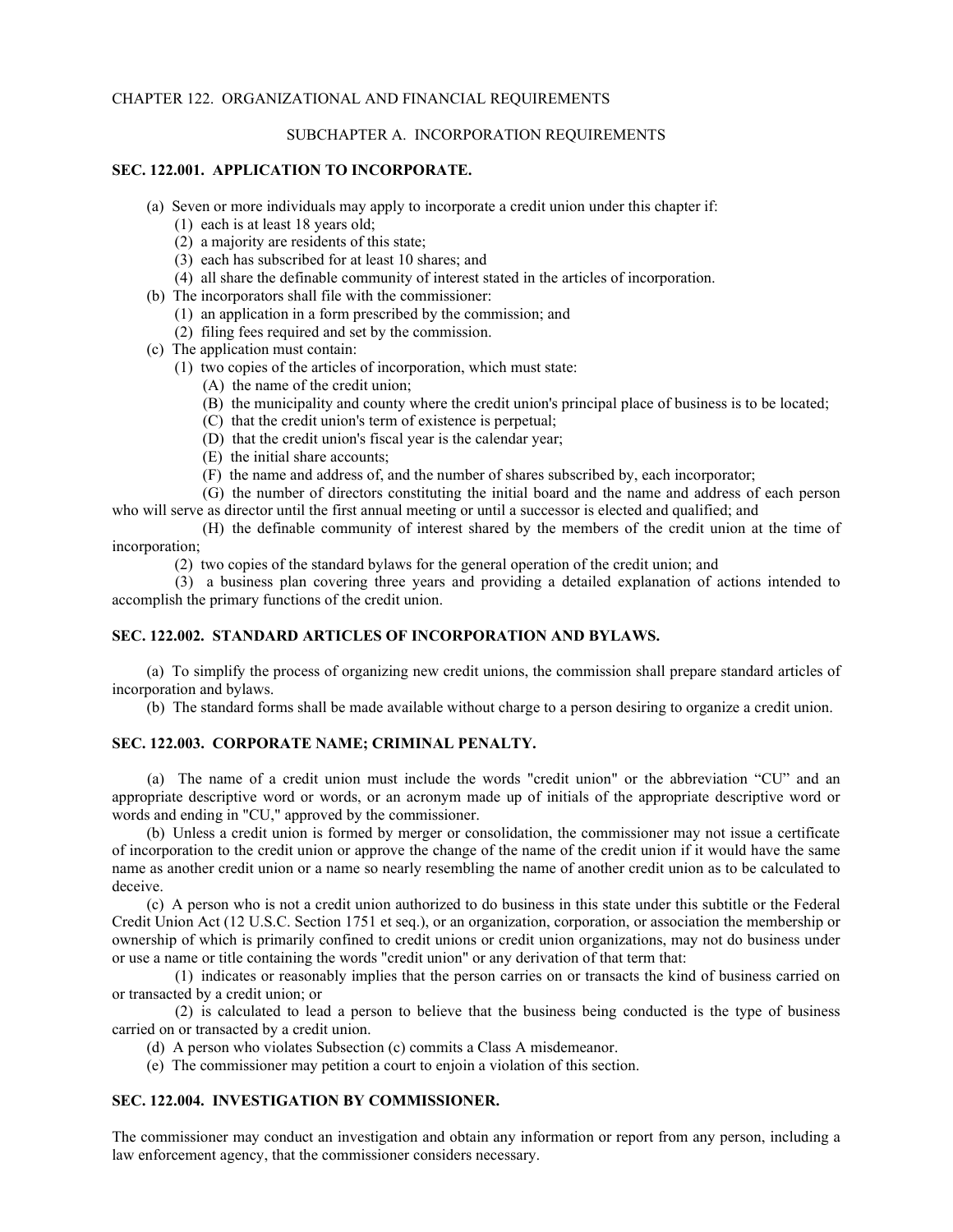## CHAPTER 122. ORGANIZATIONAL AND FINANCIAL REQUIREMENTS

## SUBCHAPTER A. INCORPORATION REQUIREMENTS

## **SEC. 122.001. APPLICATION TO INCORPORATE.**

- (a) Seven or more individuals may apply to incorporate a credit union under this chapter if:
	- (1) each is at least 18 years old;
	- (2) a majority are residents of this state;
	- (3) each has subscribed for at least 10 shares; and
	- (4) all share the definable community of interest stated in the articles of incorporation.
- (b) The incorporators shall file with the commissioner:
	- (1) an application in a form prescribed by the commission; and
	- (2) filing fees required and set by the commission.
- (c) The application must contain:
	- (1) two copies of the articles of incorporation, which must state:
		- (A) the name of the credit union;
		- (B) the municipality and county where the credit union's principal place of business is to be located;
		- (C) that the credit union's term of existence is perpetual;
		- (D) that the credit union's fiscal year is the calendar year;
		- (E) the initial share accounts;
		- (F) the name and address of, and the number of shares subscribed by, each incorporator;

(G) the number of directors constituting the initial board and the name and address of each person who will serve as director until the first annual meeting or until a successor is elected and qualified; and

(H) the definable community of interest shared by the members of the credit union at the time of incorporation;

(2) two copies of the standard bylaws for the general operation of the credit union; and

(3) a business plan covering three years and providing a detailed explanation of actions intended to accomplish the primary functions of the credit union.

## **SEC. 122.002. STANDARD ARTICLES OF INCORPORATION AND BYLAWS.**

(a) To simplify the process of organizing new credit unions, the commission shall prepare standard articles of incorporation and bylaws.

(b) The standard forms shall be made available without charge to a person desiring to organize a credit union.

## **SEC. 122.003. CORPORATE NAME; CRIMINAL PENALTY.**

(a) The name of a credit union must include the words "credit union" or the abbreviation "CU" and an appropriate descriptive word or words, or an acronym made up of initials of the appropriate descriptive word or words and ending in "CU," approved by the commissioner.

(b) Unless a credit union is formed by merger or consolidation, the commissioner may not issue a certificate of incorporation to the credit union or approve the change of the name of the credit union if it would have the same name as another credit union or a name so nearly resembling the name of another credit union as to be calculated to deceive.

(c) A person who is not a credit union authorized to do business in this state under this subtitle or the Federal Credit Union Act (12 U.S.C. Section 1751 et seq.), or an organization, corporation, or association the membership or ownership of which is primarily confined to credit unions or credit union organizations, may not do business under or use a name or title containing the words "credit union" or any derivation of that term that:

(1) indicates or reasonably implies that the person carries on or transacts the kind of business carried on or transacted by a credit union; or

(2) is calculated to lead a person to believe that the business being conducted is the type of business carried on or transacted by a credit union.

(d) A person who violates Subsection (c) commits a Class A misdemeanor.

(e) The commissioner may petition a court to enjoin a violation of this section.

## **SEC. 122.004. INVESTIGATION BY COMMISSIONER.**

The commissioner may conduct an investigation and obtain any information or report from any person, including a law enforcement agency, that the commissioner considers necessary.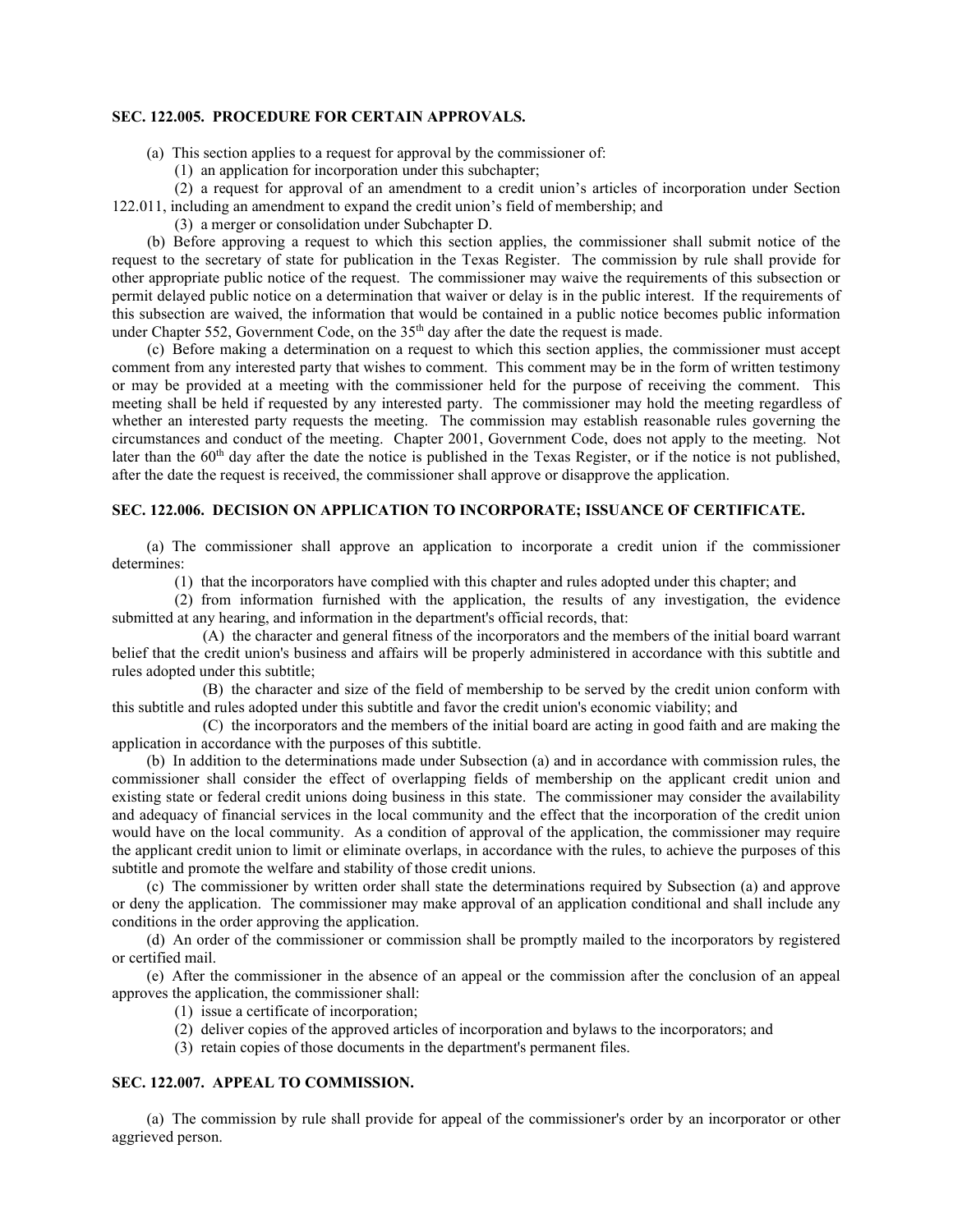#### **SEC. 122.005. PROCEDURE FOR CERTAIN APPROVALS.**

- (a) This section applies to a request for approval by the commissioner of:
	- (1) an application for incorporation under this subchapter;

(2) a request for approval of an amendment to a credit union's articles of incorporation under Section 122.011, including an amendment to expand the credit union's field of membership; and

(3) a merger or consolidation under Subchapter D.

(b) Before approving a request to which this section applies, the commissioner shall submit notice of the request to the secretary of state for publication in the Texas Register. The commission by rule shall provide for other appropriate public notice of the request. The commissioner may waive the requirements of this subsection or permit delayed public notice on a determination that waiver or delay is in the public interest. If the requirements of this subsection are waived, the information that would be contained in a public notice becomes public information under Chapter 552, Government Code, on the 35<sup>th</sup> day after the date the request is made.

(c) Before making a determination on a request to which this section applies, the commissioner must accept comment from any interested party that wishes to comment. This comment may be in the form of written testimony or may be provided at a meeting with the commissioner held for the purpose of receiving the comment. This meeting shall be held if requested by any interested party. The commissioner may hold the meeting regardless of whether an interested party requests the meeting. The commission may establish reasonable rules governing the circumstances and conduct of the meeting. Chapter 2001, Government Code, does not apply to the meeting. Not later than the  $60<sup>th</sup>$  day after the date the notice is published in the Texas Register, or if the notice is not published, after the date the request is received, the commissioner shall approve or disapprove the application.

## **SEC. 122.006. DECISION ON APPLICATION TO INCORPORATE; ISSUANCE OF CERTIFICATE.**

(a) The commissioner shall approve an application to incorporate a credit union if the commissioner determines:

(1) that the incorporators have complied with this chapter and rules adopted under this chapter; and

(2) from information furnished with the application, the results of any investigation, the evidence submitted at any hearing, and information in the department's official records, that:

(A) the character and general fitness of the incorporators and the members of the initial board warrant belief that the credit union's business and affairs will be properly administered in accordance with this subtitle and rules adopted under this subtitle;

(B) the character and size of the field of membership to be served by the credit union conform with this subtitle and rules adopted under this subtitle and favor the credit union's economic viability; and

(C) the incorporators and the members of the initial board are acting in good faith and are making the application in accordance with the purposes of this subtitle.

(b) In addition to the determinations made under Subsection (a) and in accordance with commission rules, the commissioner shall consider the effect of overlapping fields of membership on the applicant credit union and existing state or federal credit unions doing business in this state. The commissioner may consider the availability and adequacy of financial services in the local community and the effect that the incorporation of the credit union would have on the local community. As a condition of approval of the application, the commissioner may require the applicant credit union to limit or eliminate overlaps, in accordance with the rules, to achieve the purposes of this subtitle and promote the welfare and stability of those credit unions.

(c) The commissioner by written order shall state the determinations required by Subsection (a) and approve or deny the application. The commissioner may make approval of an application conditional and shall include any conditions in the order approving the application.

(d) An order of the commissioner or commission shall be promptly mailed to the incorporators by registered or certified mail.

(e) After the commissioner in the absence of an appeal or the commission after the conclusion of an appeal approves the application, the commissioner shall:

- (1) issue a certificate of incorporation;
- (2) deliver copies of the approved articles of incorporation and bylaws to the incorporators; and
- (3) retain copies of those documents in the department's permanent files.

### **SEC. 122.007. APPEAL TO COMMISSION.**

(a) The commission by rule shall provide for appeal of the commissioner's order by an incorporator or other aggrieved person.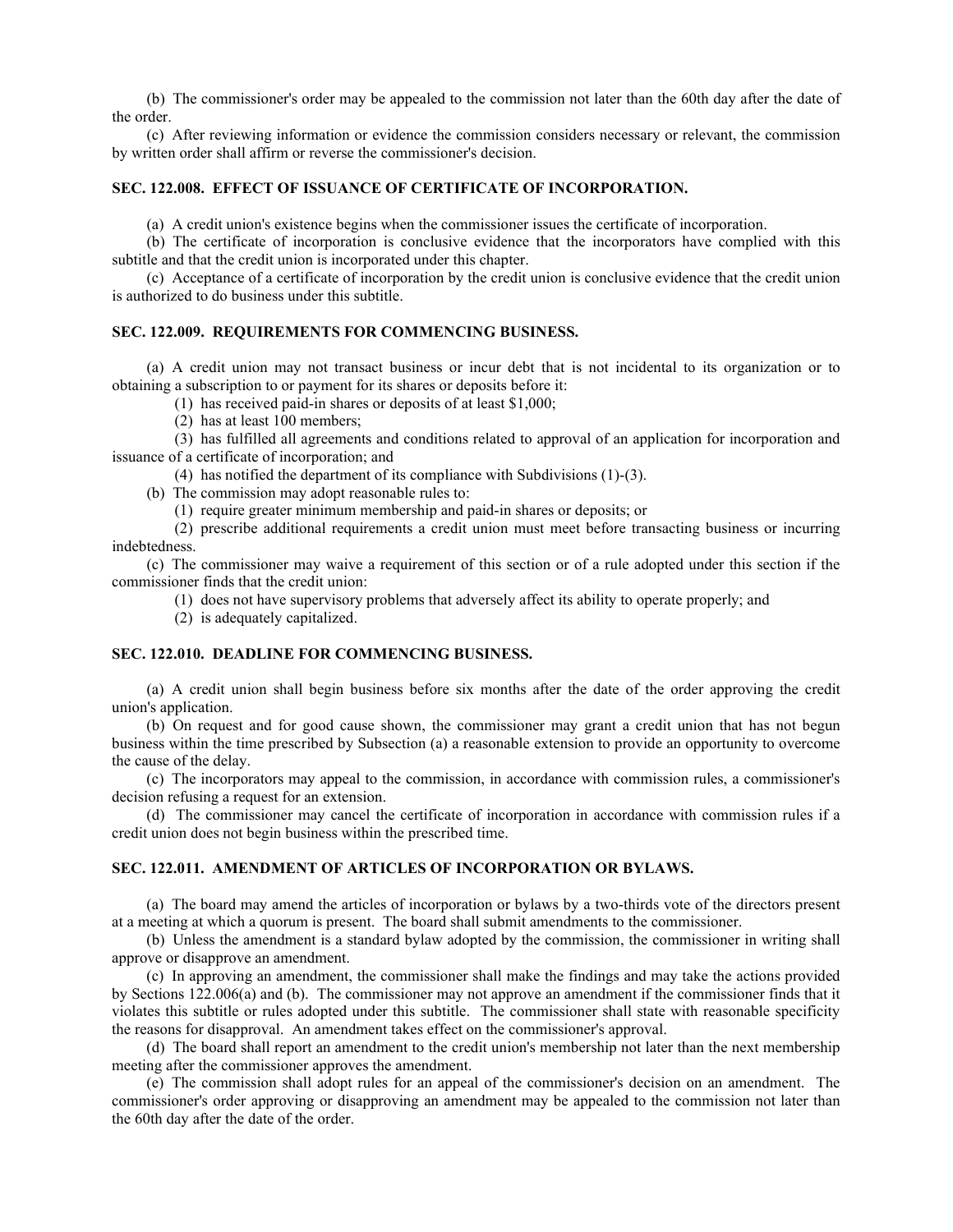(b) The commissioner's order may be appealed to the commission not later than the 60th day after the date of the order.

(c) After reviewing information or evidence the commission considers necessary or relevant, the commission by written order shall affirm or reverse the commissioner's decision.

## **SEC. 122.008. EFFECT OF ISSUANCE OF CERTIFICATE OF INCORPORATION.**

(a) A credit union's existence begins when the commissioner issues the certificate of incorporation.

(b) The certificate of incorporation is conclusive evidence that the incorporators have complied with this subtitle and that the credit union is incorporated under this chapter.

(c) Acceptance of a certificate of incorporation by the credit union is conclusive evidence that the credit union is authorized to do business under this subtitle.

## **SEC. 122.009. REQUIREMENTS FOR COMMENCING BUSINESS.**

(a) A credit union may not transact business or incur debt that is not incidental to its organization or to obtaining a subscription to or payment for its shares or deposits before it:

(1) has received paid-in shares or deposits of at least \$1,000;

(2) has at least 100 members;

(3) has fulfilled all agreements and conditions related to approval of an application for incorporation and issuance of a certificate of incorporation; and

(4) has notified the department of its compliance with Subdivisions (1)-(3).

(b) The commission may adopt reasonable rules to:

(1) require greater minimum membership and paid-in shares or deposits; or

(2) prescribe additional requirements a credit union must meet before transacting business or incurring indebtedness.

(c) The commissioner may waive a requirement of this section or of a rule adopted under this section if the commissioner finds that the credit union:

(1) does not have supervisory problems that adversely affect its ability to operate properly; and

(2) is adequately capitalized.

## **SEC. 122.010. DEADLINE FOR COMMENCING BUSINESS.**

(a) A credit union shall begin business before six months after the date of the order approving the credit union's application.

(b) On request and for good cause shown, the commissioner may grant a credit union that has not begun business within the time prescribed by Subsection (a) a reasonable extension to provide an opportunity to overcome the cause of the delay.

(c) The incorporators may appeal to the commission, in accordance with commission rules, a commissioner's decision refusing a request for an extension.

(d) The commissioner may cancel the certificate of incorporation in accordance with commission rules if a credit union does not begin business within the prescribed time.

## **SEC. 122.011. AMENDMENT OF ARTICLES OF INCORPORATION OR BYLAWS.**

(a) The board may amend the articles of incorporation or bylaws by a two-thirds vote of the directors present at a meeting at which a quorum is present. The board shall submit amendments to the commissioner.

(b) Unless the amendment is a standard bylaw adopted by the commission, the commissioner in writing shall approve or disapprove an amendment.

(c) In approving an amendment, the commissioner shall make the findings and may take the actions provided by Sections 122.006(a) and (b). The commissioner may not approve an amendment if the commissioner finds that it violates this subtitle or rules adopted under this subtitle. The commissioner shall state with reasonable specificity the reasons for disapproval. An amendment takes effect on the commissioner's approval.

(d) The board shall report an amendment to the credit union's membership not later than the next membership meeting after the commissioner approves the amendment.

(e) The commission shall adopt rules for an appeal of the commissioner's decision on an amendment. The commissioner's order approving or disapproving an amendment may be appealed to the commission not later than the 60th day after the date of the order.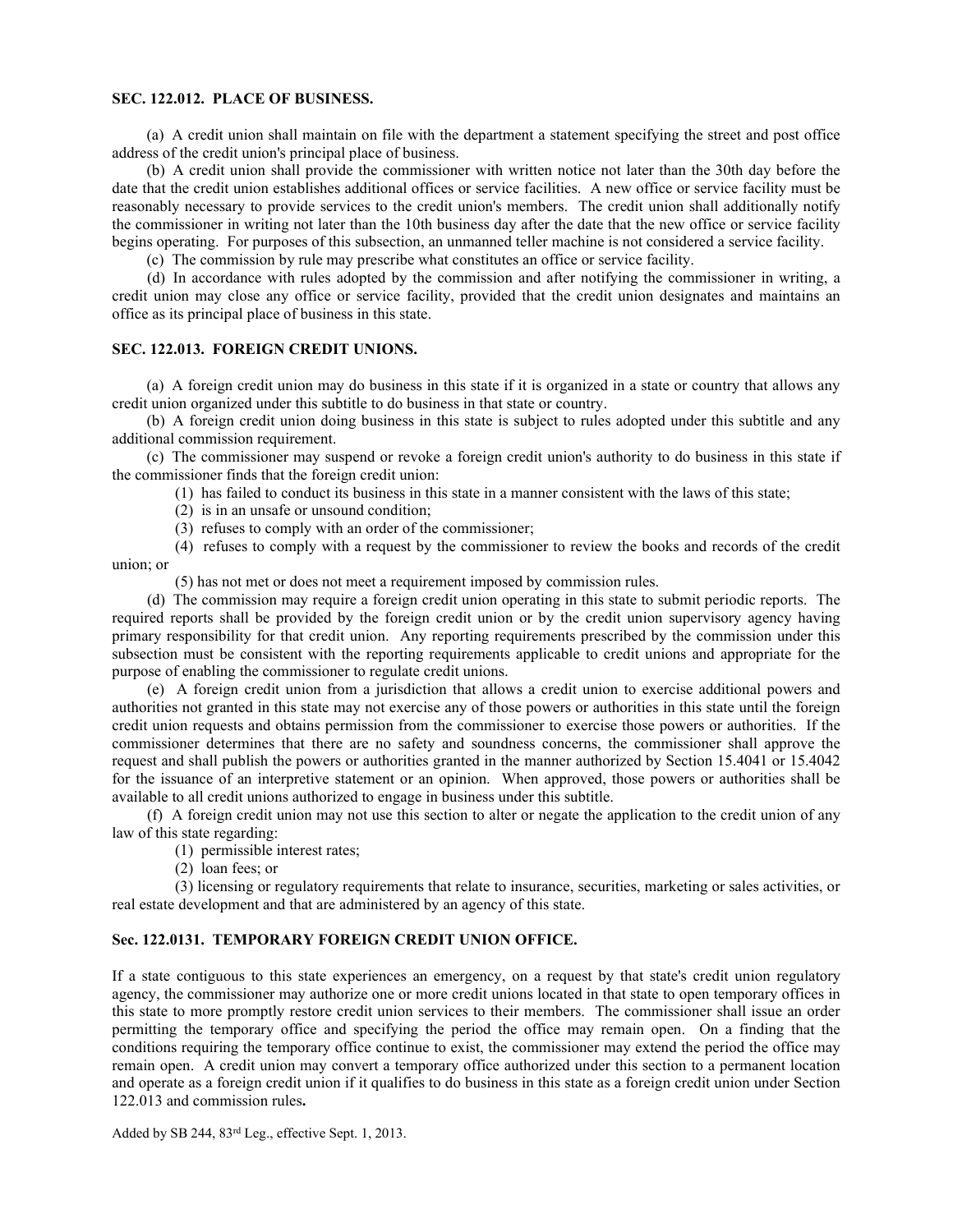#### **SEC. 122.012. PLACE OF BUSINESS.**

(a) A credit union shall maintain on file with the department a statement specifying the street and post office address of the credit union's principal place of business.

(b) A credit union shall provide the commissioner with written notice not later than the 30th day before the date that the credit union establishes additional offices or service facilities. A new office or service facility must be reasonably necessary to provide services to the credit union's members. The credit union shall additionally notify the commissioner in writing not later than the 10th business day after the date that the new office or service facility begins operating. For purposes of this subsection, an unmanned teller machine is not considered a service facility.

(c) The commission by rule may prescribe what constitutes an office or service facility.

 (d) In accordance with rules adopted by the commission and after notifying the commissioner in writing, a credit union may close any office or service facility, provided that the credit union designates and maintains an office as its principal place of business in this state.

#### **SEC. 122.013. FOREIGN CREDIT UNIONS.**

(a) A foreign credit union may do business in this state if it is organized in a state or country that allows any credit union organized under this subtitle to do business in that state or country.

(b) A foreign credit union doing business in this state is subject to rules adopted under this subtitle and any additional commission requirement.

(c) The commissioner may suspend or revoke a foreign credit union's authority to do business in this state if the commissioner finds that the foreign credit union:

(1) has failed to conduct its business in this state in a manner consistent with the laws of this state;

- (2) is in an unsafe or unsound condition;
- (3) refuses to comply with an order of the commissioner;

(4) refuses to comply with a request by the commissioner to review the books and records of the credit union; or

(5) has not met or does not meet a requirement imposed by commission rules.

(d) The commission may require a foreign credit union operating in this state to submit periodic reports. The required reports shall be provided by the foreign credit union or by the credit union supervisory agency having primary responsibility for that credit union. Any reporting requirements prescribed by the commission under this subsection must be consistent with the reporting requirements applicable to credit unions and appropriate for the purpose of enabling the commissioner to regulate credit unions.

(e) A foreign credit union from a jurisdiction that allows a credit union to exercise additional powers and authorities not granted in this state may not exercise any of those powers or authorities in this state until the foreign credit union requests and obtains permission from the commissioner to exercise those powers or authorities. If the commissioner determines that there are no safety and soundness concerns, the commissioner shall approve the request and shall publish the powers or authorities granted in the manner authorized by Section 15.4041 or 15.4042 for the issuance of an interpretive statement or an opinion. When approved, those powers or authorities shall be available to all credit unions authorized to engage in business under this subtitle.

(f) A foreign credit union may not use this section to alter or negate the application to the credit union of any law of this state regarding:

- (1) permissible interest rates;
- (2) loan fees; or

(3) licensing or regulatory requirements that relate to insurance, securities, marketing or sales activities, or real estate development and that are administered by an agency of this state.

#### **Sec. 122.0131. TEMPORARY FOREIGN CREDIT UNION OFFICE.**

If a state contiguous to this state experiences an emergency, on a request by that state's credit union regulatory agency, the commissioner may authorize one or more credit unions located in that state to open temporary offices in this state to more promptly restore credit union services to their members. The commissioner shall issue an order permitting the temporary office and specifying the period the office may remain open. On a finding that the conditions requiring the temporary office continue to exist, the commissioner may extend the period the office may remain open. A credit union may convert a temporary office authorized under this section to a permanent location and operate as a foreign credit union if it qualifies to do business in this state as a foreign credit union under Section 122.013 and commission rules**.**

Added by SB 244, 83rd Leg., effective Sept. 1, 2013.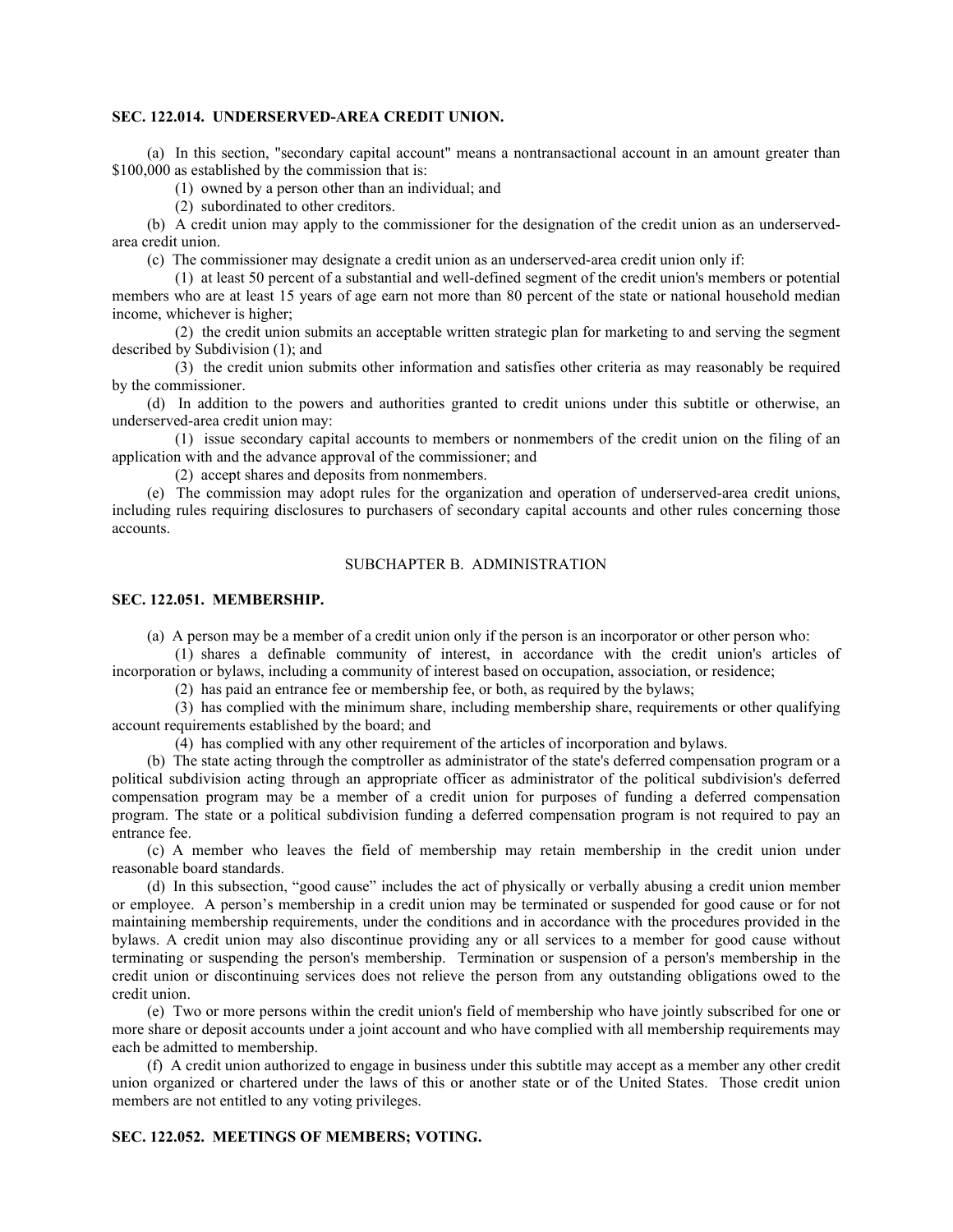#### **SEC. 122.014. UNDERSERVED-AREA CREDIT UNION.**

(a) In this section, "secondary capital account" means a nontransactional account in an amount greater than \$100,000 as established by the commission that is:

(1) owned by a person other than an individual; and

(2) subordinated to other creditors.

(b) A credit union may apply to the commissioner for the designation of the credit union as an underservedarea credit union.

(c) The commissioner may designate a credit union as an underserved-area credit union only if:

(1) at least 50 percent of a substantial and well-defined segment of the credit union's members or potential members who are at least 15 years of age earn not more than 80 percent of the state or national household median income, whichever is higher;

(2) the credit union submits an acceptable written strategic plan for marketing to and serving the segment described by Subdivision (1); and

(3) the credit union submits other information and satisfies other criteria as may reasonably be required by the commissioner.

(d) In addition to the powers and authorities granted to credit unions under this subtitle or otherwise, an underserved-area credit union may:

(1) issue secondary capital accounts to members or nonmembers of the credit union on the filing of an application with and the advance approval of the commissioner; and

(2) accept shares and deposits from nonmembers.

(e) The commission may adopt rules for the organization and operation of underserved-area credit unions, including rules requiring disclosures to purchasers of secondary capital accounts and other rules concerning those accounts.

## SUBCHAPTER B. ADMINISTRATION

#### **SEC. 122.051. MEMBERSHIP.**

(a) A person may be a member of a credit union only if the person is an incorporator or other person who:

(1) shares a definable community of interest, in accordance with the credit union's articles of incorporation or bylaws, including a community of interest based on occupation, association, or residence;

(2) has paid an entrance fee or membership fee, or both, as required by the bylaws;

(3) has complied with the minimum share, including membership share, requirements or other qualifying account requirements established by the board; and

(4) has complied with any other requirement of the articles of incorporation and bylaws.

(b) The state acting through the comptroller as administrator of the state's deferred compensation program or a political subdivision acting through an appropriate officer as administrator of the political subdivision's deferred compensation program may be a member of a credit union for purposes of funding a deferred compensation program. The state or a political subdivision funding a deferred compensation program is not required to pay an entrance fee.

(c) A member who leaves the field of membership may retain membership in the credit union under reasonable board standards.

(d) In this subsection, "good cause" includes the act of physically or verbally abusing a credit union member or employee. A person's membership in a credit union may be terminated or suspended for good cause or for not maintaining membership requirements, under the conditions and in accordance with the procedures provided in the bylaws. A credit union may also discontinue providing any or all services to a member for good cause without terminating or suspending the person's membership. Termination or suspension of a person's membership in the credit union or discontinuing services does not relieve the person from any outstanding obligations owed to the credit union.

(e) Two or more persons within the credit union's field of membership who have jointly subscribed for one or more share or deposit accounts under a joint account and who have complied with all membership requirements may each be admitted to membership.

(f) A credit union authorized to engage in business under this subtitle may accept as a member any other credit union organized or chartered under the laws of this or another state or of the United States. Those credit union members are not entitled to any voting privileges.

## **SEC. 122.052. MEETINGS OF MEMBERS; VOTING.**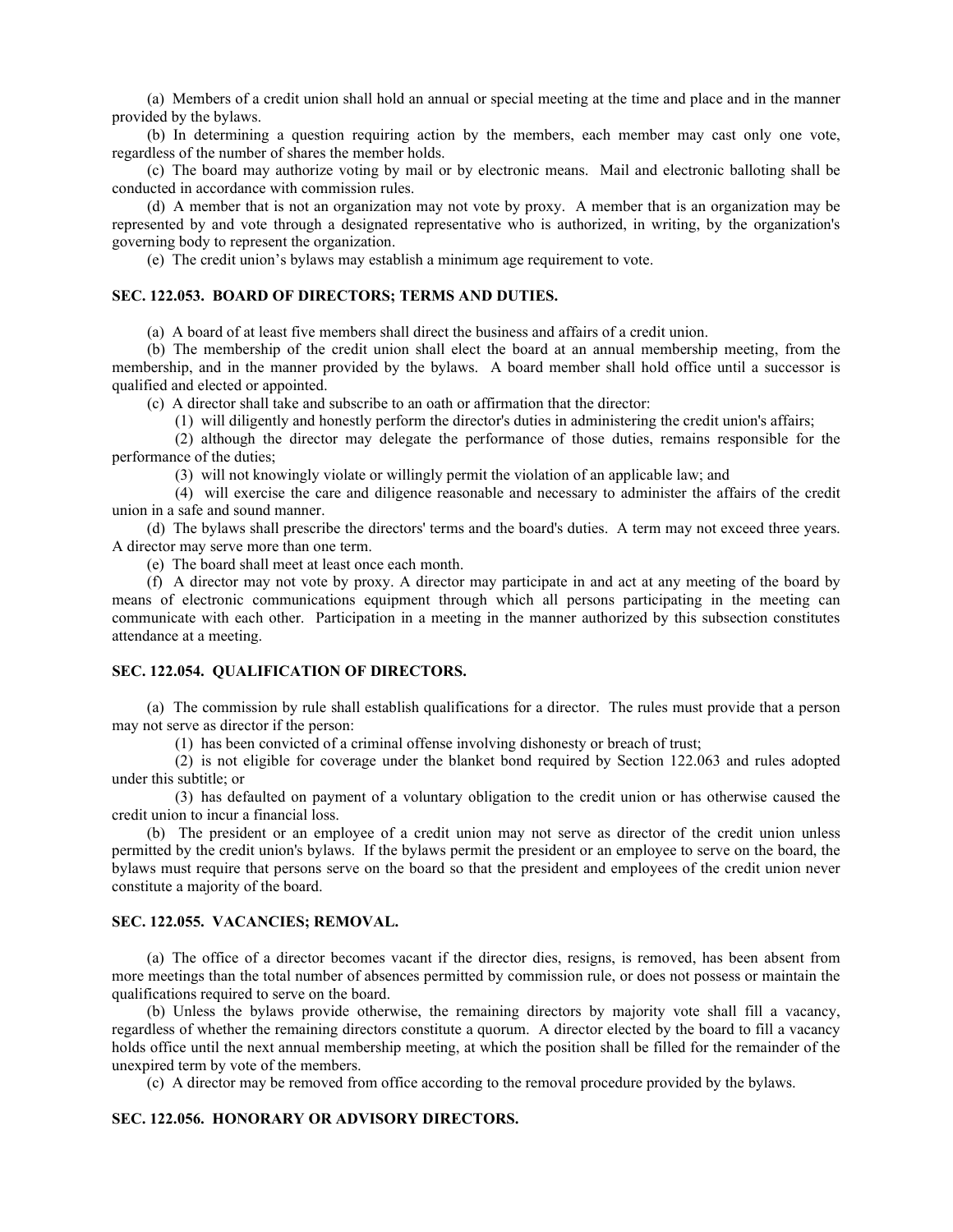(a) Members of a credit union shall hold an annual or special meeting at the time and place and in the manner provided by the bylaws.

(b) In determining a question requiring action by the members, each member may cast only one vote, regardless of the number of shares the member holds.

(c) The board may authorize voting by mail or by electronic means. Mail and electronic balloting shall be conducted in accordance with commission rules.

(d) A member that is not an organization may not vote by proxy. A member that is an organization may be represented by and vote through a designated representative who is authorized, in writing, by the organization's governing body to represent the organization.

(e) The credit union's bylaws may establish a minimum age requirement to vote.

## **SEC. 122.053. BOARD OF DIRECTORS; TERMS AND DUTIES.**

(a) A board of at least five members shall direct the business and affairs of a credit union.

(b) The membership of the credit union shall elect the board at an annual membership meeting, from the membership, and in the manner provided by the bylaws. A board member shall hold office until a successor is qualified and elected or appointed.

(c) A director shall take and subscribe to an oath or affirmation that the director:

(1) will diligently and honestly perform the director's duties in administering the credit union's affairs;

(2) although the director may delegate the performance of those duties, remains responsible for the performance of the duties;

(3) will not knowingly violate or willingly permit the violation of an applicable law; and

(4) will exercise the care and diligence reasonable and necessary to administer the affairs of the credit union in a safe and sound manner.

(d) The bylaws shall prescribe the directors' terms and the board's duties. A term may not exceed three years. A director may serve more than one term.

(e) The board shall meet at least once each month.

(f) A director may not vote by proxy. A director may participate in and act at any meeting of the board by means of electronic communications equipment through which all persons participating in the meeting can communicate with each other. Participation in a meeting in the manner authorized by this subsection constitutes attendance at a meeting.

## **SEC. 122.054. QUALIFICATION OF DIRECTORS.**

(a) The commission by rule shall establish qualifications for a director. The rules must provide that a person may not serve as director if the person:

(1) has been convicted of a criminal offense involving dishonesty or breach of trust;

(2) is not eligible for coverage under the blanket bond required by Section 122.063 and rules adopted under this subtitle; or

(3) has defaulted on payment of a voluntary obligation to the credit union or has otherwise caused the credit union to incur a financial loss.

(b) The president or an employee of a credit union may not serve as director of the credit union unless permitted by the credit union's bylaws. If the bylaws permit the president or an employee to serve on the board, the bylaws must require that persons serve on the board so that the president and employees of the credit union never constitute a majority of the board.

## **SEC. 122.055. VACANCIES; REMOVAL.**

(a) The office of a director becomes vacant if the director dies, resigns, is removed, has been absent from more meetings than the total number of absences permitted by commission rule, or does not possess or maintain the qualifications required to serve on the board.

(b) Unless the bylaws provide otherwise, the remaining directors by majority vote shall fill a vacancy, regardless of whether the remaining directors constitute a quorum. A director elected by the board to fill a vacancy holds office until the next annual membership meeting, at which the position shall be filled for the remainder of the unexpired term by vote of the members.

(c) A director may be removed from office according to the removal procedure provided by the bylaws.

## **SEC. 122.056. HONORARY OR ADVISORY DIRECTORS.**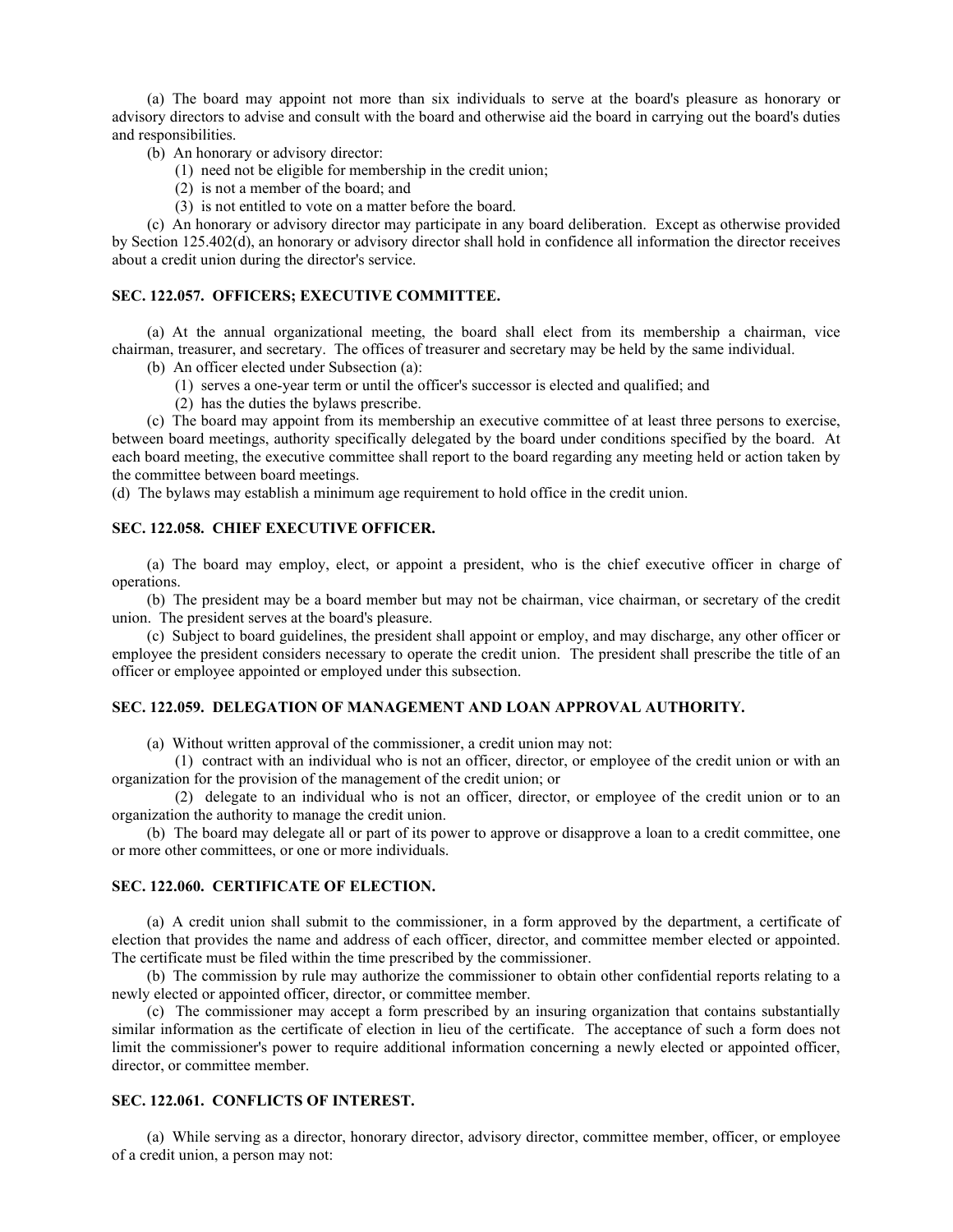(a) The board may appoint not more than six individuals to serve at the board's pleasure as honorary or advisory directors to advise and consult with the board and otherwise aid the board in carrying out the board's duties and responsibilities.

(b) An honorary or advisory director:

- (1) need not be eligible for membership in the credit union;
- (2) is not a member of the board; and
- (3) is not entitled to vote on a matter before the board.

(c) An honorary or advisory director may participate in any board deliberation. Except as otherwise provided by Section 125.402(d), an honorary or advisory director shall hold in confidence all information the director receives about a credit union during the director's service.

#### **SEC. 122.057. OFFICERS; EXECUTIVE COMMITTEE.**

(a) At the annual organizational meeting, the board shall elect from its membership a chairman, vice chairman, treasurer, and secretary. The offices of treasurer and secretary may be held by the same individual.

- (b) An officer elected under Subsection (a):
	- (1) serves a one-year term or until the officer's successor is elected and qualified; and
	- (2) has the duties the bylaws prescribe.

(c) The board may appoint from its membership an executive committee of at least three persons to exercise, between board meetings, authority specifically delegated by the board under conditions specified by the board. At each board meeting, the executive committee shall report to the board regarding any meeting held or action taken by the committee between board meetings.

(d) The bylaws may establish a minimum age requirement to hold office in the credit union.

## **SEC. 122.058. CHIEF EXECUTIVE OFFICER.**

(a) The board may employ, elect, or appoint a president, who is the chief executive officer in charge of operations.

(b) The president may be a board member but may not be chairman, vice chairman, or secretary of the credit union. The president serves at the board's pleasure.

(c) Subject to board guidelines, the president shall appoint or employ, and may discharge, any other officer or employee the president considers necessary to operate the credit union. The president shall prescribe the title of an officer or employee appointed or employed under this subsection.

#### **SEC. 122.059. DELEGATION OF MANAGEMENT AND LOAN APPROVAL AUTHORITY.**

(a) Without written approval of the commissioner, a credit union may not:

(1) contract with an individual who is not an officer, director, or employee of the credit union or with an organization for the provision of the management of the credit union; or

(2) delegate to an individual who is not an officer, director, or employee of the credit union or to an organization the authority to manage the credit union.

(b) The board may delegate all or part of its power to approve or disapprove a loan to a credit committee, one or more other committees, or one or more individuals.

#### **SEC. 122.060. CERTIFICATE OF ELECTION.**

(a) A credit union shall submit to the commissioner, in a form approved by the department, a certificate of election that provides the name and address of each officer, director, and committee member elected or appointed. The certificate must be filed within the time prescribed by the commissioner.

(b) The commission by rule may authorize the commissioner to obtain other confidential reports relating to a newly elected or appointed officer, director, or committee member.

(c) The commissioner may accept a form prescribed by an insuring organization that contains substantially similar information as the certificate of election in lieu of the certificate. The acceptance of such a form does not limit the commissioner's power to require additional information concerning a newly elected or appointed officer, director, or committee member.

#### **SEC. 122.061. CONFLICTS OF INTEREST.**

(a) While serving as a director, honorary director, advisory director, committee member, officer, or employee of a credit union, a person may not: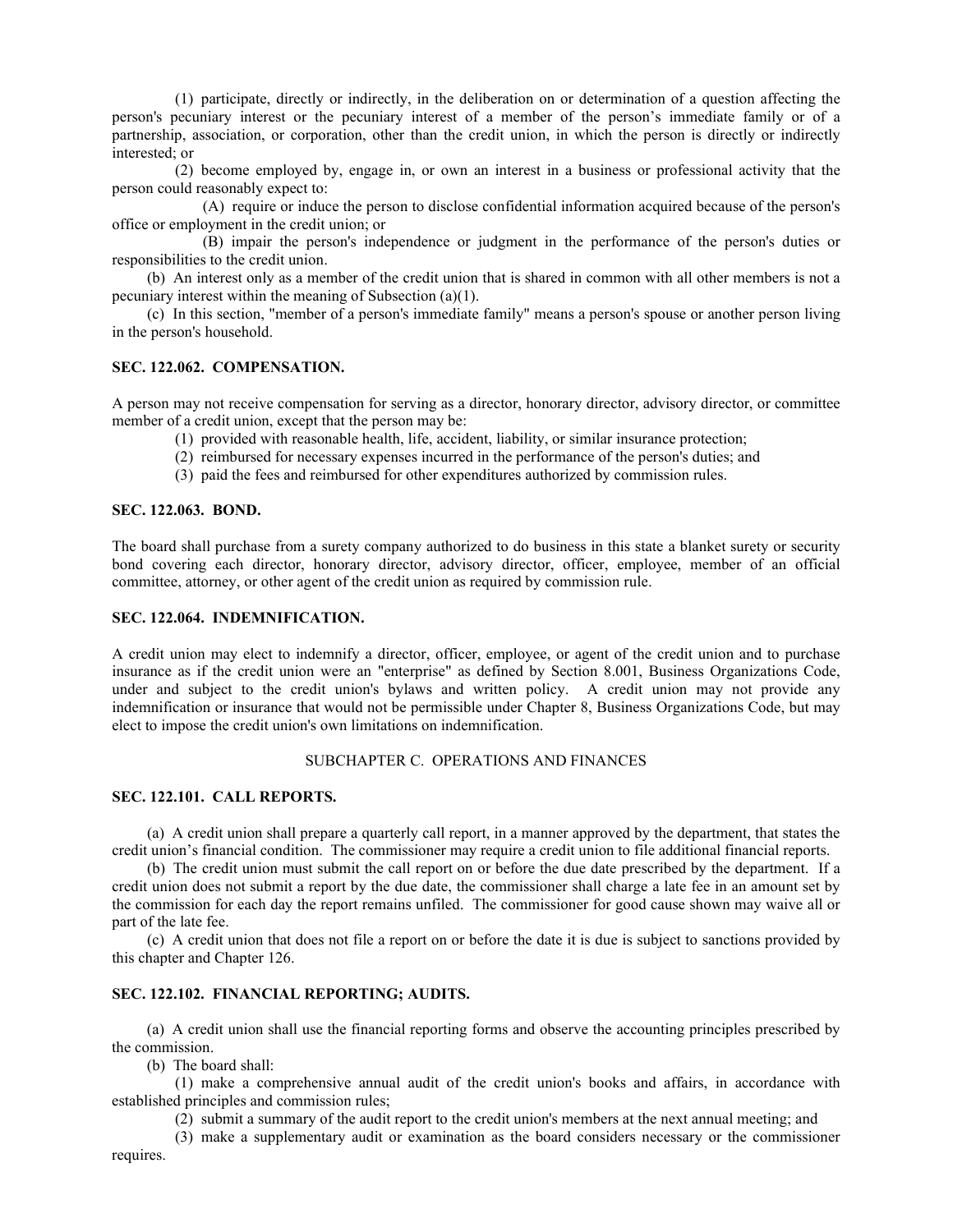(1) participate, directly or indirectly, in the deliberation on or determination of a question affecting the person's pecuniary interest or the pecuniary interest of a member of the person's immediate family or of a partnership, association, or corporation, other than the credit union, in which the person is directly or indirectly interested; or

(2) become employed by, engage in, or own an interest in a business or professional activity that the person could reasonably expect to:

(A) require or induce the person to disclose confidential information acquired because of the person's office or employment in the credit union; or

(B) impair the person's independence or judgment in the performance of the person's duties or responsibilities to the credit union.

(b) An interest only as a member of the credit union that is shared in common with all other members is not a pecuniary interest within the meaning of Subsection (a)(1).

(c) In this section, "member of a person's immediate family" means a person's spouse or another person living in the person's household.

## **SEC. 122.062. COMPENSATION.**

A person may not receive compensation for serving as a director, honorary director, advisory director, or committee member of a credit union, except that the person may be:

- (1) provided with reasonable health, life, accident, liability, or similar insurance protection;
- (2) reimbursed for necessary expenses incurred in the performance of the person's duties; and
- (3) paid the fees and reimbursed for other expenditures authorized by commission rules.

#### **SEC. 122.063. BOND.**

The board shall purchase from a surety company authorized to do business in this state a blanket surety or security bond covering each director, honorary director, advisory director, officer, employee, member of an official committee, attorney, or other agent of the credit union as required by commission rule.

#### **SEC. 122.064. INDEMNIFICATION.**

A credit union may elect to indemnify a director, officer, employee, or agent of the credit union and to purchase insurance as if the credit union were an "enterprise" as defined by Section 8.001, Business Organizations Code, under and subject to the credit union's bylaws and written policy. A credit union may not provide any indemnification or insurance that would not be permissible under Chapter 8, Business Organizations Code, but may elect to impose the credit union's own limitations on indemnification.

## SUBCHAPTER C. OPERATIONS AND FINANCES

## **SEC. 122.101. CALL REPORTS.**

(a) A credit union shall prepare a quarterly call report, in a manner approved by the department, that states the credit union's financial condition. The commissioner may require a credit union to file additional financial reports.

(b) The credit union must submit the call report on or before the due date prescribed by the department. If a credit union does not submit a report by the due date, the commissioner shall charge a late fee in an amount set by the commission for each day the report remains unfiled. The commissioner for good cause shown may waive all or part of the late fee.

(c) A credit union that does not file a report on or before the date it is due is subject to sanctions provided by this chapter and Chapter 126.

## **SEC. 122.102. FINANCIAL REPORTING; AUDITS.**

(a) A credit union shall use the financial reporting forms and observe the accounting principles prescribed by the commission.

(b) The board shall:

(1) make a comprehensive annual audit of the credit union's books and affairs, in accordance with established principles and commission rules;

(2) submit a summary of the audit report to the credit union's members at the next annual meeting; and

(3) make a supplementary audit or examination as the board considers necessary or the commissioner requires.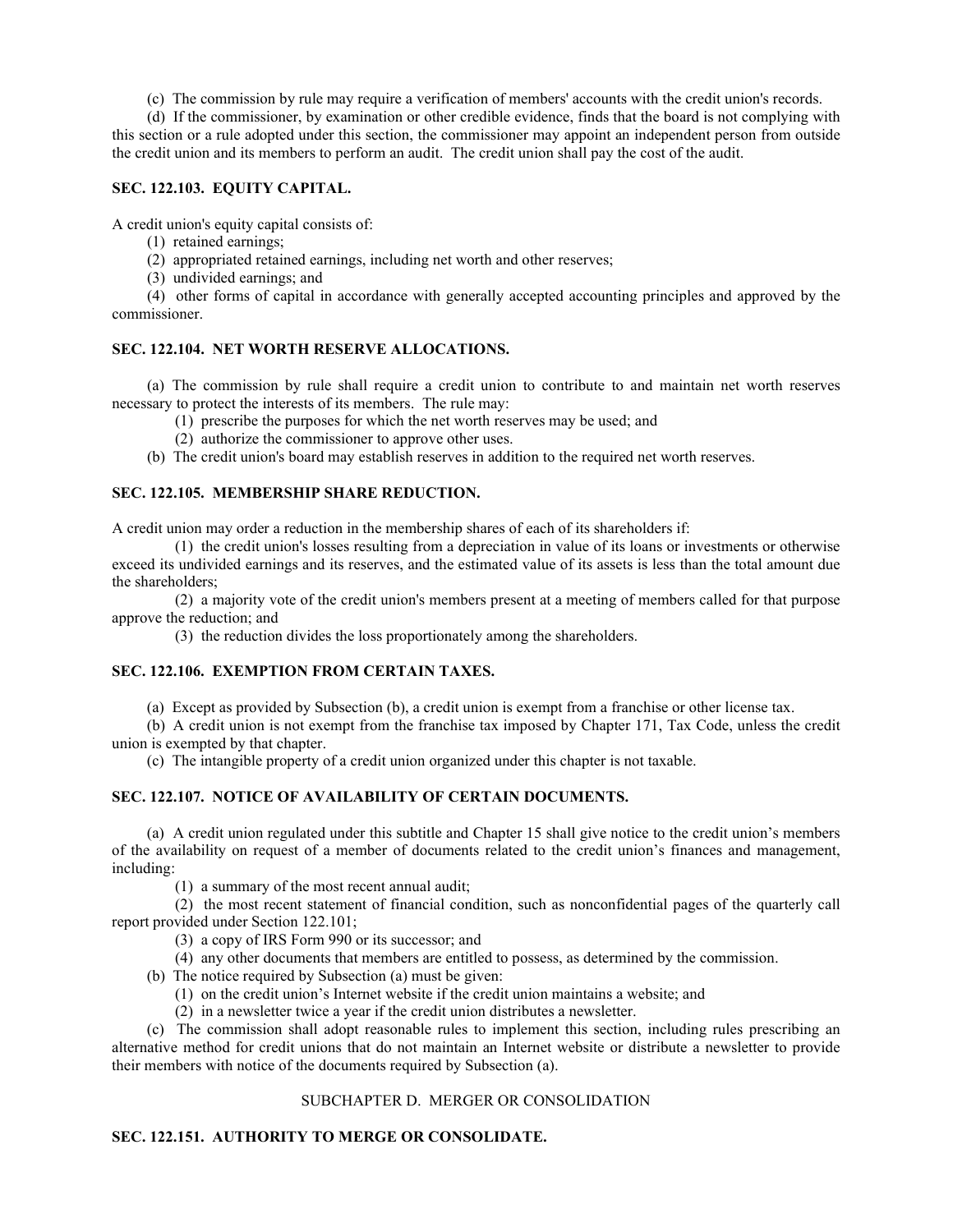(c) The commission by rule may require a verification of members' accounts with the credit union's records.

(d) If the commissioner, by examination or other credible evidence, finds that the board is not complying with this section or a rule adopted under this section, the commissioner may appoint an independent person from outside the credit union and its members to perform an audit. The credit union shall pay the cost of the audit.

## **SEC. 122.103. EQUITY CAPITAL.**

A credit union's equity capital consists of:

- (1) retained earnings;
- (2) appropriated retained earnings, including net worth and other reserves;
- (3) undivided earnings; and

(4) other forms of capital in accordance with generally accepted accounting principles and approved by the commissioner.

## **SEC. 122.104. NET WORTH RESERVE ALLOCATIONS.**

(a) The commission by rule shall require a credit union to contribute to and maintain net worth reserves necessary to protect the interests of its members. The rule may:

- (1) prescribe the purposes for which the net worth reserves may be used; and
- (2) authorize the commissioner to approve other uses.
- (b) The credit union's board may establish reserves in addition to the required net worth reserves.

## **SEC. 122.105. MEMBERSHIP SHARE REDUCTION.**

A credit union may order a reduction in the membership shares of each of its shareholders if:

(1) the credit union's losses resulting from a depreciation in value of its loans or investments or otherwise exceed its undivided earnings and its reserves, and the estimated value of its assets is less than the total amount due the shareholders;

(2) a majority vote of the credit union's members present at a meeting of members called for that purpose approve the reduction; and

(3) the reduction divides the loss proportionately among the shareholders.

## **SEC. 122.106. EXEMPTION FROM CERTAIN TAXES.**

(a) Except as provided by Subsection (b), a credit union is exempt from a franchise or other license tax.

(b) A credit union is not exempt from the franchise tax imposed by Chapter 171, Tax Code, unless the credit union is exempted by that chapter.

(c) The intangible property of a credit union organized under this chapter is not taxable.

## **SEC. 122.107. NOTICE OF AVAILABILITY OF CERTAIN DOCUMENTS.**

(a) A credit union regulated under this subtitle and Chapter 15 shall give notice to the credit union's members of the availability on request of a member of documents related to the credit union's finances and management, including:

(1) a summary of the most recent annual audit;

(2) the most recent statement of financial condition, such as nonconfidential pages of the quarterly call report provided under Section 122.101;

- (3) a copy of IRS Form 990 or its successor; and
- (4) any other documents that members are entitled to possess, as determined by the commission.
- (b) The notice required by Subsection (a) must be given:
	- (1) on the credit union's Internet website if the credit union maintains a website; and
	- (2) in a newsletter twice a year if the credit union distributes a newsletter.

(c) The commission shall adopt reasonable rules to implement this section, including rules prescribing an alternative method for credit unions that do not maintain an Internet website or distribute a newsletter to provide their members with notice of the documents required by Subsection (a).

## SUBCHAPTER D. MERGER OR CONSOLIDATION

## **SEC. 122.151. AUTHORITY TO MERGE OR CONSOLIDATE.**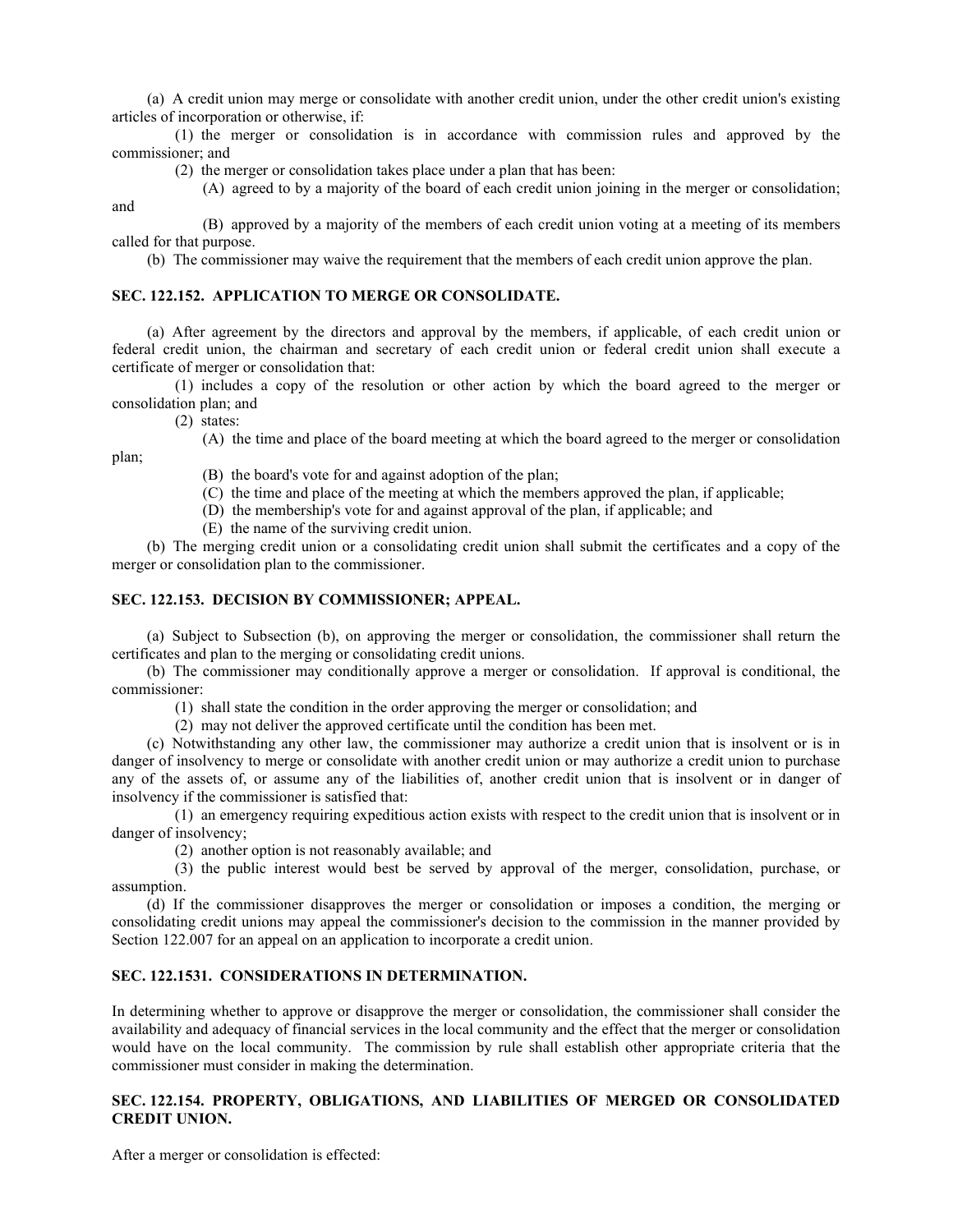(a) A credit union may merge or consolidate with another credit union, under the other credit union's existing articles of incorporation or otherwise, if:

(1) the merger or consolidation is in accordance with commission rules and approved by the commissioner; and

(2) the merger or consolidation takes place under a plan that has been:

(A) agreed to by a majority of the board of each credit union joining in the merger or consolidation;

(B) approved by a majority of the members of each credit union voting at a meeting of its members called for that purpose.

(b) The commissioner may waive the requirement that the members of each credit union approve the plan.

## **SEC. 122.152. APPLICATION TO MERGE OR CONSOLIDATE.**

(a) After agreement by the directors and approval by the members, if applicable, of each credit union or federal credit union, the chairman and secretary of each credit union or federal credit union shall execute a certificate of merger or consolidation that:

(1) includes a copy of the resolution or other action by which the board agreed to the merger or consolidation plan; and

(2) states:

and

plan;

(A) the time and place of the board meeting at which the board agreed to the merger or consolidation

- (B) the board's vote for and against adoption of the plan;
- (C) the time and place of the meeting at which the members approved the plan, if applicable;
- (D) the membership's vote for and against approval of the plan, if applicable; and
- (E) the name of the surviving credit union.

(b) The merging credit union or a consolidating credit union shall submit the certificates and a copy of the merger or consolidation plan to the commissioner.

## **SEC. 122.153. DECISION BY COMMISSIONER; APPEAL.**

(a) Subject to Subsection (b), on approving the merger or consolidation, the commissioner shall return the certificates and plan to the merging or consolidating credit unions.

(b) The commissioner may conditionally approve a merger or consolidation. If approval is conditional, the commissioner:

(1) shall state the condition in the order approving the merger or consolidation; and

(2) may not deliver the approved certificate until the condition has been met.

(c) Notwithstanding any other law, the commissioner may authorize a credit union that is insolvent or is in danger of insolvency to merge or consolidate with another credit union or may authorize a credit union to purchase any of the assets of, or assume any of the liabilities of, another credit union that is insolvent or in danger of insolvency if the commissioner is satisfied that:

(1) an emergency requiring expeditious action exists with respect to the credit union that is insolvent or in danger of insolvency;

(2) another option is not reasonably available; and

(3) the public interest would best be served by approval of the merger, consolidation, purchase, or assumption.

(d) If the commissioner disapproves the merger or consolidation or imposes a condition, the merging or consolidating credit unions may appeal the commissioner's decision to the commission in the manner provided by Section 122.007 for an appeal on an application to incorporate a credit union.

## **SEC. 122.1531. CONSIDERATIONS IN DETERMINATION.**

In determining whether to approve or disapprove the merger or consolidation, the commissioner shall consider the availability and adequacy of financial services in the local community and the effect that the merger or consolidation would have on the local community. The commission by rule shall establish other appropriate criteria that the commissioner must consider in making the determination.

## **SEC. 122.154. PROPERTY, OBLIGATIONS, AND LIABILITIES OF MERGED OR CONSOLIDATED CREDIT UNION.**

After a merger or consolidation is effected: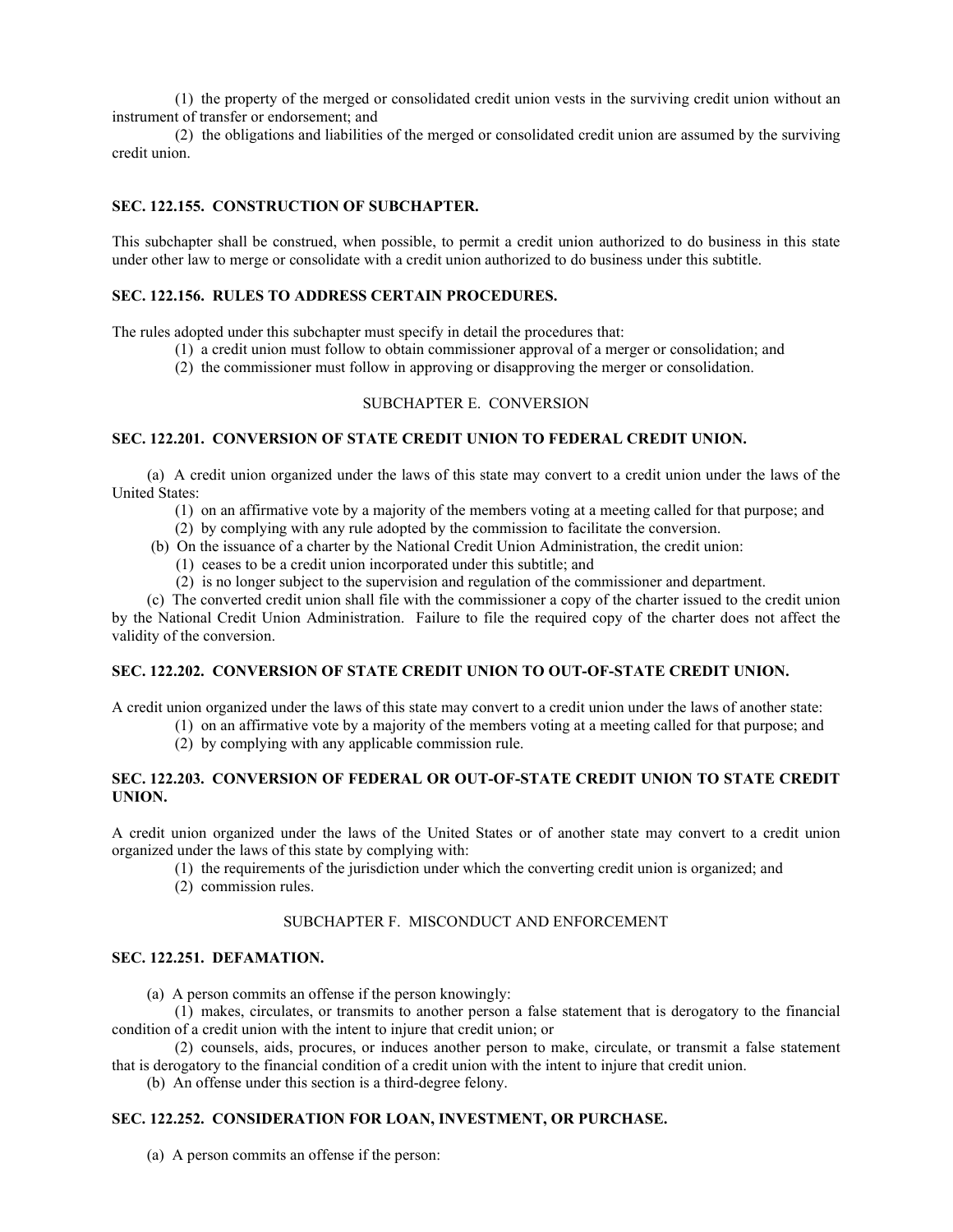(1) the property of the merged or consolidated credit union vests in the surviving credit union without an instrument of transfer or endorsement; and

(2) the obligations and liabilities of the merged or consolidated credit union are assumed by the surviving credit union.

## **SEC. 122.155. CONSTRUCTION OF SUBCHAPTER.**

This subchapter shall be construed, when possible, to permit a credit union authorized to do business in this state under other law to merge or consolidate with a credit union authorized to do business under this subtitle.

## **SEC. 122.156. RULES TO ADDRESS CERTAIN PROCEDURES.**

The rules adopted under this subchapter must specify in detail the procedures that:

- (1) a credit union must follow to obtain commissioner approval of a merger or consolidation; and
	- (2) the commissioner must follow in approving or disapproving the merger or consolidation.

## SUBCHAPTER E. CONVERSION

#### **SEC. 122.201. CONVERSION OF STATE CREDIT UNION TO FEDERAL CREDIT UNION.**

(a) A credit union organized under the laws of this state may convert to a credit union under the laws of the United States:

- (1) on an affirmative vote by a majority of the members voting at a meeting called for that purpose; and
- (2) by complying with any rule adopted by the commission to facilitate the conversion.
- (b) On the issuance of a charter by the National Credit Union Administration, the credit union:
	- (1) ceases to be a credit union incorporated under this subtitle; and
	- (2) is no longer subject to the supervision and regulation of the commissioner and department.

(c) The converted credit union shall file with the commissioner a copy of the charter issued to the credit union by the National Credit Union Administration. Failure to file the required copy of the charter does not affect the validity of the conversion.

## **SEC. 122.202. CONVERSION OF STATE CREDIT UNION TO OUT-OF-STATE CREDIT UNION.**

A credit union organized under the laws of this state may convert to a credit union under the laws of another state:

- (1) on an affirmative vote by a majority of the members voting at a meeting called for that purpose; and
- (2) by complying with any applicable commission rule.

## **SEC. 122.203. CONVERSION OF FEDERAL OR OUT-OF-STATE CREDIT UNION TO STATE CREDIT UNION.**

A credit union organized under the laws of the United States or of another state may convert to a credit union organized under the laws of this state by complying with:

- (1) the requirements of the jurisdiction under which the converting credit union is organized; and
- (2) commission rules.

## SUBCHAPTER F. MISCONDUCT AND ENFORCEMENT

#### **SEC. 122.251. DEFAMATION.**

(a) A person commits an offense if the person knowingly:

(1) makes, circulates, or transmits to another person a false statement that is derogatory to the financial condition of a credit union with the intent to injure that credit union; or

(2) counsels, aids, procures, or induces another person to make, circulate, or transmit a false statement that is derogatory to the financial condition of a credit union with the intent to injure that credit union.

(b) An offense under this section is a third-degree felony.

## **SEC. 122.252. CONSIDERATION FOR LOAN, INVESTMENT, OR PURCHASE.**

(a) A person commits an offense if the person: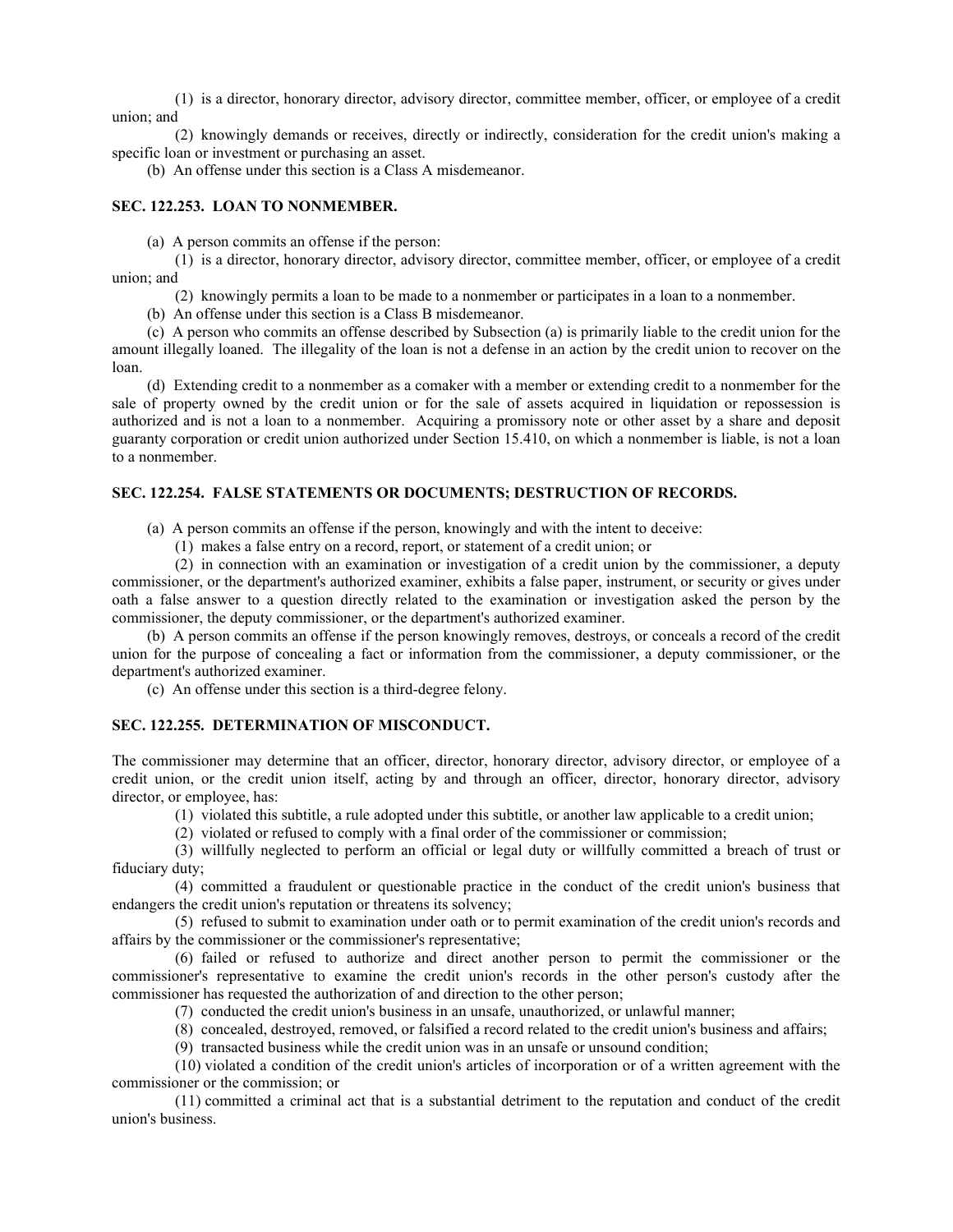(1) is a director, honorary director, advisory director, committee member, officer, or employee of a credit union; and

(2) knowingly demands or receives, directly or indirectly, consideration for the credit union's making a specific loan or investment or purchasing an asset.

(b) An offense under this section is a Class A misdemeanor.

## **SEC. 122.253. LOAN TO NONMEMBER.**

(a) A person commits an offense if the person:

(1) is a director, honorary director, advisory director, committee member, officer, or employee of a credit union; and

(2) knowingly permits a loan to be made to a nonmember or participates in a loan to a nonmember.

(b) An offense under this section is a Class B misdemeanor.

(c) A person who commits an offense described by Subsection (a) is primarily liable to the credit union for the amount illegally loaned. The illegality of the loan is not a defense in an action by the credit union to recover on the loan.

(d) Extending credit to a nonmember as a comaker with a member or extending credit to a nonmember for the sale of property owned by the credit union or for the sale of assets acquired in liquidation or repossession is authorized and is not a loan to a nonmember. Acquiring a promissory note or other asset by a share and deposit guaranty corporation or credit union authorized under Section 15.410, on which a nonmember is liable, is not a loan to a nonmember.

#### **SEC. 122.254. FALSE STATEMENTS OR DOCUMENTS; DESTRUCTION OF RECORDS.**

(a) A person commits an offense if the person, knowingly and with the intent to deceive:

(1) makes a false entry on a record, report, or statement of a credit union; or

(2) in connection with an examination or investigation of a credit union by the commissioner, a deputy commissioner, or the department's authorized examiner, exhibits a false paper, instrument, or security or gives under oath a false answer to a question directly related to the examination or investigation asked the person by the commissioner, the deputy commissioner, or the department's authorized examiner.

(b) A person commits an offense if the person knowingly removes, destroys, or conceals a record of the credit union for the purpose of concealing a fact or information from the commissioner, a deputy commissioner, or the department's authorized examiner.

(c) An offense under this section is a third-degree felony.

## **SEC. 122.255. DETERMINATION OF MISCONDUCT.**

The commissioner may determine that an officer, director, honorary director, advisory director, or employee of a credit union, or the credit union itself, acting by and through an officer, director, honorary director, advisory director, or employee, has:

(1) violated this subtitle, a rule adopted under this subtitle, or another law applicable to a credit union;

(2) violated or refused to comply with a final order of the commissioner or commission;

(3) willfully neglected to perform an official or legal duty or willfully committed a breach of trust or fiduciary duty;

(4) committed a fraudulent or questionable practice in the conduct of the credit union's business that endangers the credit union's reputation or threatens its solvency;

(5) refused to submit to examination under oath or to permit examination of the credit union's records and affairs by the commissioner or the commissioner's representative;

(6) failed or refused to authorize and direct another person to permit the commissioner or the commissioner's representative to examine the credit union's records in the other person's custody after the commissioner has requested the authorization of and direction to the other person;

(7) conducted the credit union's business in an unsafe, unauthorized, or unlawful manner;

(8) concealed, destroyed, removed, or falsified a record related to the credit union's business and affairs;

(9) transacted business while the credit union was in an unsafe or unsound condition;

(10) violated a condition of the credit union's articles of incorporation or of a written agreement with the commissioner or the commission; or

(11) committed a criminal act that is a substantial detriment to the reputation and conduct of the credit union's business.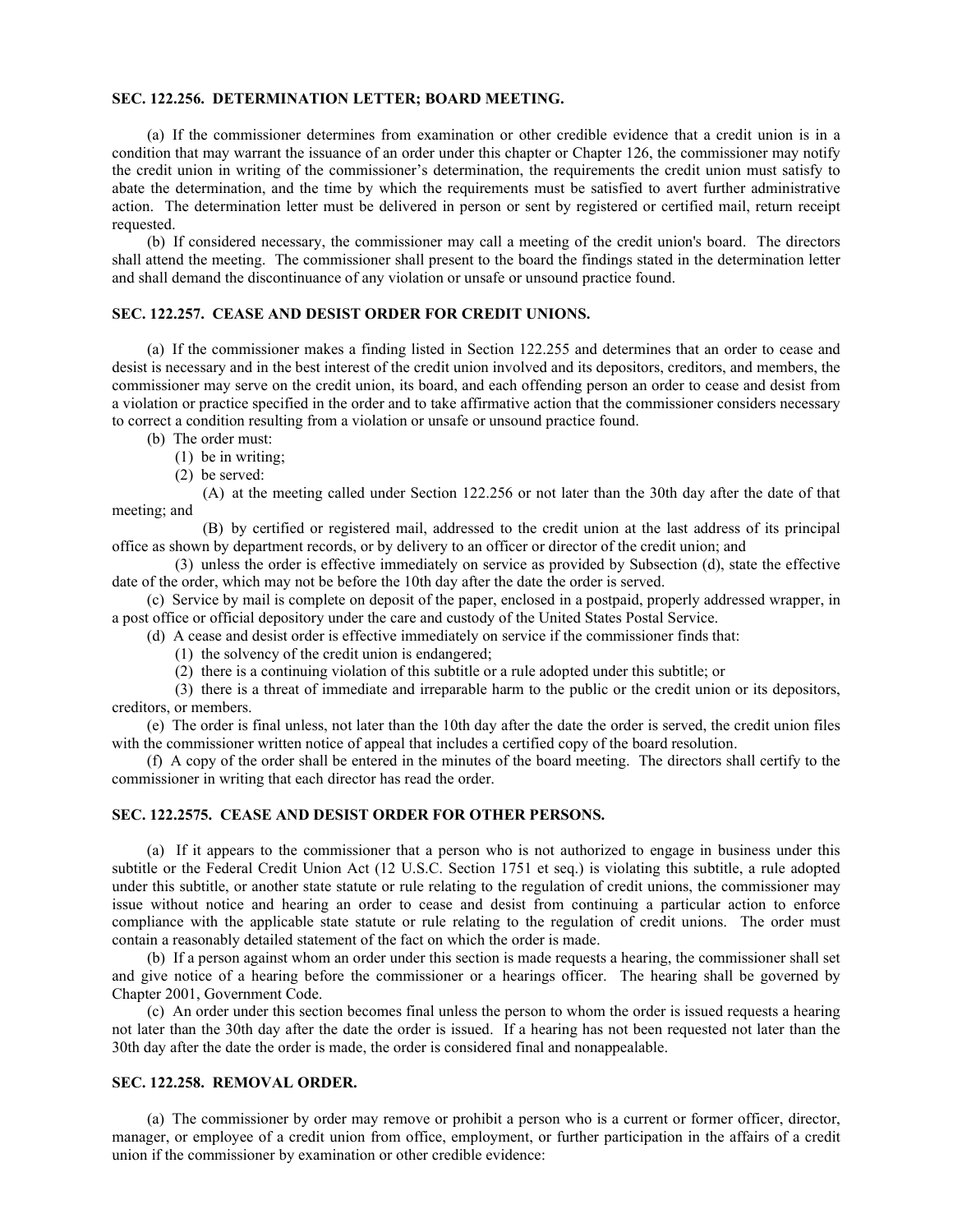#### **SEC. 122.256. DETERMINATION LETTER; BOARD MEETING.**

(a) If the commissioner determines from examination or other credible evidence that a credit union is in a condition that may warrant the issuance of an order under this chapter or Chapter 126, the commissioner may notify the credit union in writing of the commissioner's determination, the requirements the credit union must satisfy to abate the determination, and the time by which the requirements must be satisfied to avert further administrative action. The determination letter must be delivered in person or sent by registered or certified mail, return receipt requested.

(b) If considered necessary, the commissioner may call a meeting of the credit union's board. The directors shall attend the meeting. The commissioner shall present to the board the findings stated in the determination letter and shall demand the discontinuance of any violation or unsafe or unsound practice found.

### **SEC. 122.257. CEASE AND DESIST ORDER FOR CREDIT UNIONS.**

(a) If the commissioner makes a finding listed in Section 122.255 and determines that an order to cease and desist is necessary and in the best interest of the credit union involved and its depositors, creditors, and members, the commissioner may serve on the credit union, its board, and each offending person an order to cease and desist from a violation or practice specified in the order and to take affirmative action that the commissioner considers necessary to correct a condition resulting from a violation or unsafe or unsound practice found.

- (b) The order must:
	- (1) be in writing;
	- (2) be served:

(A) at the meeting called under Section 122.256 or not later than the 30th day after the date of that meeting; and

(B) by certified or registered mail, addressed to the credit union at the last address of its principal office as shown by department records, or by delivery to an officer or director of the credit union; and

(3) unless the order is effective immediately on service as provided by Subsection (d), state the effective date of the order, which may not be before the 10th day after the date the order is served.

(c) Service by mail is complete on deposit of the paper, enclosed in a postpaid, properly addressed wrapper, in a post office or official depository under the care and custody of the United States Postal Service.

(d) A cease and desist order is effective immediately on service if the commissioner finds that:

- (1) the solvency of the credit union is endangered;
- (2) there is a continuing violation of this subtitle or a rule adopted under this subtitle; or

(3) there is a threat of immediate and irreparable harm to the public or the credit union or its depositors, creditors, or members.

(e) The order is final unless, not later than the 10th day after the date the order is served, the credit union files with the commissioner written notice of appeal that includes a certified copy of the board resolution.

(f) A copy of the order shall be entered in the minutes of the board meeting. The directors shall certify to the commissioner in writing that each director has read the order.

## **SEC. 122.2575. CEASE AND DESIST ORDER FOR OTHER PERSONS.**

(a) If it appears to the commissioner that a person who is not authorized to engage in business under this subtitle or the Federal Credit Union Act (12 U.S.C. Section 1751 et seq.) is violating this subtitle, a rule adopted under this subtitle, or another state statute or rule relating to the regulation of credit unions, the commissioner may issue without notice and hearing an order to cease and desist from continuing a particular action to enforce compliance with the applicable state statute or rule relating to the regulation of credit unions. The order must contain a reasonably detailed statement of the fact on which the order is made.

(b) If a person against whom an order under this section is made requests a hearing, the commissioner shall set and give notice of a hearing before the commissioner or a hearings officer. The hearing shall be governed by Chapter 2001, Government Code.

(c) An order under this section becomes final unless the person to whom the order is issued requests a hearing not later than the 30th day after the date the order is issued. If a hearing has not been requested not later than the 30th day after the date the order is made, the order is considered final and nonappealable.

#### **SEC. 122.258. REMOVAL ORDER.**

(a) The commissioner by order may remove or prohibit a person who is a current or former officer, director, manager, or employee of a credit union from office, employment, or further participation in the affairs of a credit union if the commissioner by examination or other credible evidence: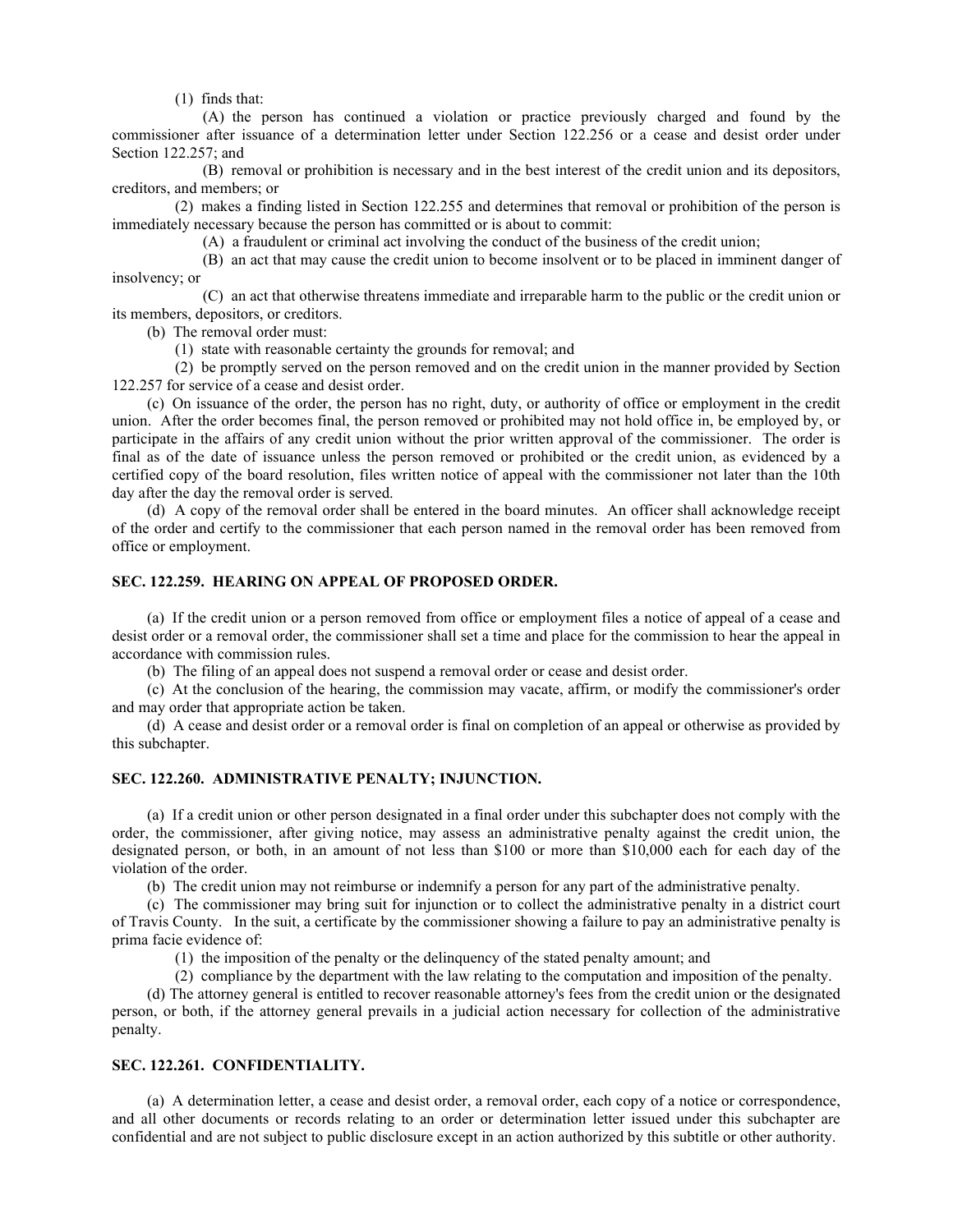(1) finds that:

(A) the person has continued a violation or practice previously charged and found by the commissioner after issuance of a determination letter under Section 122.256 or a cease and desist order under Section 122.257; and

(B) removal or prohibition is necessary and in the best interest of the credit union and its depositors, creditors, and members; or

(2) makes a finding listed in Section 122.255 and determines that removal or prohibition of the person is immediately necessary because the person has committed or is about to commit:

(A) a fraudulent or criminal act involving the conduct of the business of the credit union;

(B) an act that may cause the credit union to become insolvent or to be placed in imminent danger of insolvency; or

(C) an act that otherwise threatens immediate and irreparable harm to the public or the credit union or its members, depositors, or creditors.

(b) The removal order must:

(1) state with reasonable certainty the grounds for removal; and

(2) be promptly served on the person removed and on the credit union in the manner provided by Section 122.257 for service of a cease and desist order.

(c) On issuance of the order, the person has no right, duty, or authority of office or employment in the credit union. After the order becomes final, the person removed or prohibited may not hold office in, be employed by, or participate in the affairs of any credit union without the prior written approval of the commissioner. The order is final as of the date of issuance unless the person removed or prohibited or the credit union, as evidenced by a certified copy of the board resolution, files written notice of appeal with the commissioner not later than the 10th day after the day the removal order is served.

(d) A copy of the removal order shall be entered in the board minutes. An officer shall acknowledge receipt of the order and certify to the commissioner that each person named in the removal order has been removed from office or employment.

## **SEC. 122.259. HEARING ON APPEAL OF PROPOSED ORDER.**

(a) If the credit union or a person removed from office or employment files a notice of appeal of a cease and desist order or a removal order, the commissioner shall set a time and place for the commission to hear the appeal in accordance with commission rules.

(b) The filing of an appeal does not suspend a removal order or cease and desist order.

(c) At the conclusion of the hearing, the commission may vacate, affirm, or modify the commissioner's order and may order that appropriate action be taken.

(d) A cease and desist order or a removal order is final on completion of an appeal or otherwise as provided by this subchapter.

## **SEC. 122.260. ADMINISTRATIVE PENALTY; INJUNCTION.**

(a) If a credit union or other person designated in a final order under this subchapter does not comply with the order, the commissioner, after giving notice, may assess an administrative penalty against the credit union, the designated person, or both, in an amount of not less than \$100 or more than \$10,000 each for each day of the violation of the order.

(b) The credit union may not reimburse or indemnify a person for any part of the administrative penalty.

(c) The commissioner may bring suit for injunction or to collect the administrative penalty in a district court of Travis County. In the suit, a certificate by the commissioner showing a failure to pay an administrative penalty is prima facie evidence of:

(1) the imposition of the penalty or the delinquency of the stated penalty amount; and

(2) compliance by the department with the law relating to the computation and imposition of the penalty.

(d) The attorney general is entitled to recover reasonable attorney's fees from the credit union or the designated person, or both, if the attorney general prevails in a judicial action necessary for collection of the administrative penalty.

## **SEC. 122.261. CONFIDENTIALITY.**

(a) A determination letter, a cease and desist order, a removal order, each copy of a notice or correspondence, and all other documents or records relating to an order or determination letter issued under this subchapter are confidential and are not subject to public disclosure except in an action authorized by this subtitle or other authority.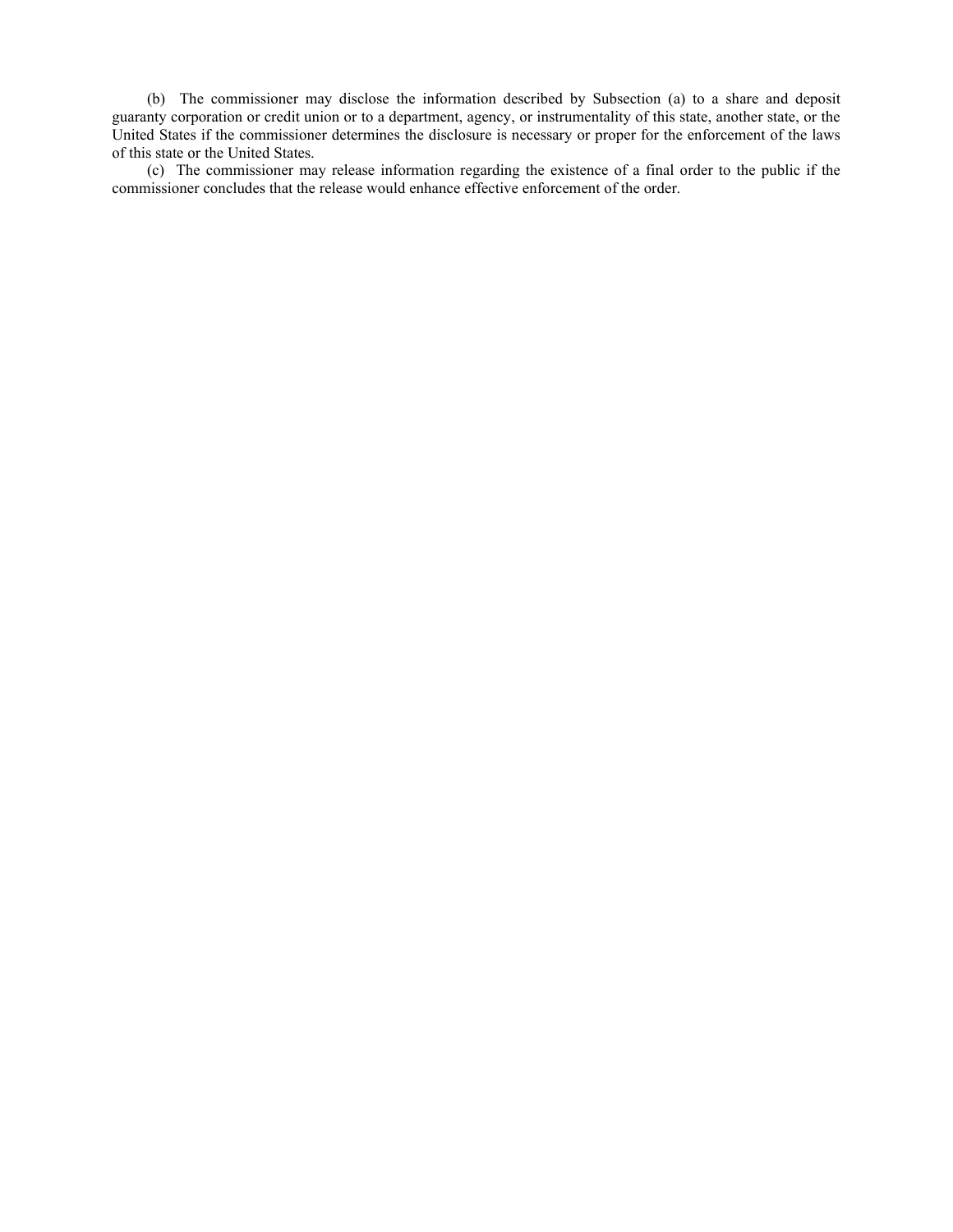(b) The commissioner may disclose the information described by Subsection (a) to a share and deposit guaranty corporation or credit union or to a department, agency, or instrumentality of this state, another state, or the United States if the commissioner determines the disclosure is necessary or proper for the enforcement of the laws of this state or the United States.

(c) The commissioner may release information regarding the existence of a final order to the public if the commissioner concludes that the release would enhance effective enforcement of the order.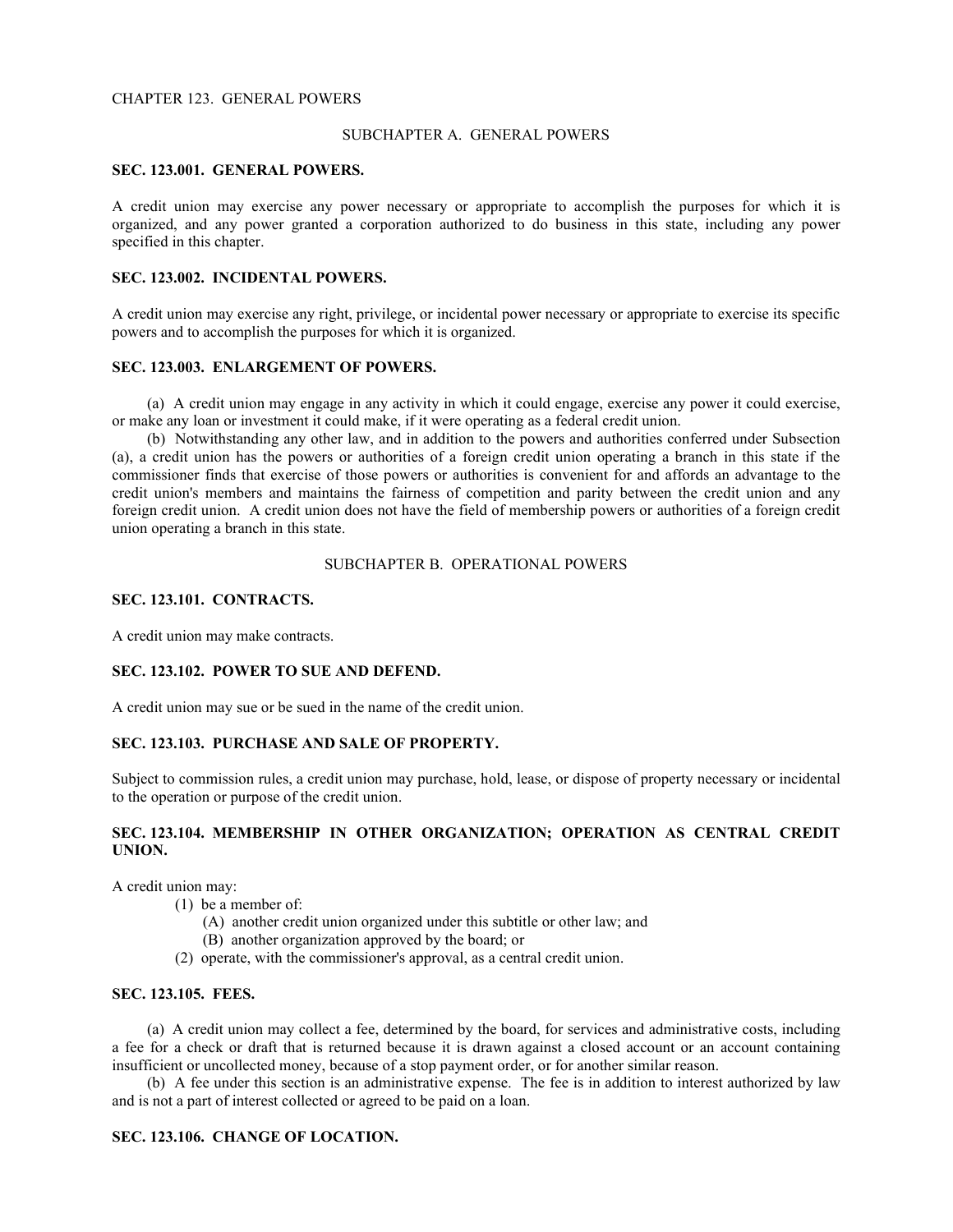#### CHAPTER 123. GENERAL POWERS

#### SUBCHAPTER A. GENERAL POWERS

## **SEC. 123.001. GENERAL POWERS.**

A credit union may exercise any power necessary or appropriate to accomplish the purposes for which it is organized, and any power granted a corporation authorized to do business in this state, including any power specified in this chapter.

## **SEC. 123.002. INCIDENTAL POWERS.**

A credit union may exercise any right, privilege, or incidental power necessary or appropriate to exercise its specific powers and to accomplish the purposes for which it is organized.

#### **SEC. 123.003. ENLARGEMENT OF POWERS.**

(a) A credit union may engage in any activity in which it could engage, exercise any power it could exercise, or make any loan or investment it could make, if it were operating as a federal credit union.

(b) Notwithstanding any other law, and in addition to the powers and authorities conferred under Subsection (a), a credit union has the powers or authorities of a foreign credit union operating a branch in this state if the commissioner finds that exercise of those powers or authorities is convenient for and affords an advantage to the credit union's members and maintains the fairness of competition and parity between the credit union and any foreign credit union. A credit union does not have the field of membership powers or authorities of a foreign credit union operating a branch in this state.

## SUBCHAPTER B. OPERATIONAL POWERS

## **SEC. 123.101. CONTRACTS.**

A credit union may make contracts.

## **SEC. 123.102. POWER TO SUE AND DEFEND.**

A credit union may sue or be sued in the name of the credit union.

## **SEC. 123.103. PURCHASE AND SALE OF PROPERTY.**

Subject to commission rules, a credit union may purchase, hold, lease, or dispose of property necessary or incidental to the operation or purpose of the credit union.

## **SEC. 123.104. MEMBERSHIP IN OTHER ORGANIZATION; OPERATION AS CENTRAL CREDIT UNION.**

A credit union may:

- (1) be a member of:
	- (A) another credit union organized under this subtitle or other law; and
	- (B) another organization approved by the board; or
- (2) operate, with the commissioner's approval, as a central credit union.

## **SEC. 123.105. FEES.**

(a) A credit union may collect a fee, determined by the board, for services and administrative costs, including a fee for a check or draft that is returned because it is drawn against a closed account or an account containing insufficient or uncollected money, because of a stop payment order, or for another similar reason.

(b) A fee under this section is an administrative expense. The fee is in addition to interest authorized by law and is not a part of interest collected or agreed to be paid on a loan.

## **SEC. 123.106. CHANGE OF LOCATION.**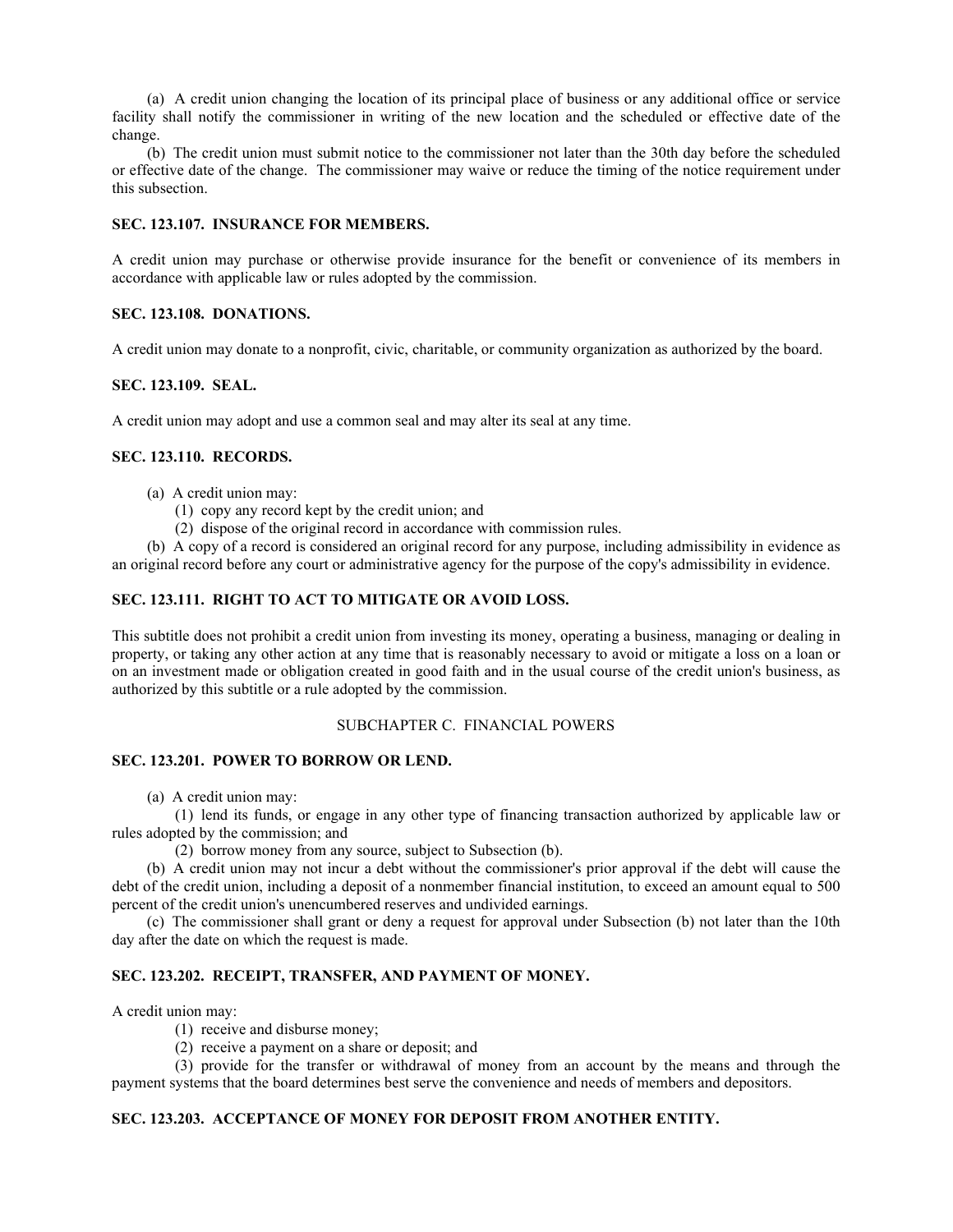(a) A credit union changing the location of its principal place of business or any additional office or service facility shall notify the commissioner in writing of the new location and the scheduled or effective date of the change.

(b) The credit union must submit notice to the commissioner not later than the 30th day before the scheduled or effective date of the change. The commissioner may waive or reduce the timing of the notice requirement under this subsection.

#### **SEC. 123.107. INSURANCE FOR MEMBERS.**

A credit union may purchase or otherwise provide insurance for the benefit or convenience of its members in accordance with applicable law or rules adopted by the commission.

### **SEC. 123.108. DONATIONS.**

A credit union may donate to a nonprofit, civic, charitable, or community organization as authorized by the board.

#### **SEC. 123.109. SEAL.**

A credit union may adopt and use a common seal and may alter its seal at any time.

#### **SEC. 123.110. RECORDS.**

- (a) A credit union may:
	- (1) copy any record kept by the credit union; and
	- (2) dispose of the original record in accordance with commission rules.

(b) A copy of a record is considered an original record for any purpose, including admissibility in evidence as an original record before any court or administrative agency for the purpose of the copy's admissibility in evidence.

## **SEC. 123.111. RIGHT TO ACT TO MITIGATE OR AVOID LOSS.**

This subtitle does not prohibit a credit union from investing its money, operating a business, managing or dealing in property, or taking any other action at any time that is reasonably necessary to avoid or mitigate a loss on a loan or on an investment made or obligation created in good faith and in the usual course of the credit union's business, as authorized by this subtitle or a rule adopted by the commission.

## SUBCHAPTER C. FINANCIAL POWERS

## **SEC. 123.201. POWER TO BORROW OR LEND.**

(a) A credit union may:

(1) lend its funds, or engage in any other type of financing transaction authorized by applicable law or rules adopted by the commission; and

(2) borrow money from any source, subject to Subsection (b).

(b) A credit union may not incur a debt without the commissioner's prior approval if the debt will cause the debt of the credit union, including a deposit of a nonmember financial institution, to exceed an amount equal to 500 percent of the credit union's unencumbered reserves and undivided earnings.

(c) The commissioner shall grant or deny a request for approval under Subsection (b) not later than the 10th day after the date on which the request is made.

## **SEC. 123.202. RECEIPT, TRANSFER, AND PAYMENT OF MONEY.**

A credit union may:

- (1) receive and disburse money;
- (2) receive a payment on a share or deposit; and

(3) provide for the transfer or withdrawal of money from an account by the means and through the payment systems that the board determines best serve the convenience and needs of members and depositors.

## **SEC. 123.203. ACCEPTANCE OF MONEY FOR DEPOSIT FROM ANOTHER ENTITY.**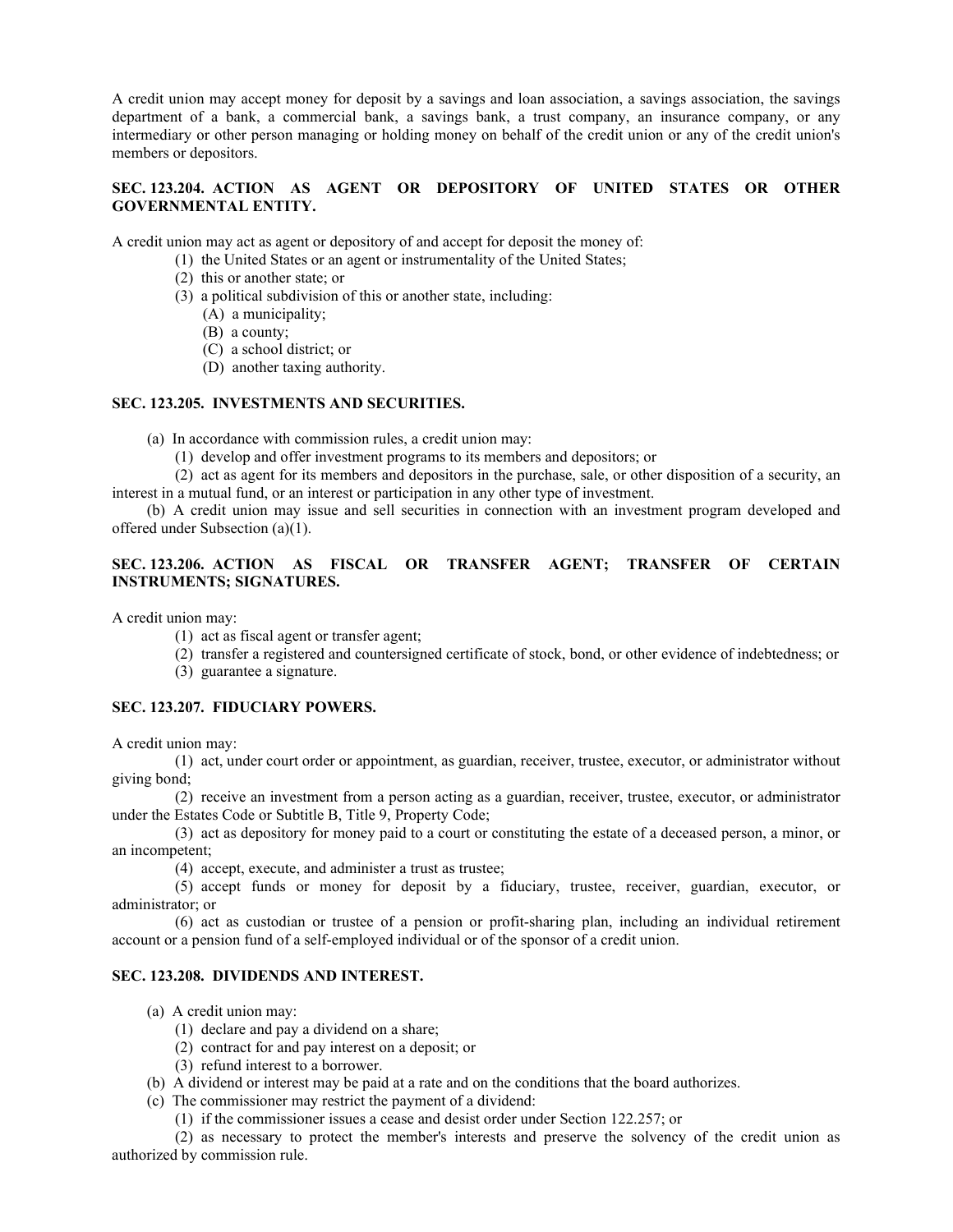A credit union may accept money for deposit by a savings and loan association, a savings association, the savings department of a bank, a commercial bank, a savings bank, a trust company, an insurance company, or any intermediary or other person managing or holding money on behalf of the credit union or any of the credit union's members or depositors.

## **SEC. 123.204. ACTION AS AGENT OR DEPOSITORY OF UNITED STATES OR OTHER GOVERNMENTAL ENTITY.**

A credit union may act as agent or depository of and accept for deposit the money of:

- (1) the United States or an agent or instrumentality of the United States;
- (2) this or another state; or
- (3) a political subdivision of this or another state, including:
	- (A) a municipality;
	- (B) a county;
	- (C) a school district; or
	- (D) another taxing authority.

## **SEC. 123.205. INVESTMENTS AND SECURITIES.**

- (a) In accordance with commission rules, a credit union may:
	- (1) develop and offer investment programs to its members and depositors; or

(2) act as agent for its members and depositors in the purchase, sale, or other disposition of a security, an interest in a mutual fund, or an interest or participation in any other type of investment.

(b) A credit union may issue and sell securities in connection with an investment program developed and offered under Subsection (a)(1).

## **SEC. 123.206. ACTION AS FISCAL OR TRANSFER AGENT; TRANSFER OF CERTAIN INSTRUMENTS; SIGNATURES.**

A credit union may:

- (1) act as fiscal agent or transfer agent;
- (2) transfer a registered and countersigned certificate of stock, bond, or other evidence of indebtedness; or
- (3) guarantee a signature.

## **SEC. 123.207. FIDUCIARY POWERS.**

A credit union may:

(1) act, under court order or appointment, as guardian, receiver, trustee, executor, or administrator without giving bond;

(2) receive an investment from a person acting as a guardian, receiver, trustee, executor, or administrator under the Estates Code or Subtitle B, Title 9, Property Code;

(3) act as depository for money paid to a court or constituting the estate of a deceased person, a minor, or an incompetent;

(4) accept, execute, and administer a trust as trustee;

(5) accept funds or money for deposit by a fiduciary, trustee, receiver, guardian, executor, or administrator; or

(6) act as custodian or trustee of a pension or profit-sharing plan, including an individual retirement account or a pension fund of a self-employed individual or of the sponsor of a credit union.

## **SEC. 123.208. DIVIDENDS AND INTEREST.**

- (a) A credit union may:
	- (1) declare and pay a dividend on a share;
	- (2) contract for and pay interest on a deposit; or
	- (3) refund interest to a borrower.
- (b) A dividend or interest may be paid at a rate and on the conditions that the board authorizes.
- (c) The commissioner may restrict the payment of a dividend:
	- (1) if the commissioner issues a cease and desist order under Section 122.257; or

(2) as necessary to protect the member's interests and preserve the solvency of the credit union as authorized by commission rule.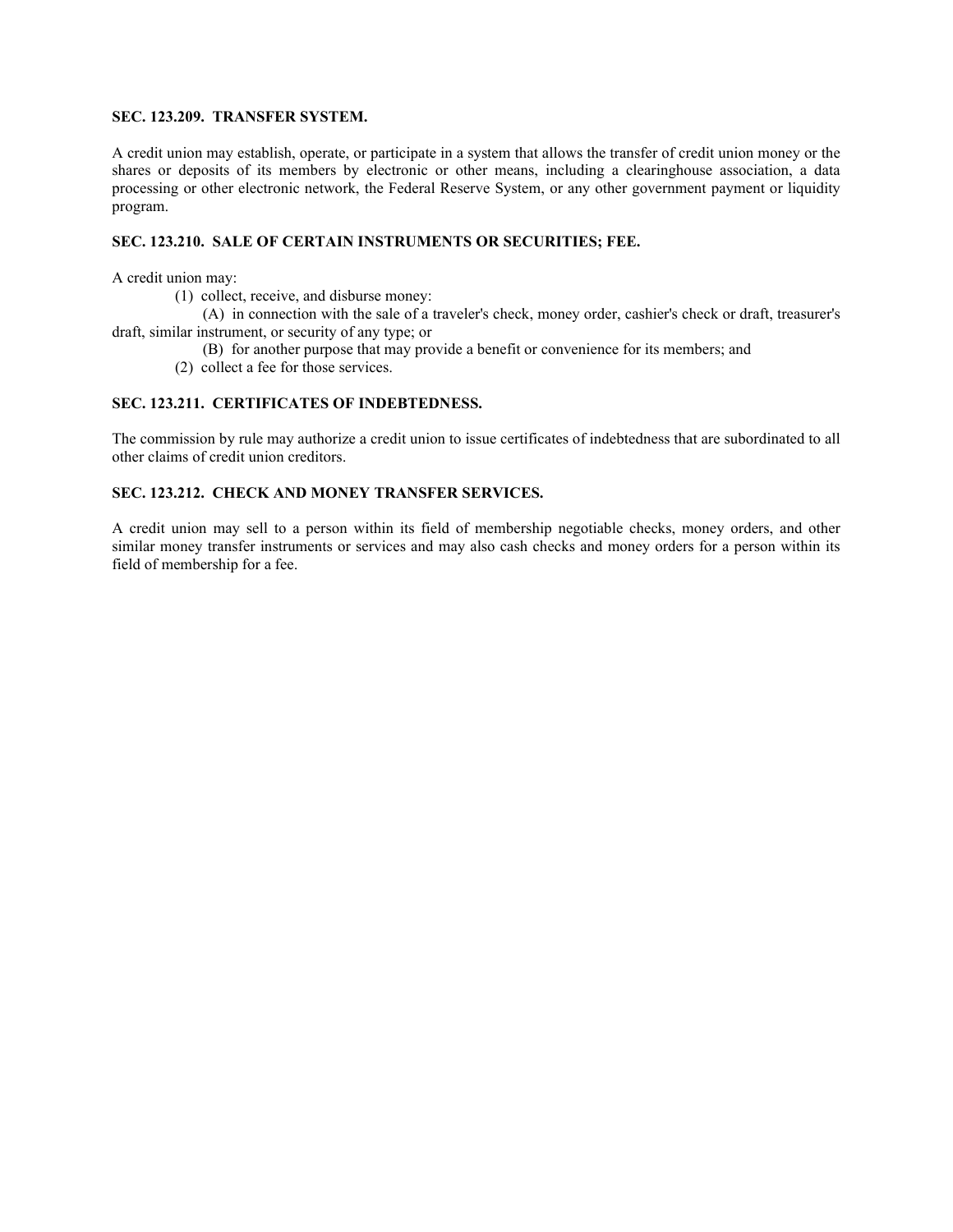## **SEC. 123.209. TRANSFER SYSTEM.**

A credit union may establish, operate, or participate in a system that allows the transfer of credit union money or the shares or deposits of its members by electronic or other means, including a clearinghouse association, a data processing or other electronic network, the Federal Reserve System, or any other government payment or liquidity program.

## **SEC. 123.210. SALE OF CERTAIN INSTRUMENTS OR SECURITIES; FEE.**

A credit union may:

(1) collect, receive, and disburse money:

(A) in connection with the sale of a traveler's check, money order, cashier's check or draft, treasurer's draft, similar instrument, or security of any type; or

(B) for another purpose that may provide a benefit or convenience for its members; and

(2) collect a fee for those services.

## **SEC. 123.211. CERTIFICATES OF INDEBTEDNESS.**

The commission by rule may authorize a credit union to issue certificates of indebtedness that are subordinated to all other claims of credit union creditors.

## **SEC. 123.212. CHECK AND MONEY TRANSFER SERVICES.**

A credit union may sell to a person within its field of membership negotiable checks, money orders, and other similar money transfer instruments or services and may also cash checks and money orders for a person within its field of membership for a fee.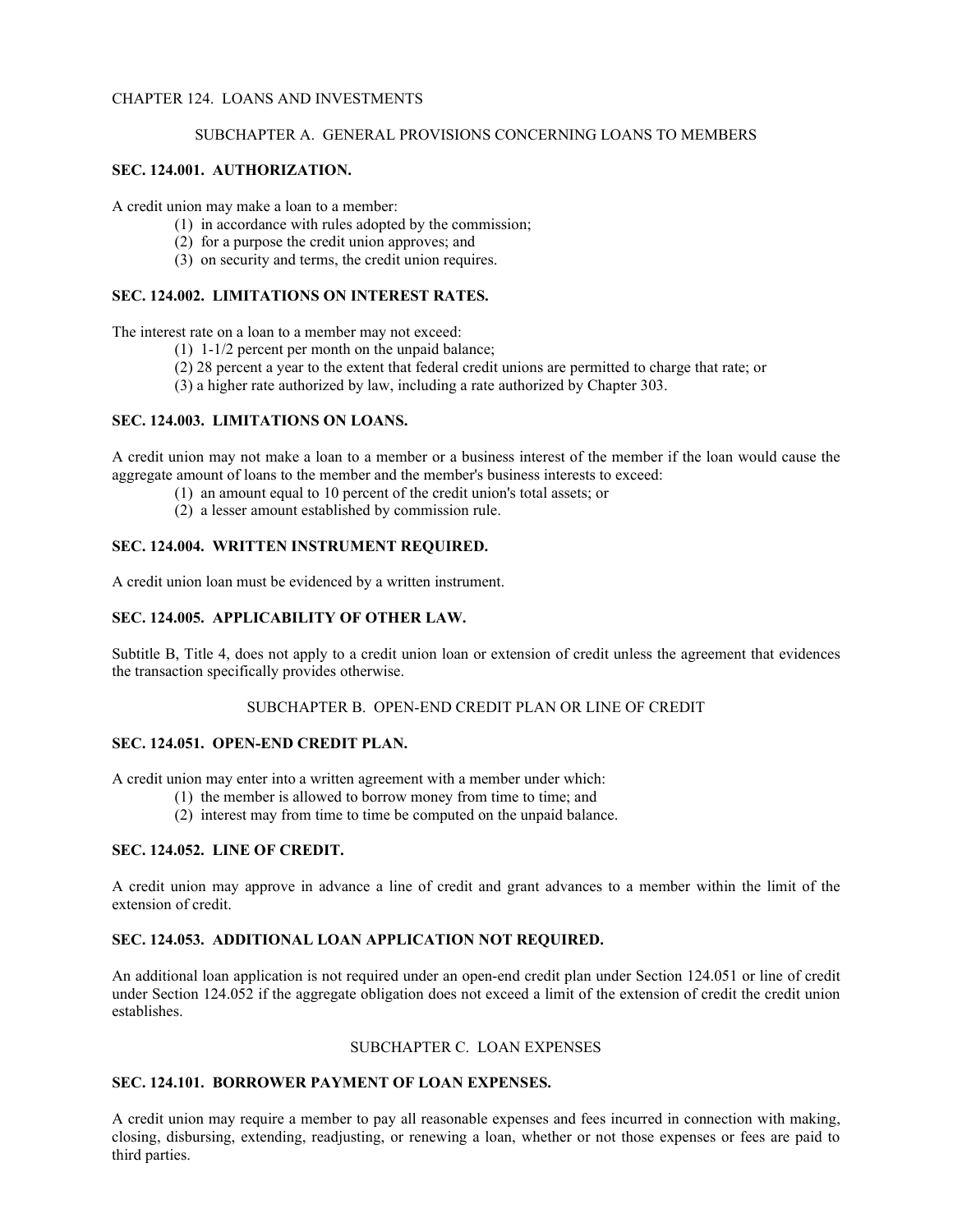## CHAPTER 124. LOANS AND INVESTMENTS

#### SUBCHAPTER A. GENERAL PROVISIONS CONCERNING LOANS TO MEMBERS

## **SEC. 124.001. AUTHORIZATION.**

A credit union may make a loan to a member:

- (1) in accordance with rules adopted by the commission;
- (2) for a purpose the credit union approves; and
- (3) on security and terms, the credit union requires.

## **SEC. 124.002. LIMITATIONS ON INTEREST RATES.**

The interest rate on a loan to a member may not exceed:

- (1) 1-1/2 percent per month on the unpaid balance;
- (2) 28 percent a year to the extent that federal credit unions are permitted to charge that rate; or
- (3) a higher rate authorized by law, including a rate authorized by Chapter 303.

## **SEC. 124.003. LIMITATIONS ON LOANS.**

A credit union may not make a loan to a member or a business interest of the member if the loan would cause the aggregate amount of loans to the member and the member's business interests to exceed:

- (1) an amount equal to 10 percent of the credit union's total assets; or
- (2) a lesser amount established by commission rule.

## **SEC. 124.004. WRITTEN INSTRUMENT REQUIRED.**

A credit union loan must be evidenced by a written instrument.

## **SEC. 124.005. APPLICABILITY OF OTHER LAW.**

Subtitle B, Title 4, does not apply to a credit union loan or extension of credit unless the agreement that evidences the transaction specifically provides otherwise.

## SUBCHAPTER B. OPEN-END CREDIT PLAN OR LINE OF CREDIT

## **SEC. 124.051. OPEN-END CREDIT PLAN.**

A credit union may enter into a written agreement with a member under which:

- (1) the member is allowed to borrow money from time to time; and
- (2) interest may from time to time be computed on the unpaid balance.

## **SEC. 124.052. LINE OF CREDIT.**

A credit union may approve in advance a line of credit and grant advances to a member within the limit of the extension of credit.

## **SEC. 124.053. ADDITIONAL LOAN APPLICATION NOT REQUIRED.**

An additional loan application is not required under an open-end credit plan under Section 124.051 or line of credit under Section 124.052 if the aggregate obligation does not exceed a limit of the extension of credit the credit union establishes.

## SUBCHAPTER C. LOAN EXPENSES

## **SEC. 124.101. BORROWER PAYMENT OF LOAN EXPENSES.**

A credit union may require a member to pay all reasonable expenses and fees incurred in connection with making, closing, disbursing, extending, readjusting, or renewing a loan, whether or not those expenses or fees are paid to third parties.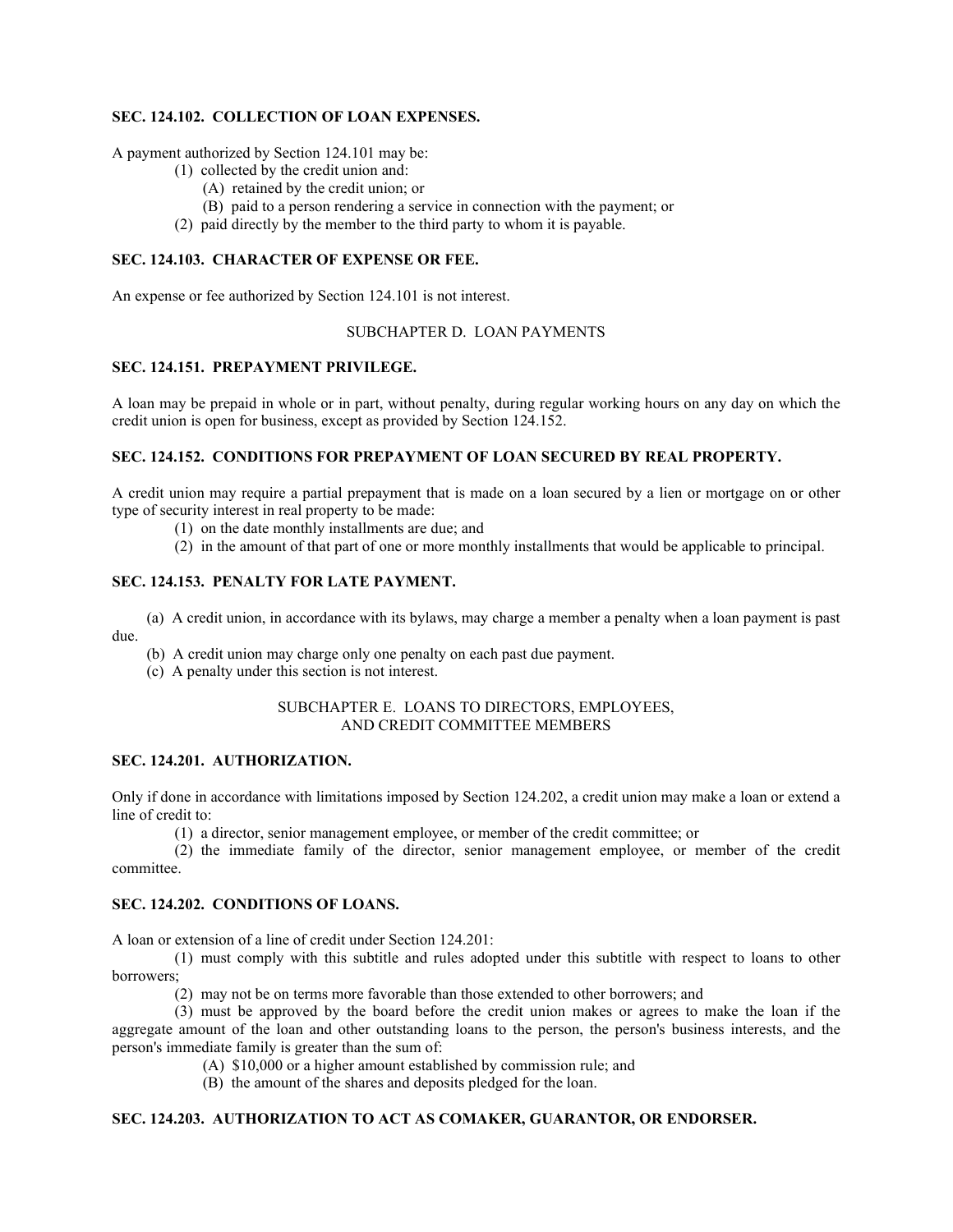## **SEC. 124.102. COLLECTION OF LOAN EXPENSES.**

A payment authorized by Section 124.101 may be:

- (1) collected by the credit union and:
	- (A) retained by the credit union; or
	- (B) paid to a person rendering a service in connection with the payment; or
- (2) paid directly by the member to the third party to whom it is payable.

## **SEC. 124.103. CHARACTER OF EXPENSE OR FEE.**

An expense or fee authorized by Section 124.101 is not interest.

## SUBCHAPTER D. LOAN PAYMENTS

## **SEC. 124.151. PREPAYMENT PRIVILEGE.**

A loan may be prepaid in whole or in part, without penalty, during regular working hours on any day on which the credit union is open for business, except as provided by Section 124.152.

## **SEC. 124.152. CONDITIONS FOR PREPAYMENT OF LOAN SECURED BY REAL PROPERTY.**

A credit union may require a partial prepayment that is made on a loan secured by a lien or mortgage on or other type of security interest in real property to be made:

- (1) on the date monthly installments are due; and
- (2) in the amount of that part of one or more monthly installments that would be applicable to principal.

## **SEC. 124.153. PENALTY FOR LATE PAYMENT.**

(a) A credit union, in accordance with its bylaws, may charge a member a penalty when a loan payment is past due.

(b) A credit union may charge only one penalty on each past due payment.

(c) A penalty under this section is not interest.

## SUBCHAPTER E. LOANS TO DIRECTORS, EMPLOYEES, AND CREDIT COMMITTEE MEMBERS

## **SEC. 124.201. AUTHORIZATION.**

Only if done in accordance with limitations imposed by Section 124.202, a credit union may make a loan or extend a line of credit to:

(1) a director, senior management employee, or member of the credit committee; or

(2) the immediate family of the director, senior management employee, or member of the credit committee.

## **SEC. 124.202. CONDITIONS OF LOANS.**

A loan or extension of a line of credit under Section 124.201:

(1) must comply with this subtitle and rules adopted under this subtitle with respect to loans to other borrowers;

(2) may not be on terms more favorable than those extended to other borrowers; and

(3) must be approved by the board before the credit union makes or agrees to make the loan if the aggregate amount of the loan and other outstanding loans to the person, the person's business interests, and the person's immediate family is greater than the sum of:

(A) \$10,000 or a higher amount established by commission rule; and

(B) the amount of the shares and deposits pledged for the loan.

## **SEC. 124.203. AUTHORIZATION TO ACT AS COMAKER, GUARANTOR, OR ENDORSER.**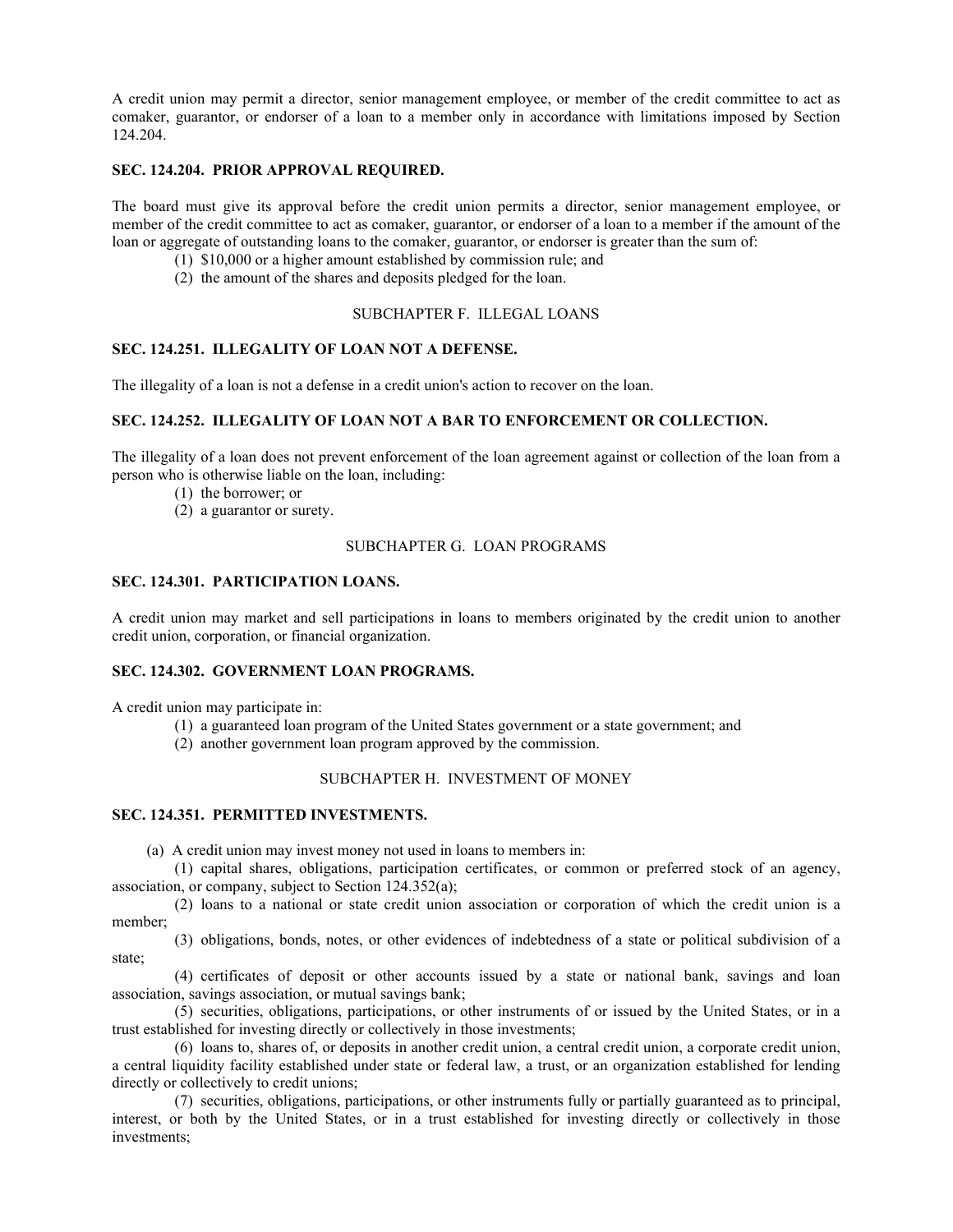A credit union may permit a director, senior management employee, or member of the credit committee to act as comaker, guarantor, or endorser of a loan to a member only in accordance with limitations imposed by Section 124.204.

## **SEC. 124.204. PRIOR APPROVAL REQUIRED.**

The board must give its approval before the credit union permits a director, senior management employee, or member of the credit committee to act as comaker, guarantor, or endorser of a loan to a member if the amount of the loan or aggregate of outstanding loans to the comaker, guarantor, or endorser is greater than the sum of:

- (1) \$10,000 or a higher amount established by commission rule; and
- (2) the amount of the shares and deposits pledged for the loan.

## SUBCHAPTER F. ILLEGAL LOANS

## **SEC. 124.251. ILLEGALITY OF LOAN NOT A DEFENSE.**

The illegality of a loan is not a defense in a credit union's action to recover on the loan.

## **SEC. 124.252. ILLEGALITY OF LOAN NOT A BAR TO ENFORCEMENT OR COLLECTION.**

The illegality of a loan does not prevent enforcement of the loan agreement against or collection of the loan from a person who is otherwise liable on the loan, including:

- (1) the borrower; or
- (2) a guarantor or surety.

## SUBCHAPTER G. LOAN PROGRAMS

## **SEC. 124.301. PARTICIPATION LOANS.**

A credit union may market and sell participations in loans to members originated by the credit union to another credit union, corporation, or financial organization.

## **SEC. 124.302. GOVERNMENT LOAN PROGRAMS.**

A credit union may participate in:

- (1) a guaranteed loan program of the United States government or a state government; and
- (2) another government loan program approved by the commission.

## SUBCHAPTER H. INVESTMENT OF MONEY

## **SEC. 124.351. PERMITTED INVESTMENTS.**

(a) A credit union may invest money not used in loans to members in:

(1) capital shares, obligations, participation certificates, or common or preferred stock of an agency, association, or company, subject to Section 124.352(a);

(2) loans to a national or state credit union association or corporation of which the credit union is a member;

(3) obligations, bonds, notes, or other evidences of indebtedness of a state or political subdivision of a state;

(4) certificates of deposit or other accounts issued by a state or national bank, savings and loan association, savings association, or mutual savings bank;

(5) securities, obligations, participations, or other instruments of or issued by the United States, or in a trust established for investing directly or collectively in those investments;

(6) loans to, shares of, or deposits in another credit union, a central credit union, a corporate credit union, a central liquidity facility established under state or federal law, a trust, or an organization established for lending directly or collectively to credit unions;

(7) securities, obligations, participations, or other instruments fully or partially guaranteed as to principal, interest, or both by the United States, or in a trust established for investing directly or collectively in those investments;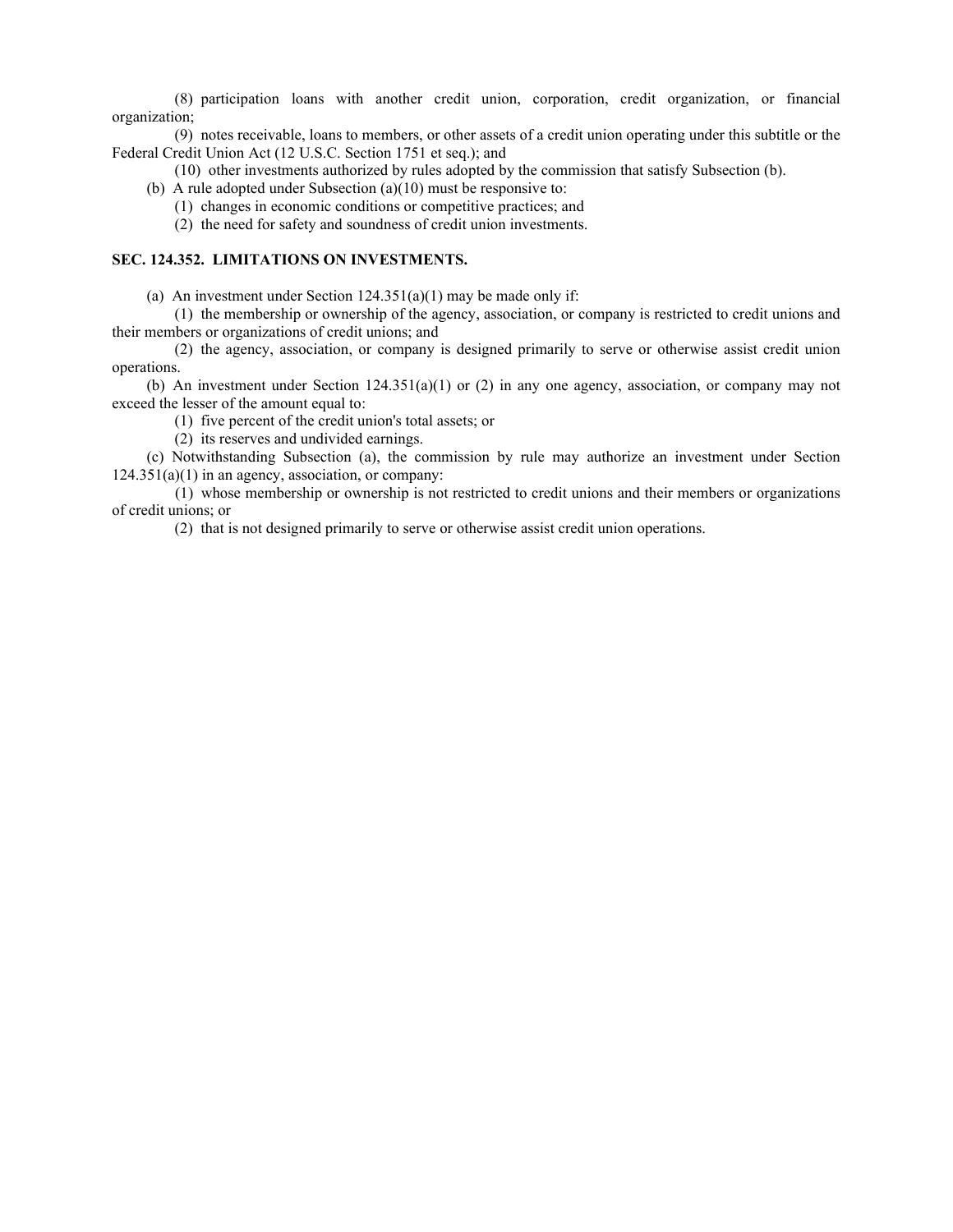(8) participation loans with another credit union, corporation, credit organization, or financial organization;

(9) notes receivable, loans to members, or other assets of a credit union operating under this subtitle or the Federal Credit Union Act (12 U.S.C. Section 1751 et seq.); and

- (10) other investments authorized by rules adopted by the commission that satisfy Subsection (b).
- (b) A rule adopted under Subsection (a)(10) must be responsive to:
	- (1) changes in economic conditions or competitive practices; and
	- (2) the need for safety and soundness of credit union investments.

## **SEC. 124.352. LIMITATIONS ON INVESTMENTS.**

(a) An investment under Section  $124.351(a)(1)$  may be made only if:

(1) the membership or ownership of the agency, association, or company is restricted to credit unions and their members or organizations of credit unions; and

(2) the agency, association, or company is designed primarily to serve or otherwise assist credit union operations.

(b) An investment under Section 124.351(a)(1) or (2) in any one agency, association, or company may not exceed the lesser of the amount equal to:

(1) five percent of the credit union's total assets; or

(2) its reserves and undivided earnings.

(c) Notwithstanding Subsection (a), the commission by rule may authorize an investment under Section  $124.351(a)(1)$  in an agency, association, or company:

(1) whose membership or ownership is not restricted to credit unions and their members or organizations of credit unions; or

(2) that is not designed primarily to serve or otherwise assist credit union operations.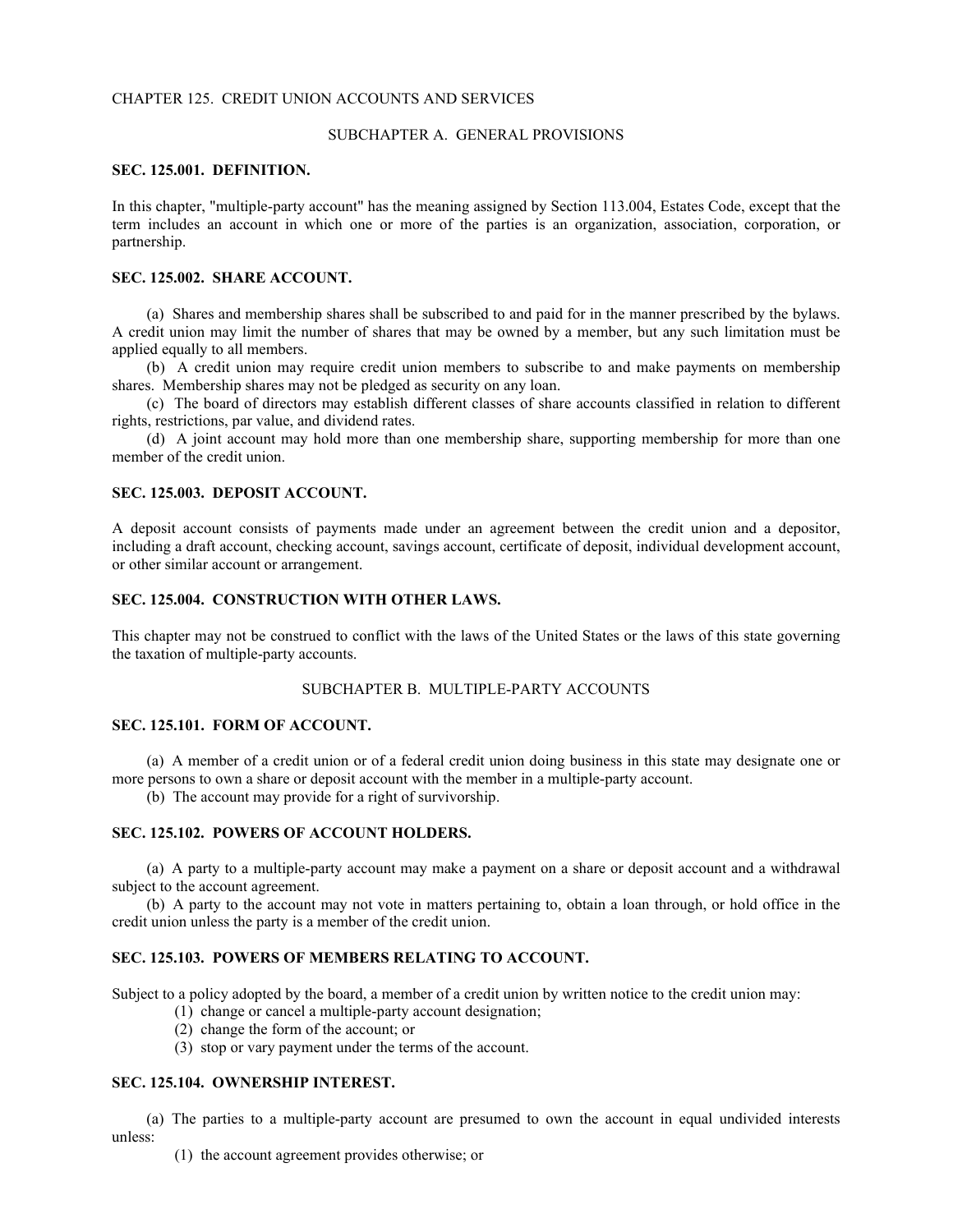#### CHAPTER 125. CREDIT UNION ACCOUNTS AND SERVICES

#### SUBCHAPTER A. GENERAL PROVISIONS

#### **SEC. 125.001. DEFINITION.**

In this chapter, "multiple-party account" has the meaning assigned by Section 113.004, Estates Code, except that the term includes an account in which one or more of the parties is an organization, association, corporation, or partnership.

## **SEC. 125.002. SHARE ACCOUNT.**

(a) Shares and membership shares shall be subscribed to and paid for in the manner prescribed by the bylaws. A credit union may limit the number of shares that may be owned by a member, but any such limitation must be applied equally to all members.

(b) A credit union may require credit union members to subscribe to and make payments on membership shares. Membership shares may not be pledged as security on any loan.

(c) The board of directors may establish different classes of share accounts classified in relation to different rights, restrictions, par value, and dividend rates.

(d) A joint account may hold more than one membership share, supporting membership for more than one member of the credit union.

#### **SEC. 125.003. DEPOSIT ACCOUNT.**

A deposit account consists of payments made under an agreement between the credit union and a depositor, including a draft account, checking account, savings account, certificate of deposit, individual development account, or other similar account or arrangement.

## **SEC. 125.004. CONSTRUCTION WITH OTHER LAWS.**

This chapter may not be construed to conflict with the laws of the United States or the laws of this state governing the taxation of multiple-party accounts.

## SUBCHAPTER B. MULTIPLE-PARTY ACCOUNTS

#### **SEC. 125.101. FORM OF ACCOUNT.**

(a) A member of a credit union or of a federal credit union doing business in this state may designate one or more persons to own a share or deposit account with the member in a multiple-party account.

(b) The account may provide for a right of survivorship.

#### **SEC. 125.102. POWERS OF ACCOUNT HOLDERS.**

(a) A party to a multiple-party account may make a payment on a share or deposit account and a withdrawal subject to the account agreement.

(b) A party to the account may not vote in matters pertaining to, obtain a loan through, or hold office in the credit union unless the party is a member of the credit union.

## **SEC. 125.103. POWERS OF MEMBERS RELATING TO ACCOUNT.**

Subject to a policy adopted by the board, a member of a credit union by written notice to the credit union may:

- (1) change or cancel a multiple-party account designation;
- (2) change the form of the account; or
- (3) stop or vary payment under the terms of the account.

### **SEC. 125.104. OWNERSHIP INTEREST.**

(a) The parties to a multiple-party account are presumed to own the account in equal undivided interests unless:

(1) the account agreement provides otherwise; or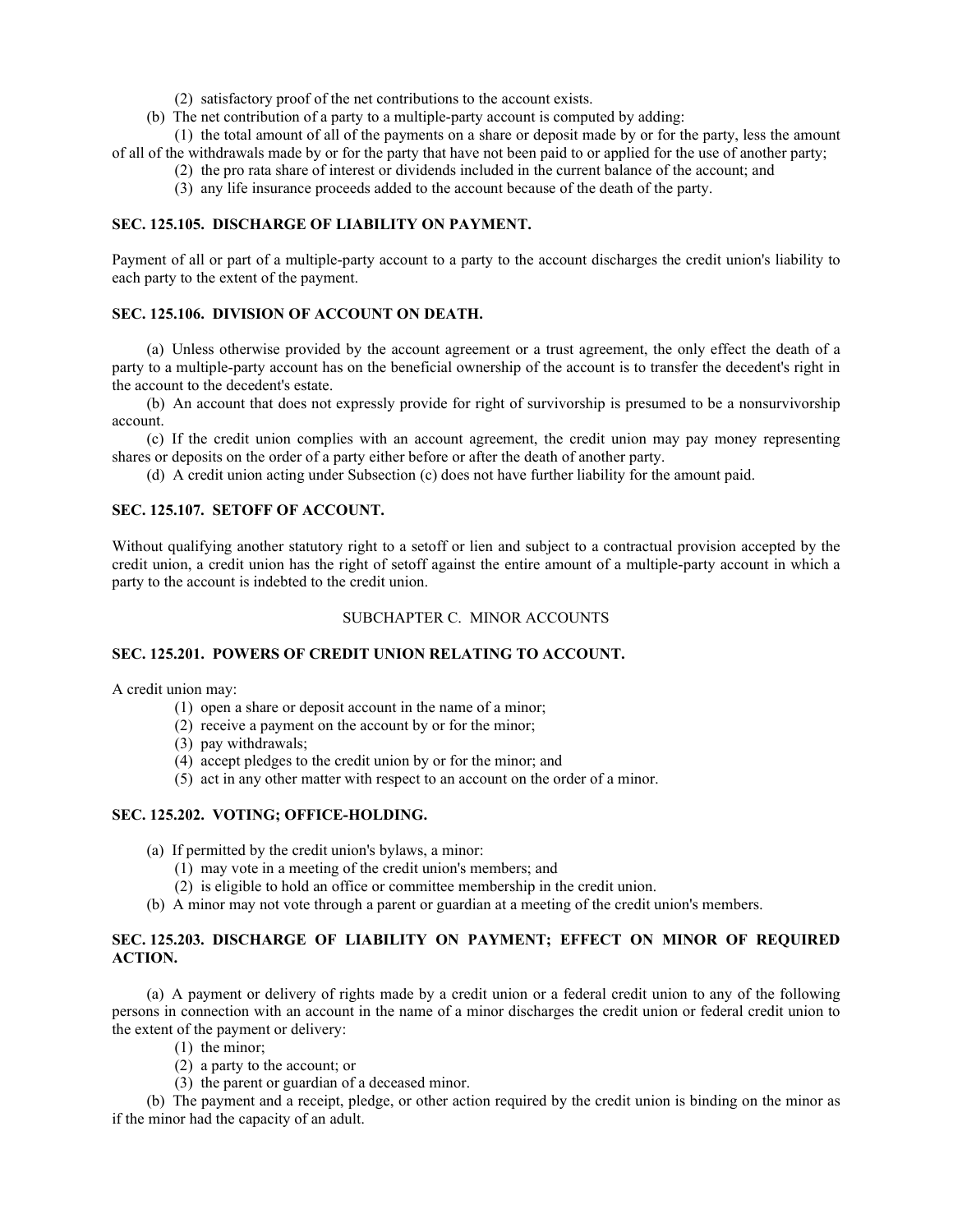- (2) satisfactory proof of the net contributions to the account exists.
- (b) The net contribution of a party to a multiple-party account is computed by adding:

(1) the total amount of all of the payments on a share or deposit made by or for the party, less the amount of all of the withdrawals made by or for the party that have not been paid to or applied for the use of another party;

- (2) the pro rata share of interest or dividends included in the current balance of the account; and
- (3) any life insurance proceeds added to the account because of the death of the party.

## **SEC. 125.105. DISCHARGE OF LIABILITY ON PAYMENT.**

Payment of all or part of a multiple-party account to a party to the account discharges the credit union's liability to each party to the extent of the payment.

#### **SEC. 125.106. DIVISION OF ACCOUNT ON DEATH.**

(a) Unless otherwise provided by the account agreement or a trust agreement, the only effect the death of a party to a multiple-party account has on the beneficial ownership of the account is to transfer the decedent's right in the account to the decedent's estate.

(b) An account that does not expressly provide for right of survivorship is presumed to be a nonsurvivorship account.

(c) If the credit union complies with an account agreement, the credit union may pay money representing shares or deposits on the order of a party either before or after the death of another party.

(d) A credit union acting under Subsection (c) does not have further liability for the amount paid.

## **SEC. 125.107. SETOFF OF ACCOUNT.**

Without qualifying another statutory right to a setoff or lien and subject to a contractual provision accepted by the credit union, a credit union has the right of setoff against the entire amount of a multiple-party account in which a party to the account is indebted to the credit union.

#### SUBCHAPTER C. MINOR ACCOUNTS

## **SEC. 125.201. POWERS OF CREDIT UNION RELATING TO ACCOUNT.**

A credit union may:

- (1) open a share or deposit account in the name of a minor;
- (2) receive a payment on the account by or for the minor;
- (3) pay withdrawals;
- (4) accept pledges to the credit union by or for the minor; and
- (5) act in any other matter with respect to an account on the order of a minor.

## **SEC. 125.202. VOTING; OFFICE-HOLDING.**

- (a) If permitted by the credit union's bylaws, a minor:
	- (1) may vote in a meeting of the credit union's members; and
	- (2) is eligible to hold an office or committee membership in the credit union.
- (b) A minor may not vote through a parent or guardian at a meeting of the credit union's members.

## **SEC. 125.203. DISCHARGE OF LIABILITY ON PAYMENT; EFFECT ON MINOR OF REQUIRED ACTION.**

(a) A payment or delivery of rights made by a credit union or a federal credit union to any of the following persons in connection with an account in the name of a minor discharges the credit union or federal credit union to the extent of the payment or delivery:

- (1) the minor;
- (2) a party to the account; or
- (3) the parent or guardian of a deceased minor.

(b) The payment and a receipt, pledge, or other action required by the credit union is binding on the minor as if the minor had the capacity of an adult.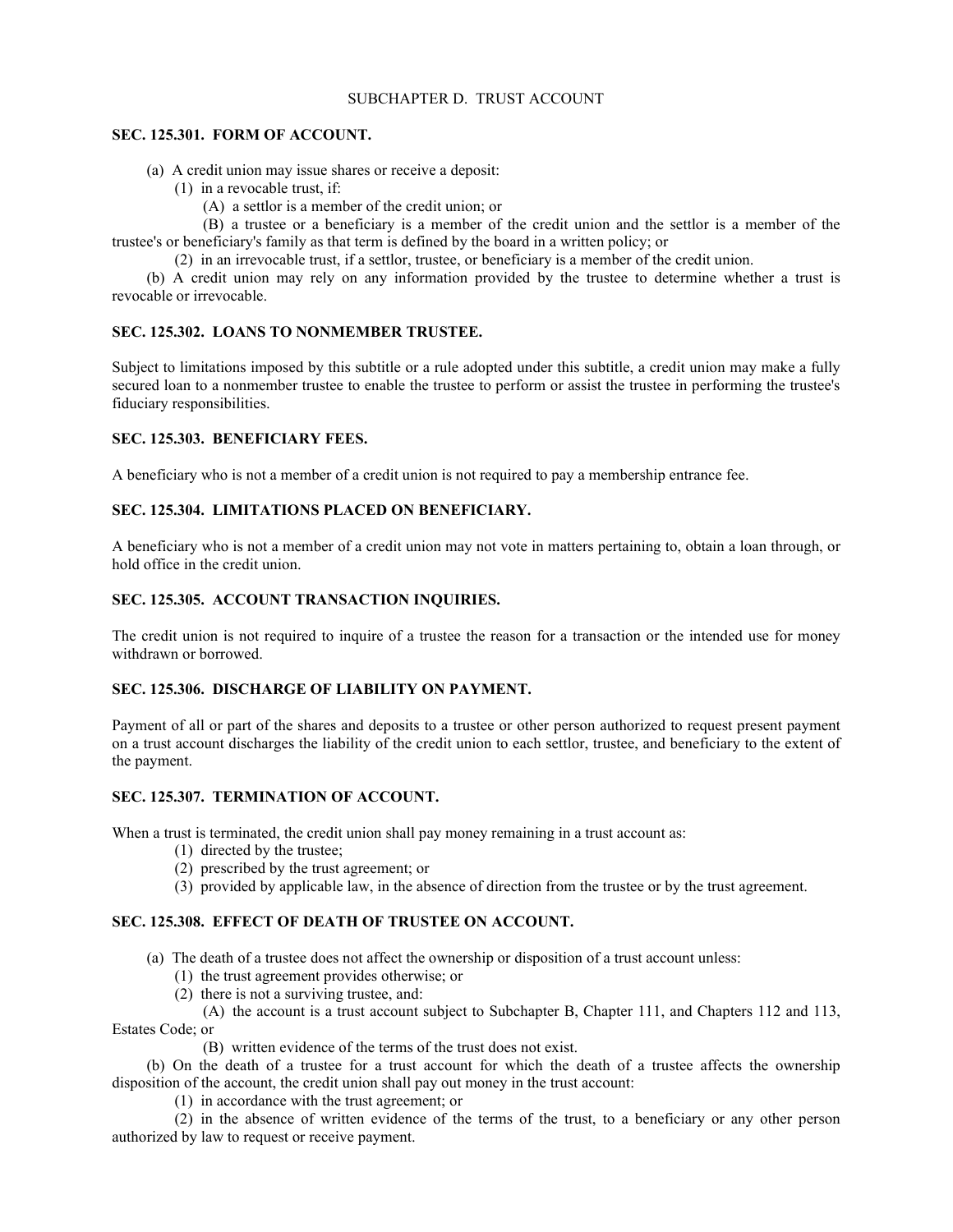## SUBCHAPTER D. TRUST ACCOUNT

## **SEC. 125.301. FORM OF ACCOUNT.**

(a) A credit union may issue shares or receive a deposit:

- (1) in a revocable trust, if:
	- (A) a settlor is a member of the credit union; or

(B) a trustee or a beneficiary is a member of the credit union and the settlor is a member of the trustee's or beneficiary's family as that term is defined by the board in a written policy; or

(2) in an irrevocable trust, if a settlor, trustee, or beneficiary is a member of the credit union.

(b) A credit union may rely on any information provided by the trustee to determine whether a trust is revocable or irrevocable.

## **SEC. 125.302. LOANS TO NONMEMBER TRUSTEE.**

Subject to limitations imposed by this subtitle or a rule adopted under this subtitle, a credit union may make a fully secured loan to a nonmember trustee to enable the trustee to perform or assist the trustee in performing the trustee's fiduciary responsibilities.

## **SEC. 125.303. BENEFICIARY FEES.**

A beneficiary who is not a member of a credit union is not required to pay a membership entrance fee.

## **SEC. 125.304. LIMITATIONS PLACED ON BENEFICIARY.**

A beneficiary who is not a member of a credit union may not vote in matters pertaining to, obtain a loan through, or hold office in the credit union.

## **SEC. 125.305. ACCOUNT TRANSACTION INQUIRIES.**

The credit union is not required to inquire of a trustee the reason for a transaction or the intended use for money withdrawn or borrowed.

## **SEC. 125.306. DISCHARGE OF LIABILITY ON PAYMENT.**

Payment of all or part of the shares and deposits to a trustee or other person authorized to request present payment on a trust account discharges the liability of the credit union to each settlor, trustee, and beneficiary to the extent of the payment.

## **SEC. 125.307. TERMINATION OF ACCOUNT.**

When a trust is terminated, the credit union shall pay money remaining in a trust account as:

- (1) directed by the trustee;
- (2) prescribed by the trust agreement; or
- (3) provided by applicable law, in the absence of direction from the trustee or by the trust agreement.

## **SEC. 125.308. EFFECT OF DEATH OF TRUSTEE ON ACCOUNT.**

(a) The death of a trustee does not affect the ownership or disposition of a trust account unless:

- (1) the trust agreement provides otherwise; or
- (2) there is not a surviving trustee, and:

(A) the account is a trust account subject to Subchapter B, Chapter 111, and Chapters 112 and 113, Estates Code; or

(B) written evidence of the terms of the trust does not exist.

(b) On the death of a trustee for a trust account for which the death of a trustee affects the ownership disposition of the account, the credit union shall pay out money in the trust account:

(1) in accordance with the trust agreement; or

(2) in the absence of written evidence of the terms of the trust, to a beneficiary or any other person authorized by law to request or receive payment.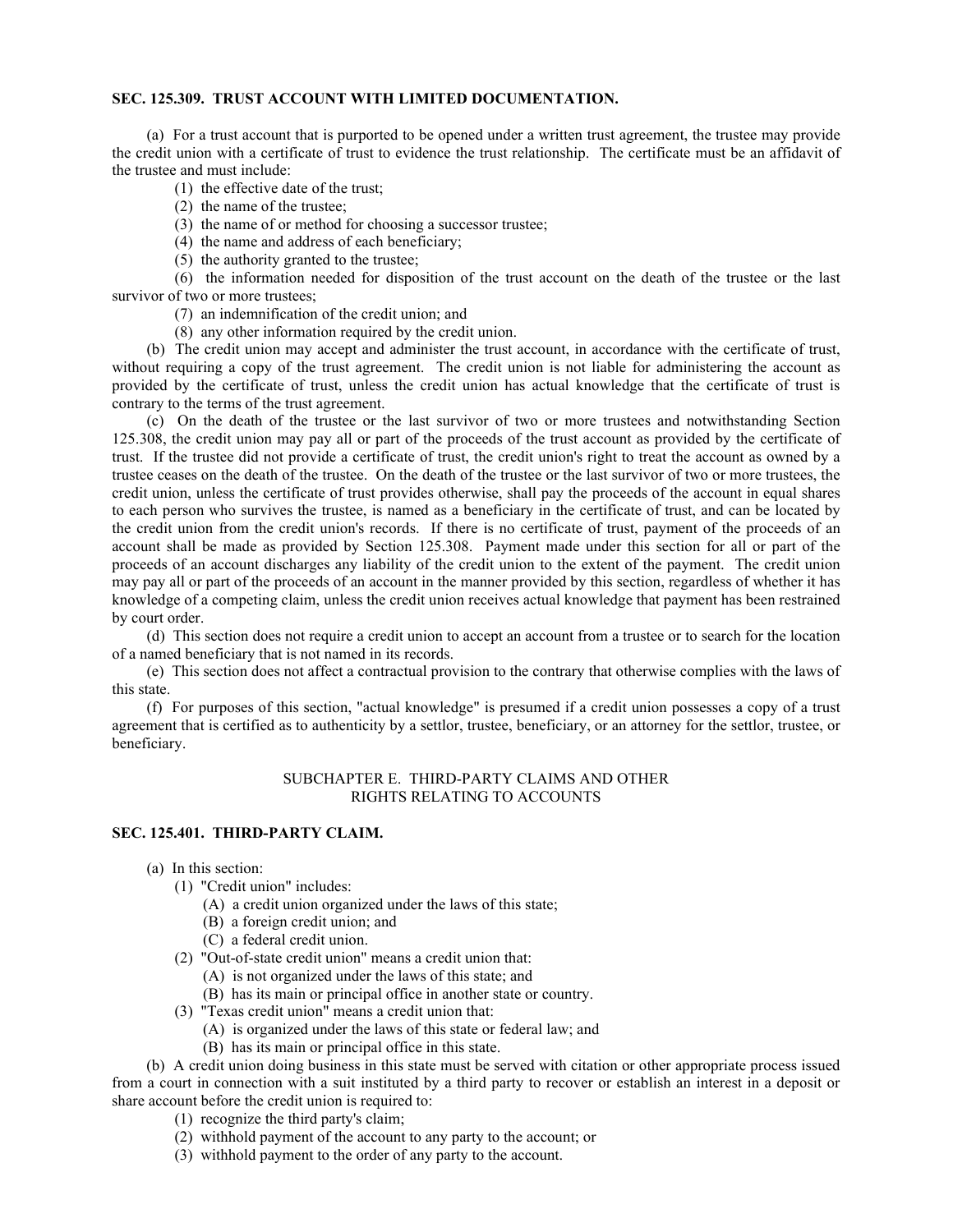#### **SEC. 125.309. TRUST ACCOUNT WITH LIMITED DOCUMENTATION.**

(a) For a trust account that is purported to be opened under a written trust agreement, the trustee may provide the credit union with a certificate of trust to evidence the trust relationship. The certificate must be an affidavit of the trustee and must include:

- (1) the effective date of the trust;
- (2) the name of the trustee;
- (3) the name of or method for choosing a successor trustee;
- (4) the name and address of each beneficiary;
- (5) the authority granted to the trustee;

(6) the information needed for disposition of the trust account on the death of the trustee or the last survivor of two or more trustees;

- (7) an indemnification of the credit union; and
- (8) any other information required by the credit union.

(b) The credit union may accept and administer the trust account, in accordance with the certificate of trust, without requiring a copy of the trust agreement. The credit union is not liable for administering the account as provided by the certificate of trust, unless the credit union has actual knowledge that the certificate of trust is contrary to the terms of the trust agreement.

(c) On the death of the trustee or the last survivor of two or more trustees and notwithstanding Section 125.308, the credit union may pay all or part of the proceeds of the trust account as provided by the certificate of trust. If the trustee did not provide a certificate of trust, the credit union's right to treat the account as owned by a trustee ceases on the death of the trustee. On the death of the trustee or the last survivor of two or more trustees, the credit union, unless the certificate of trust provides otherwise, shall pay the proceeds of the account in equal shares to each person who survives the trustee, is named as a beneficiary in the certificate of trust, and can be located by the credit union from the credit union's records. If there is no certificate of trust, payment of the proceeds of an account shall be made as provided by Section 125.308. Payment made under this section for all or part of the proceeds of an account discharges any liability of the credit union to the extent of the payment. The credit union may pay all or part of the proceeds of an account in the manner provided by this section, regardless of whether it has knowledge of a competing claim, unless the credit union receives actual knowledge that payment has been restrained by court order.

(d) This section does not require a credit union to accept an account from a trustee or to search for the location of a named beneficiary that is not named in its records.

(e) This section does not affect a contractual provision to the contrary that otherwise complies with the laws of this state.

(f) For purposes of this section, "actual knowledge" is presumed if a credit union possesses a copy of a trust agreement that is certified as to authenticity by a settlor, trustee, beneficiary, or an attorney for the settlor, trustee, or beneficiary.

## SUBCHAPTER E. THIRD-PARTY CLAIMS AND OTHER RIGHTS RELATING TO ACCOUNTS

#### **SEC. 125.401. THIRD-PARTY CLAIM.**

- (a) In this section:
	- (1) "Credit union" includes:
		- (A) a credit union organized under the laws of this state;
		- (B) a foreign credit union; and
		- (C) a federal credit union.
	- (2) "Out-of-state credit union" means a credit union that:
		- (A) is not organized under the laws of this state; and
		- (B) has its main or principal office in another state or country.
	- (3) "Texas credit union" means a credit union that:
		- (A) is organized under the laws of this state or federal law; and
		- (B) has its main or principal office in this state.

(b) A credit union doing business in this state must be served with citation or other appropriate process issued from a court in connection with a suit instituted by a third party to recover or establish an interest in a deposit or share account before the credit union is required to:

- (1) recognize the third party's claim;
- (2) withhold payment of the account to any party to the account; or
- (3) withhold payment to the order of any party to the account.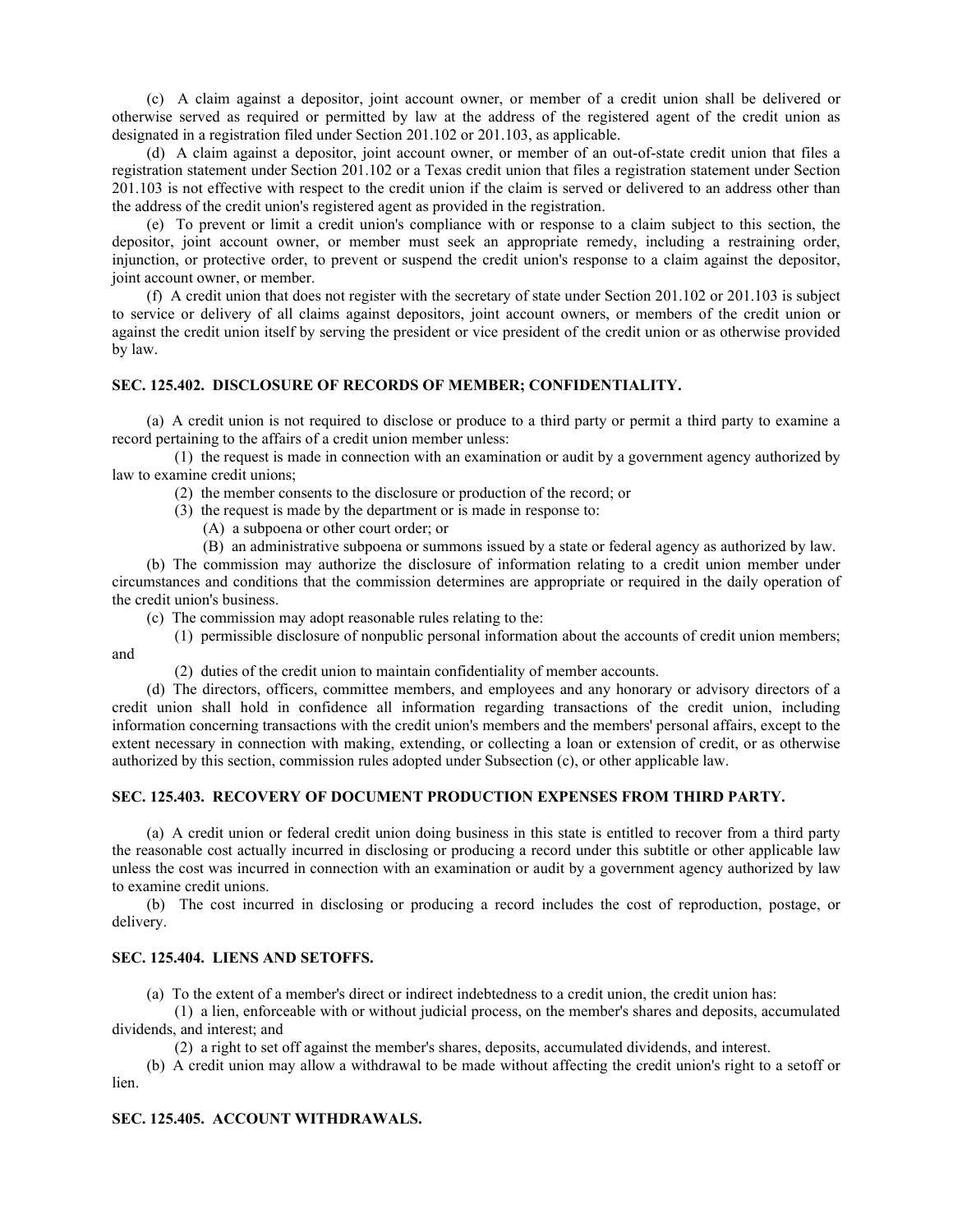(c) A claim against a depositor, joint account owner, or member of a credit union shall be delivered or otherwise served as required or permitted by law at the address of the registered agent of the credit union as designated in a registration filed under Section 201.102 or 201.103, as applicable.

(d) A claim against a depositor, joint account owner, or member of an out-of-state credit union that files a registration statement under Section 201.102 or a Texas credit union that files a registration statement under Section 201.103 is not effective with respect to the credit union if the claim is served or delivered to an address other than the address of the credit union's registered agent as provided in the registration.

(e) To prevent or limit a credit union's compliance with or response to a claim subject to this section, the depositor, joint account owner, or member must seek an appropriate remedy, including a restraining order, injunction, or protective order, to prevent or suspend the credit union's response to a claim against the depositor, joint account owner, or member.

(f) A credit union that does not register with the secretary of state under Section 201.102 or 201.103 is subject to service or delivery of all claims against depositors, joint account owners, or members of the credit union or against the credit union itself by serving the president or vice president of the credit union or as otherwise provided by law.

## **SEC. 125.402. DISCLOSURE OF RECORDS OF MEMBER; CONFIDENTIALITY.**

(a) A credit union is not required to disclose or produce to a third party or permit a third party to examine a record pertaining to the affairs of a credit union member unless:

(1) the request is made in connection with an examination or audit by a government agency authorized by law to examine credit unions;

- (2) the member consents to the disclosure or production of the record; or
- (3) the request is made by the department or is made in response to:
	- (A) a subpoena or other court order; or
	- (B) an administrative subpoena or summons issued by a state or federal agency as authorized by law.

(b) The commission may authorize the disclosure of information relating to a credit union member under circumstances and conditions that the commission determines are appropriate or required in the daily operation of the credit union's business.

- (c) The commission may adopt reasonable rules relating to the:
- (1) permissible disclosure of nonpublic personal information about the accounts of credit union members; and
	- (2) duties of the credit union to maintain confidentiality of member accounts.

(d) The directors, officers, committee members, and employees and any honorary or advisory directors of a credit union shall hold in confidence all information regarding transactions of the credit union, including information concerning transactions with the credit union's members and the members' personal affairs, except to the extent necessary in connection with making, extending, or collecting a loan or extension of credit, or as otherwise authorized by this section, commission rules adopted under Subsection (c), or other applicable law.

## **SEC. 125.403. RECOVERY OF DOCUMENT PRODUCTION EXPENSES FROM THIRD PARTY.**

(a) A credit union or federal credit union doing business in this state is entitled to recover from a third party the reasonable cost actually incurred in disclosing or producing a record under this subtitle or other applicable law unless the cost was incurred in connection with an examination or audit by a government agency authorized by law to examine credit unions.

(b) The cost incurred in disclosing or producing a record includes the cost of reproduction, postage, or delivery.

## **SEC. 125.404. LIENS AND SETOFFS.**

(a) To the extent of a member's direct or indirect indebtedness to a credit union, the credit union has:

(1) a lien, enforceable with or without judicial process, on the member's shares and deposits, accumulated dividends, and interest; and

(2) a right to set off against the member's shares, deposits, accumulated dividends, and interest.

(b) A credit union may allow a withdrawal to be made without affecting the credit union's right to a setoff or lien.

## **SEC. 125.405. ACCOUNT WITHDRAWALS.**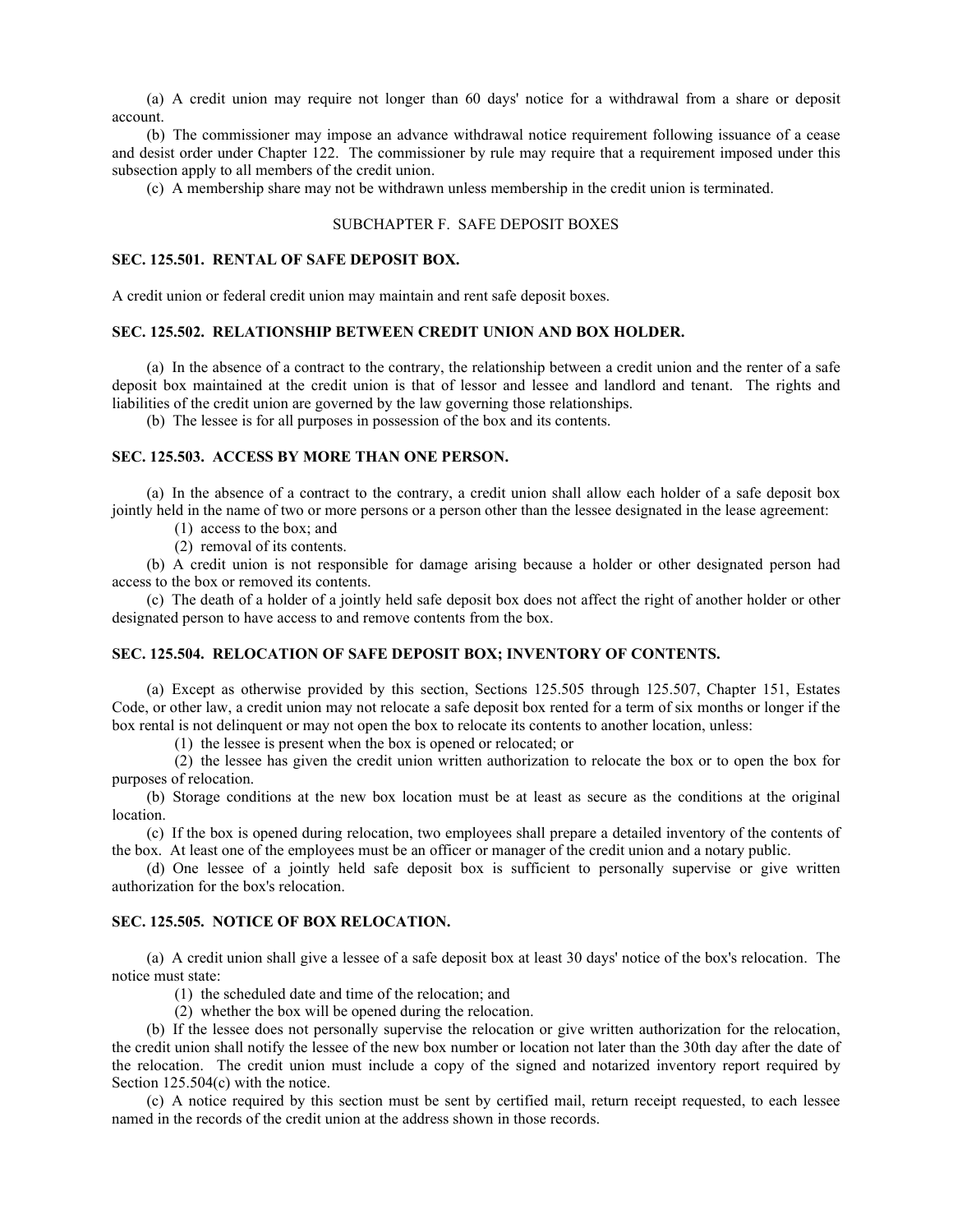(a) A credit union may require not longer than 60 days' notice for a withdrawal from a share or deposit account.

(b) The commissioner may impose an advance withdrawal notice requirement following issuance of a cease and desist order under Chapter 122. The commissioner by rule may require that a requirement imposed under this subsection apply to all members of the credit union.

(c) A membership share may not be withdrawn unless membership in the credit union is terminated.

#### SUBCHAPTER F. SAFE DEPOSIT BOXES

## **SEC. 125.501. RENTAL OF SAFE DEPOSIT BOX.**

A credit union or federal credit union may maintain and rent safe deposit boxes.

#### **SEC. 125.502. RELATIONSHIP BETWEEN CREDIT UNION AND BOX HOLDER.**

(a) In the absence of a contract to the contrary, the relationship between a credit union and the renter of a safe deposit box maintained at the credit union is that of lessor and lessee and landlord and tenant. The rights and liabilities of the credit union are governed by the law governing those relationships.

(b) The lessee is for all purposes in possession of the box and its contents.

#### **SEC. 125.503. ACCESS BY MORE THAN ONE PERSON.**

(a) In the absence of a contract to the contrary, a credit union shall allow each holder of a safe deposit box jointly held in the name of two or more persons or a person other than the lessee designated in the lease agreement:

(1) access to the box; and

(2) removal of its contents.

(b) A credit union is not responsible for damage arising because a holder or other designated person had access to the box or removed its contents.

(c) The death of a holder of a jointly held safe deposit box does not affect the right of another holder or other designated person to have access to and remove contents from the box.

#### **SEC. 125.504. RELOCATION OF SAFE DEPOSIT BOX; INVENTORY OF CONTENTS.**

(a) Except as otherwise provided by this section, Sections 125.505 through 125.507, Chapter 151, Estates Code, or other law, a credit union may not relocate a safe deposit box rented for a term of six months or longer if the box rental is not delinquent or may not open the box to relocate its contents to another location, unless:

(1) the lessee is present when the box is opened or relocated; or

(2) the lessee has given the credit union written authorization to relocate the box or to open the box for purposes of relocation.

(b) Storage conditions at the new box location must be at least as secure as the conditions at the original location.

(c) If the box is opened during relocation, two employees shall prepare a detailed inventory of the contents of the box. At least one of the employees must be an officer or manager of the credit union and a notary public.

(d) One lessee of a jointly held safe deposit box is sufficient to personally supervise or give written authorization for the box's relocation.

## **SEC. 125.505. NOTICE OF BOX RELOCATION.**

(a) A credit union shall give a lessee of a safe deposit box at least 30 days' notice of the box's relocation. The notice must state:

(1) the scheduled date and time of the relocation; and

(2) whether the box will be opened during the relocation.

(b) If the lessee does not personally supervise the relocation or give written authorization for the relocation, the credit union shall notify the lessee of the new box number or location not later than the 30th day after the date of the relocation. The credit union must include a copy of the signed and notarized inventory report required by Section 125.504(c) with the notice.

(c) A notice required by this section must be sent by certified mail, return receipt requested, to each lessee named in the records of the credit union at the address shown in those records.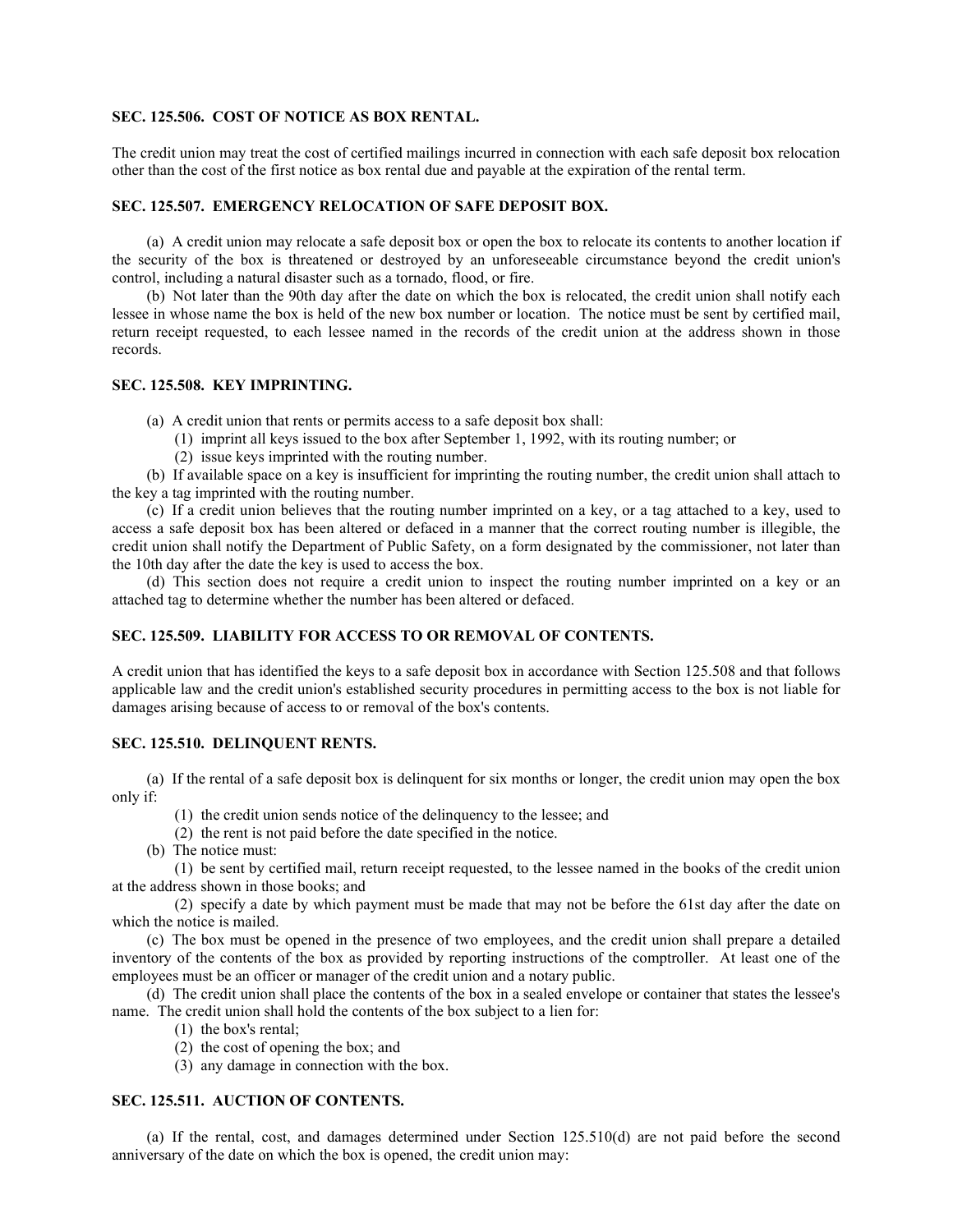#### **SEC. 125.506. COST OF NOTICE AS BOX RENTAL.**

The credit union may treat the cost of certified mailings incurred in connection with each safe deposit box relocation other than the cost of the first notice as box rental due and payable at the expiration of the rental term.

## **SEC. 125.507. EMERGENCY RELOCATION OF SAFE DEPOSIT BOX.**

(a) A credit union may relocate a safe deposit box or open the box to relocate its contents to another location if the security of the box is threatened or destroyed by an unforeseeable circumstance beyond the credit union's control, including a natural disaster such as a tornado, flood, or fire.

(b) Not later than the 90th day after the date on which the box is relocated, the credit union shall notify each lessee in whose name the box is held of the new box number or location. The notice must be sent by certified mail, return receipt requested, to each lessee named in the records of the credit union at the address shown in those records.

## **SEC. 125.508. KEY IMPRINTING.**

(a) A credit union that rents or permits access to a safe deposit box shall:

- (1) imprint all keys issued to the box after September 1, 1992, with its routing number; or
- (2) issue keys imprinted with the routing number.

(b) If available space on a key is insufficient for imprinting the routing number, the credit union shall attach to the key a tag imprinted with the routing number.

(c) If a credit union believes that the routing number imprinted on a key, or a tag attached to a key, used to access a safe deposit box has been altered or defaced in a manner that the correct routing number is illegible, the credit union shall notify the Department of Public Safety, on a form designated by the commissioner, not later than the 10th day after the date the key is used to access the box.

(d) This section does not require a credit union to inspect the routing number imprinted on a key or an attached tag to determine whether the number has been altered or defaced.

## **SEC. 125.509. LIABILITY FOR ACCESS TO OR REMOVAL OF CONTENTS.**

A credit union that has identified the keys to a safe deposit box in accordance with Section 125.508 and that follows applicable law and the credit union's established security procedures in permitting access to the box is not liable for damages arising because of access to or removal of the box's contents.

## **SEC. 125.510. DELINQUENT RENTS.**

(a) If the rental of a safe deposit box is delinquent for six months or longer, the credit union may open the box only if:

- (1) the credit union sends notice of the delinquency to the lessee; and
- (2) the rent is not paid before the date specified in the notice.
- (b) The notice must:

(1) be sent by certified mail, return receipt requested, to the lessee named in the books of the credit union at the address shown in those books; and

(2) specify a date by which payment must be made that may not be before the 61st day after the date on which the notice is mailed.

(c) The box must be opened in the presence of two employees, and the credit union shall prepare a detailed inventory of the contents of the box as provided by reporting instructions of the comptroller. At least one of the employees must be an officer or manager of the credit union and a notary public.

(d) The credit union shall place the contents of the box in a sealed envelope or container that states the lessee's name. The credit union shall hold the contents of the box subject to a lien for:

- (1) the box's rental;
- (2) the cost of opening the box; and
- (3) any damage in connection with the box.

## **SEC. 125.511. AUCTION OF CONTENTS.**

(a) If the rental, cost, and damages determined under Section 125.510(d) are not paid before the second anniversary of the date on which the box is opened, the credit union may: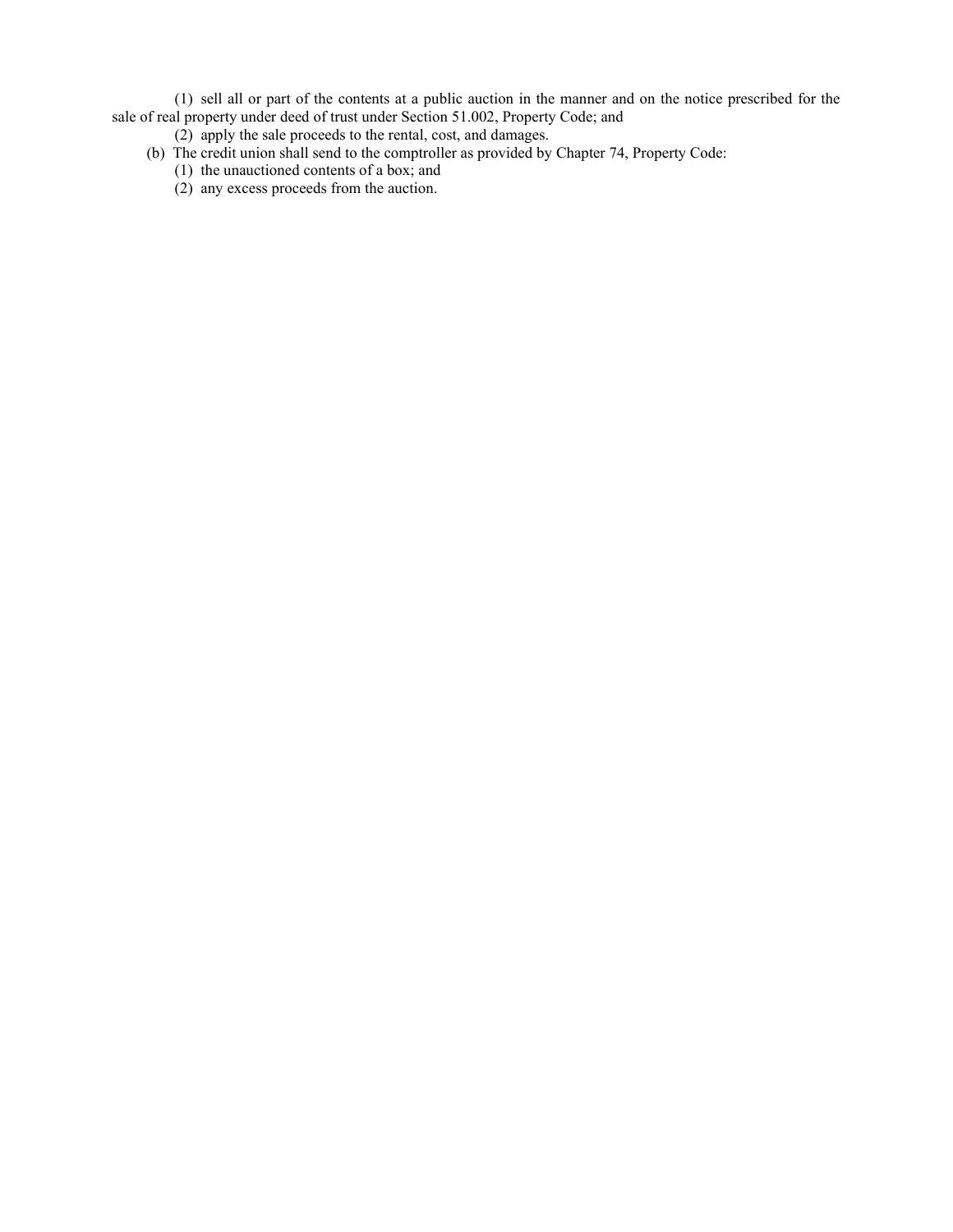(1) sell all or part of the contents at a public auction in the manner and on the notice prescribed for the sale of real property under deed of trust under Section 51.002, Property Code; and

- (2) apply the sale proceeds to the rental, cost, and damages.
- (b) The credit union shall send to the comptroller as provided by Chapter 74, Property Code:
	- (1) the unauctioned contents of a box; and
	- (2) any excess proceeds from the auction.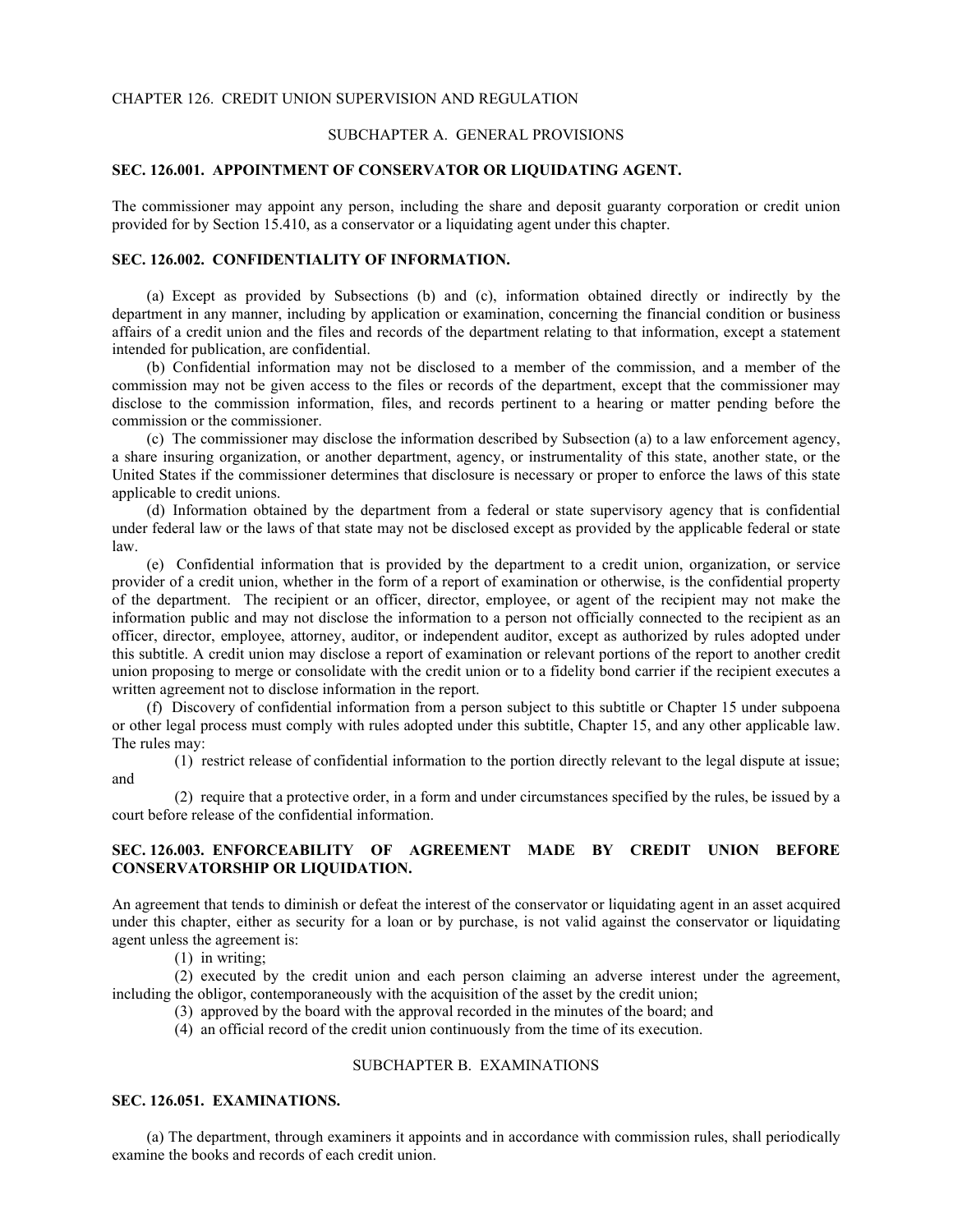#### CHAPTER 126. CREDIT UNION SUPERVISION AND REGULATION

#### SUBCHAPTER A. GENERAL PROVISIONS

## **SEC. 126.001. APPOINTMENT OF CONSERVATOR OR LIQUIDATING AGENT.**

The commissioner may appoint any person, including the share and deposit guaranty corporation or credit union provided for by Section 15.410, as a conservator or a liquidating agent under this chapter.

## **SEC. 126.002. CONFIDENTIALITY OF INFORMATION.**

(a) Except as provided by Subsections (b) and (c), information obtained directly or indirectly by the department in any manner, including by application or examination, concerning the financial condition or business affairs of a credit union and the files and records of the department relating to that information, except a statement intended for publication, are confidential.

(b) Confidential information may not be disclosed to a member of the commission, and a member of the commission may not be given access to the files or records of the department, except that the commissioner may disclose to the commission information, files, and records pertinent to a hearing or matter pending before the commission or the commissioner.

(c) The commissioner may disclose the information described by Subsection (a) to a law enforcement agency, a share insuring organization, or another department, agency, or instrumentality of this state, another state, or the United States if the commissioner determines that disclosure is necessary or proper to enforce the laws of this state applicable to credit unions.

(d) Information obtained by the department from a federal or state supervisory agency that is confidential under federal law or the laws of that state may not be disclosed except as provided by the applicable federal or state law.

(e) Confidential information that is provided by the department to a credit union, organization, or service provider of a credit union, whether in the form of a report of examination or otherwise, is the confidential property of the department. The recipient or an officer, director, employee, or agent of the recipient may not make the information public and may not disclose the information to a person not officially connected to the recipient as an officer, director, employee, attorney, auditor, or independent auditor, except as authorized by rules adopted under this subtitle. A credit union may disclose a report of examination or relevant portions of the report to another credit union proposing to merge or consolidate with the credit union or to a fidelity bond carrier if the recipient executes a written agreement not to disclose information in the report.

(f) Discovery of confidential information from a person subject to this subtitle or Chapter 15 under subpoena or other legal process must comply with rules adopted under this subtitle, Chapter 15, and any other applicable law. The rules may:

(1) restrict release of confidential information to the portion directly relevant to the legal dispute at issue; and

(2) require that a protective order, in a form and under circumstances specified by the rules, be issued by a court before release of the confidential information.

## **SEC. 126.003. ENFORCEABILITY OF AGREEMENT MADE BY CREDIT UNION BEFORE CONSERVATORSHIP OR LIQUIDATION.**

An agreement that tends to diminish or defeat the interest of the conservator or liquidating agent in an asset acquired under this chapter, either as security for a loan or by purchase, is not valid against the conservator or liquidating agent unless the agreement is:

(1) in writing;

(2) executed by the credit union and each person claiming an adverse interest under the agreement, including the obligor, contemporaneously with the acquisition of the asset by the credit union;

- (3) approved by the board with the approval recorded in the minutes of the board; and
- (4) an official record of the credit union continuously from the time of its execution.

## SUBCHAPTER B. EXAMINATIONS

#### **SEC. 126.051. EXAMINATIONS.**

(a) The department, through examiners it appoints and in accordance with commission rules, shall periodically examine the books and records of each credit union.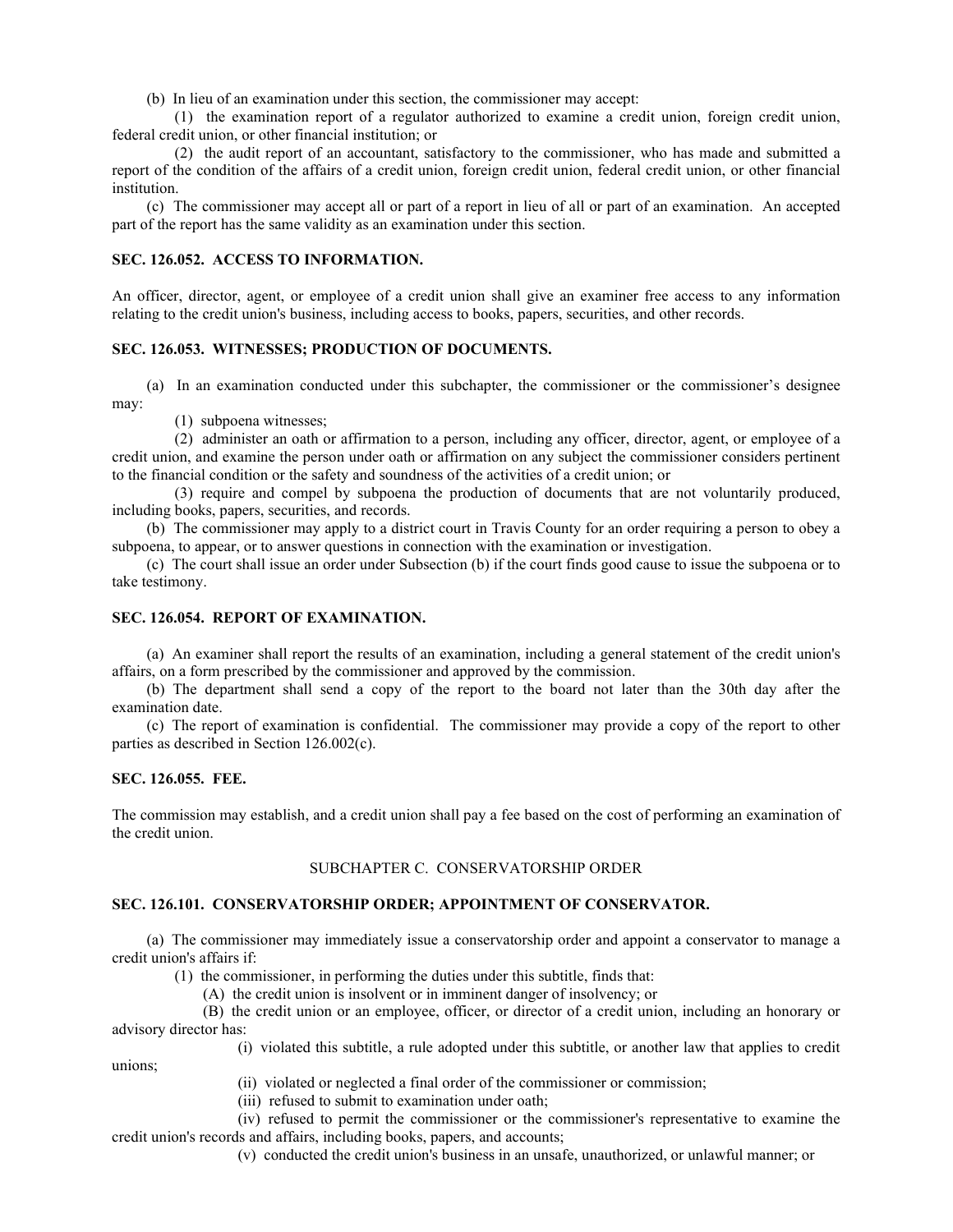(b) In lieu of an examination under this section, the commissioner may accept:

(1) the examination report of a regulator authorized to examine a credit union, foreign credit union, federal credit union, or other financial institution; or

(2) the audit report of an accountant, satisfactory to the commissioner, who has made and submitted a report of the condition of the affairs of a credit union, foreign credit union, federal credit union, or other financial institution.

(c) The commissioner may accept all or part of a report in lieu of all or part of an examination. An accepted part of the report has the same validity as an examination under this section.

## **SEC. 126.052. ACCESS TO INFORMATION.**

An officer, director, agent, or employee of a credit union shall give an examiner free access to any information relating to the credit union's business, including access to books, papers, securities, and other records.

## **SEC. 126.053. WITNESSES; PRODUCTION OF DOCUMENTS.**

(a) In an examination conducted under this subchapter, the commissioner or the commissioner's designee may:

(1) subpoena witnesses;

(2) administer an oath or affirmation to a person, including any officer, director, agent, or employee of a credit union, and examine the person under oath or affirmation on any subject the commissioner considers pertinent to the financial condition or the safety and soundness of the activities of a credit union; or

(3) require and compel by subpoena the production of documents that are not voluntarily produced, including books, papers, securities, and records.

(b) The commissioner may apply to a district court in Travis County for an order requiring a person to obey a subpoena, to appear, or to answer questions in connection with the examination or investigation.

(c) The court shall issue an order under Subsection (b) if the court finds good cause to issue the subpoena or to take testimony.

## **SEC. 126.054. REPORT OF EXAMINATION.**

(a) An examiner shall report the results of an examination, including a general statement of the credit union's affairs, on a form prescribed by the commissioner and approved by the commission.

(b) The department shall send a copy of the report to the board not later than the 30th day after the examination date.

(c) The report of examination is confidential. The commissioner may provide a copy of the report to other parties as described in Section 126.002(c).

## **SEC. 126.055. FEE.**

unions;

The commission may establish, and a credit union shall pay a fee based on the cost of performing an examination of the credit union.

## SUBCHAPTER C. CONSERVATORSHIP ORDER

#### **SEC. 126.101. CONSERVATORSHIP ORDER; APPOINTMENT OF CONSERVATOR.**

(a) The commissioner may immediately issue a conservatorship order and appoint a conservator to manage a credit union's affairs if:

(1) the commissioner, in performing the duties under this subtitle, finds that:

(A) the credit union is insolvent or in imminent danger of insolvency; or

(B) the credit union or an employee, officer, or director of a credit union, including an honorary or advisory director has:

(i) violated this subtitle, a rule adopted under this subtitle, or another law that applies to credit

(ii) violated or neglected a final order of the commissioner or commission;

(iii) refused to submit to examination under oath;

(iv) refused to permit the commissioner or the commissioner's representative to examine the credit union's records and affairs, including books, papers, and accounts;

(v) conducted the credit union's business in an unsafe, unauthorized, or unlawful manner; or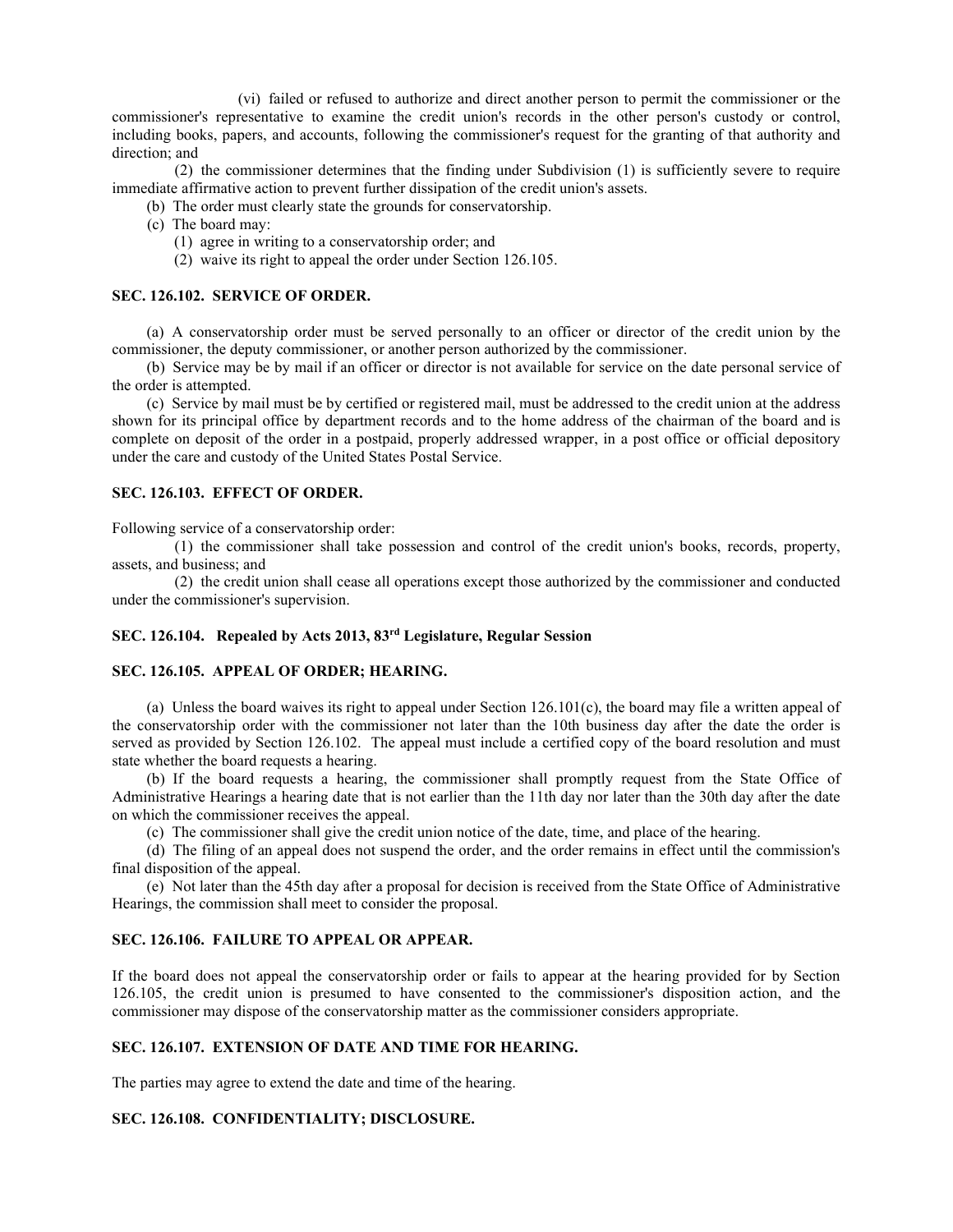(vi) failed or refused to authorize and direct another person to permit the commissioner or the commissioner's representative to examine the credit union's records in the other person's custody or control, including books, papers, and accounts, following the commissioner's request for the granting of that authority and direction; and

(2) the commissioner determines that the finding under Subdivision (1) is sufficiently severe to require immediate affirmative action to prevent further dissipation of the credit union's assets.

- (b) The order must clearly state the grounds for conservatorship.
- (c) The board may:
	- (1) agree in writing to a conservatorship order; and
	- (2) waive its right to appeal the order under Section 126.105.

#### **SEC. 126.102. SERVICE OF ORDER.**

(a) A conservatorship order must be served personally to an officer or director of the credit union by the commissioner, the deputy commissioner, or another person authorized by the commissioner.

(b) Service may be by mail if an officer or director is not available for service on the date personal service of the order is attempted.

(c) Service by mail must be by certified or registered mail, must be addressed to the credit union at the address shown for its principal office by department records and to the home address of the chairman of the board and is complete on deposit of the order in a postpaid, properly addressed wrapper, in a post office or official depository under the care and custody of the United States Postal Service.

#### **SEC. 126.103. EFFECT OF ORDER.**

Following service of a conservatorship order:

(1) the commissioner shall take possession and control of the credit union's books, records, property, assets, and business; and

(2) the credit union shall cease all operations except those authorized by the commissioner and conducted under the commissioner's supervision.

## **SEC. 126.104. Repealed by Acts 2013, 83rd Legislature, Regular Session**

#### **SEC. 126.105. APPEAL OF ORDER; HEARING.**

(a) Unless the board waives its right to appeal under Section 126.101(c), the board may file a written appeal of the conservatorship order with the commissioner not later than the 10th business day after the date the order is served as provided by Section 126.102. The appeal must include a certified copy of the board resolution and must state whether the board requests a hearing.

(b) If the board requests a hearing, the commissioner shall promptly request from the State Office of Administrative Hearings a hearing date that is not earlier than the 11th day nor later than the 30th day after the date on which the commissioner receives the appeal.

(c) The commissioner shall give the credit union notice of the date, time, and place of the hearing.

(d) The filing of an appeal does not suspend the order, and the order remains in effect until the commission's final disposition of the appeal.

(e) Not later than the 45th day after a proposal for decision is received from the State Office of Administrative Hearings, the commission shall meet to consider the proposal.

## **SEC. 126.106. FAILURE TO APPEAL OR APPEAR.**

If the board does not appeal the conservatorship order or fails to appear at the hearing provided for by Section 126.105, the credit union is presumed to have consented to the commissioner's disposition action, and the commissioner may dispose of the conservatorship matter as the commissioner considers appropriate.

#### **SEC. 126.107. EXTENSION OF DATE AND TIME FOR HEARING.**

The parties may agree to extend the date and time of the hearing.

## **SEC. 126.108. CONFIDENTIALITY; DISCLOSURE.**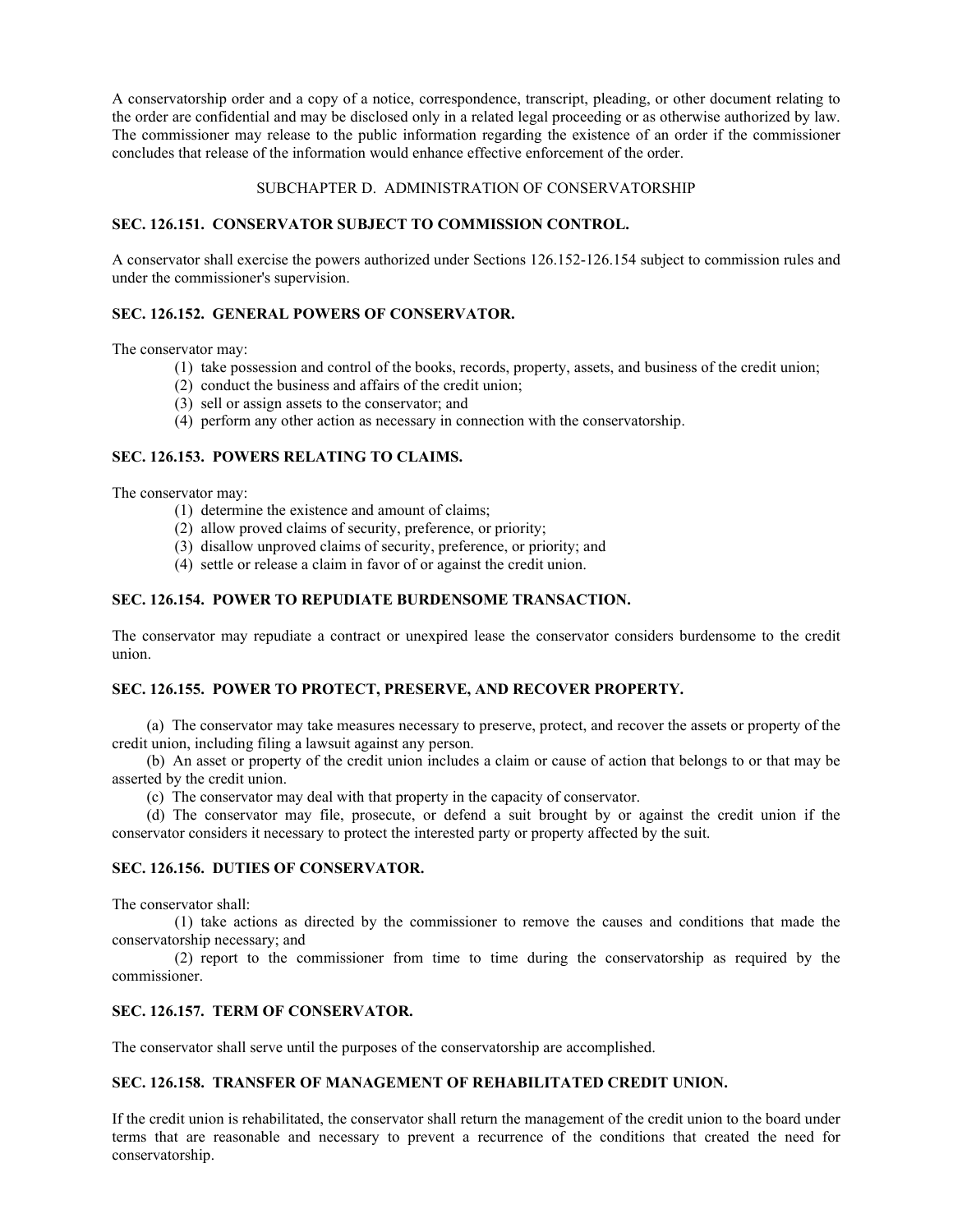A conservatorship order and a copy of a notice, correspondence, transcript, pleading, or other document relating to the order are confidential and may be disclosed only in a related legal proceeding or as otherwise authorized by law. The commissioner may release to the public information regarding the existence of an order if the commissioner concludes that release of the information would enhance effective enforcement of the order.

## SUBCHAPTER D. ADMINISTRATION OF CONSERVATORSHIP

## **SEC. 126.151. CONSERVATOR SUBJECT TO COMMISSION CONTROL.**

A conservator shall exercise the powers authorized under Sections 126.152-126.154 subject to commission rules and under the commissioner's supervision.

## **SEC. 126.152. GENERAL POWERS OF CONSERVATOR.**

The conservator may:

- (1) take possession and control of the books, records, property, assets, and business of the credit union;
- (2) conduct the business and affairs of the credit union;
- (3) sell or assign assets to the conservator; and
- (4) perform any other action as necessary in connection with the conservatorship.

## **SEC. 126.153. POWERS RELATING TO CLAIMS.**

The conservator may:

- (1) determine the existence and amount of claims;
- (2) allow proved claims of security, preference, or priority;
- (3) disallow unproved claims of security, preference, or priority; and
- (4) settle or release a claim in favor of or against the credit union.

## **SEC. 126.154. POWER TO REPUDIATE BURDENSOME TRANSACTION.**

The conservator may repudiate a contract or unexpired lease the conservator considers burdensome to the credit union.

## **SEC. 126.155. POWER TO PROTECT, PRESERVE, AND RECOVER PROPERTY.**

(a) The conservator may take measures necessary to preserve, protect, and recover the assets or property of the credit union, including filing a lawsuit against any person.

(b) An asset or property of the credit union includes a claim or cause of action that belongs to or that may be asserted by the credit union.

(c) The conservator may deal with that property in the capacity of conservator.

(d) The conservator may file, prosecute, or defend a suit brought by or against the credit union if the conservator considers it necessary to protect the interested party or property affected by the suit.

## **SEC. 126.156. DUTIES OF CONSERVATOR.**

The conservator shall:

(1) take actions as directed by the commissioner to remove the causes and conditions that made the conservatorship necessary; and

(2) report to the commissioner from time to time during the conservatorship as required by the commissioner.

## **SEC. 126.157. TERM OF CONSERVATOR.**

The conservator shall serve until the purposes of the conservatorship are accomplished.

## **SEC. 126.158. TRANSFER OF MANAGEMENT OF REHABILITATED CREDIT UNION.**

If the credit union is rehabilitated, the conservator shall return the management of the credit union to the board under terms that are reasonable and necessary to prevent a recurrence of the conditions that created the need for conservatorship.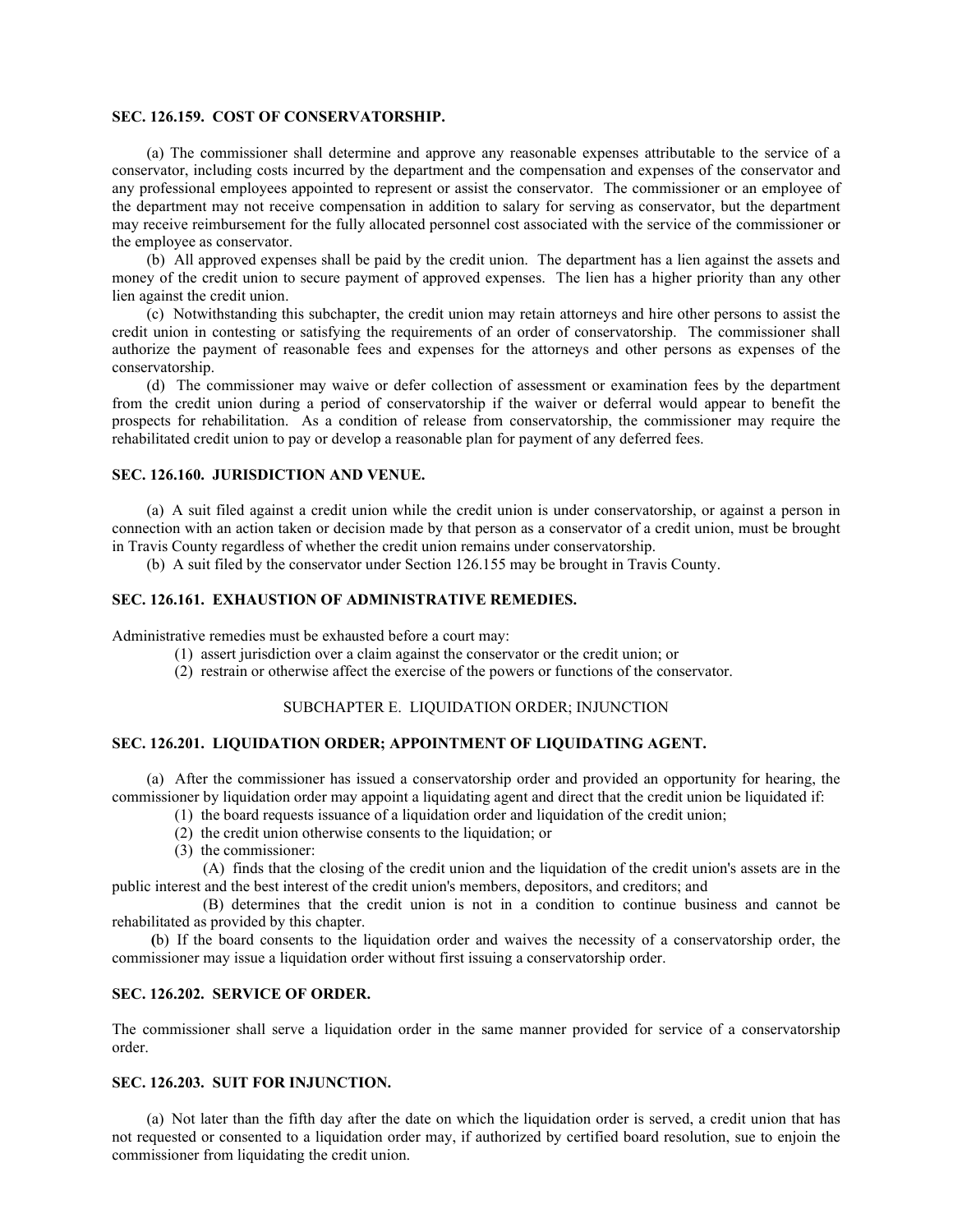#### **SEC. 126.159. COST OF CONSERVATORSHIP.**

(a) The commissioner shall determine and approve any reasonable expenses attributable to the service of a conservator, including costs incurred by the department and the compensation and expenses of the conservator and any professional employees appointed to represent or assist the conservator. The commissioner or an employee of the department may not receive compensation in addition to salary for serving as conservator, but the department may receive reimbursement for the fully allocated personnel cost associated with the service of the commissioner or the employee as conservator.

(b) All approved expenses shall be paid by the credit union. The department has a lien against the assets and money of the credit union to secure payment of approved expenses. The lien has a higher priority than any other lien against the credit union.

(c) Notwithstanding this subchapter, the credit union may retain attorneys and hire other persons to assist the credit union in contesting or satisfying the requirements of an order of conservatorship. The commissioner shall authorize the payment of reasonable fees and expenses for the attorneys and other persons as expenses of the conservatorship.

(d) The commissioner may waive or defer collection of assessment or examination fees by the department from the credit union during a period of conservatorship if the waiver or deferral would appear to benefit the prospects for rehabilitation. As a condition of release from conservatorship, the commissioner may require the rehabilitated credit union to pay or develop a reasonable plan for payment of any deferred fees.

#### **SEC. 126.160. JURISDICTION AND VENUE.**

(a) A suit filed against a credit union while the credit union is under conservatorship, or against a person in connection with an action taken or decision made by that person as a conservator of a credit union, must be brought in Travis County regardless of whether the credit union remains under conservatorship.

(b) A suit filed by the conservator under Section 126.155 may be brought in Travis County.

## **SEC. 126.161. EXHAUSTION OF ADMINISTRATIVE REMEDIES.**

Administrative remedies must be exhausted before a court may:

- (1) assert jurisdiction over a claim against the conservator or the credit union; or
- (2) restrain or otherwise affect the exercise of the powers or functions of the conservator.

## SUBCHAPTER E. LIQUIDATION ORDER; INJUNCTION

## **SEC. 126.201. LIQUIDATION ORDER; APPOINTMENT OF LIQUIDATING AGENT.**

(a) After the commissioner has issued a conservatorship order and provided an opportunity for hearing, the commissioner by liquidation order may appoint a liquidating agent and direct that the credit union be liquidated if:

- (1) the board requests issuance of a liquidation order and liquidation of the credit union;
	- (2) the credit union otherwise consents to the liquidation; or
	- (3) the commissioner:
- (A) finds that the closing of the credit union and the liquidation of the credit union's assets are in the public interest and the best interest of the credit union's members, depositors, and creditors; and

(B) determines that the credit union is not in a condition to continue business and cannot be rehabilitated as provided by this chapter.

 **(**b) If the board consents to the liquidation order and waives the necessity of a conservatorship order, the commissioner may issue a liquidation order without first issuing a conservatorship order.

## **SEC. 126.202. SERVICE OF ORDER.**

The commissioner shall serve a liquidation order in the same manner provided for service of a conservatorship order.

### **SEC. 126.203. SUIT FOR INJUNCTION.**

(a) Not later than the fifth day after the date on which the liquidation order is served, a credit union that has not requested or consented to a liquidation order may, if authorized by certified board resolution, sue to enjoin the commissioner from liquidating the credit union.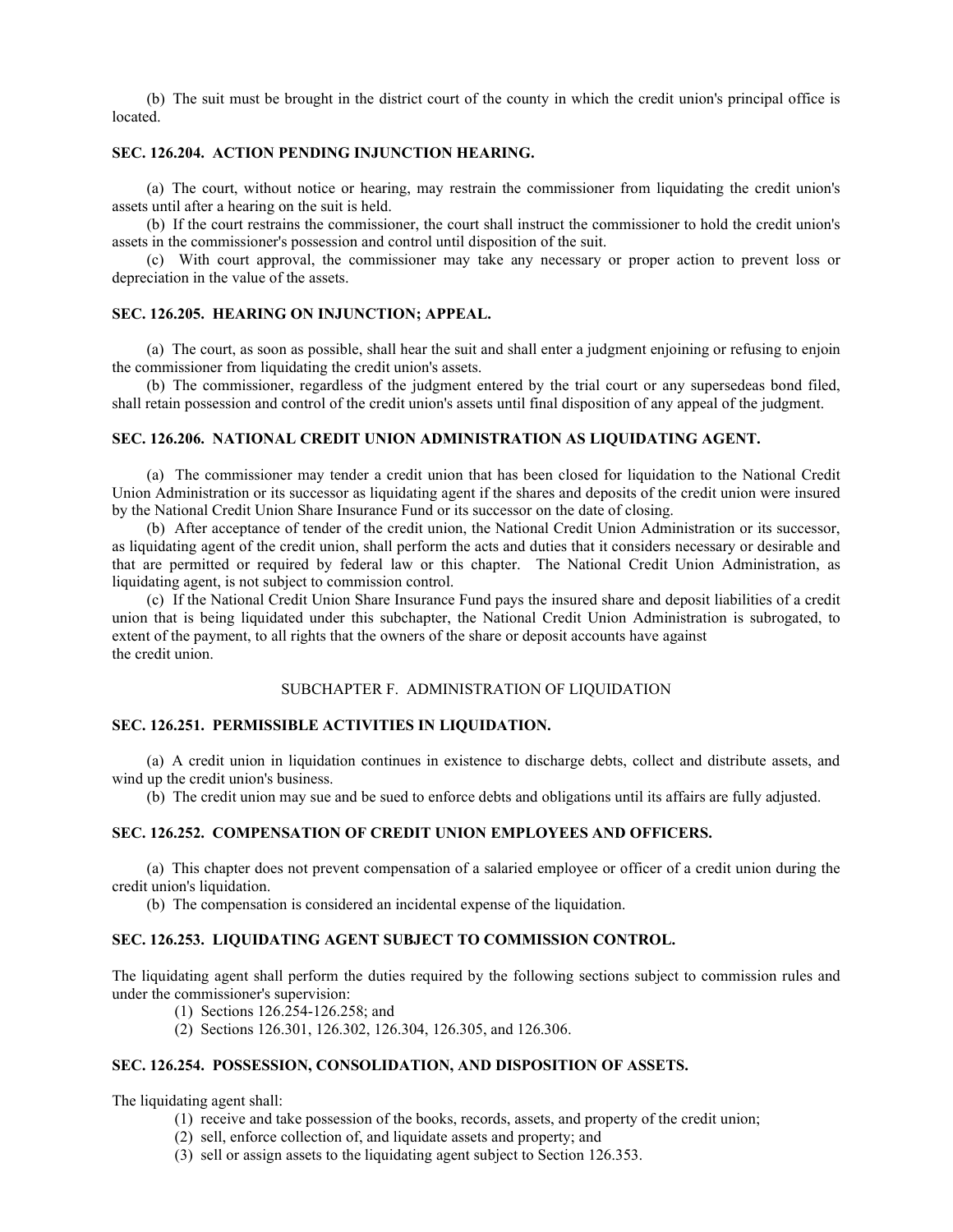(b) The suit must be brought in the district court of the county in which the credit union's principal office is located.

## **SEC. 126.204. ACTION PENDING INJUNCTION HEARING.**

(a) The court, without notice or hearing, may restrain the commissioner from liquidating the credit union's assets until after a hearing on the suit is held.

(b) If the court restrains the commissioner, the court shall instruct the commissioner to hold the credit union's assets in the commissioner's possession and control until disposition of the suit.

(c) With court approval, the commissioner may take any necessary or proper action to prevent loss or depreciation in the value of the assets.

#### **SEC. 126.205. HEARING ON INJUNCTION; APPEAL.**

(a) The court, as soon as possible, shall hear the suit and shall enter a judgment enjoining or refusing to enjoin the commissioner from liquidating the credit union's assets.

(b) The commissioner, regardless of the judgment entered by the trial court or any supersedeas bond filed, shall retain possession and control of the credit union's assets until final disposition of any appeal of the judgment.

#### **SEC. 126.206. NATIONAL CREDIT UNION ADMINISTRATION AS LIQUIDATING AGENT.**

(a) The commissioner may tender a credit union that has been closed for liquidation to the National Credit Union Administration or its successor as liquidating agent if the shares and deposits of the credit union were insured by the National Credit Union Share Insurance Fund or its successor on the date of closing.

(b) After acceptance of tender of the credit union, the National Credit Union Administration or its successor, as liquidating agent of the credit union, shall perform the acts and duties that it considers necessary or desirable and that are permitted or required by federal law or this chapter. The National Credit Union Administration, as liquidating agent, is not subject to commission control.

(c) If the National Credit Union Share Insurance Fund pays the insured share and deposit liabilities of a credit union that is being liquidated under this subchapter, the National Credit Union Administration is subrogated, to extent of the payment, to all rights that the owners of the share or deposit accounts have against the credit union.

## SUBCHAPTER F. ADMINISTRATION OF LIQUIDATION

## **SEC. 126.251. PERMISSIBLE ACTIVITIES IN LIQUIDATION.**

(a) A credit union in liquidation continues in existence to discharge debts, collect and distribute assets, and wind up the credit union's business.

(b) The credit union may sue and be sued to enforce debts and obligations until its affairs are fully adjusted.

## **SEC. 126.252. COMPENSATION OF CREDIT UNION EMPLOYEES AND OFFICERS.**

(a) This chapter does not prevent compensation of a salaried employee or officer of a credit union during the credit union's liquidation.

(b) The compensation is considered an incidental expense of the liquidation.

## **SEC. 126.253. LIQUIDATING AGENT SUBJECT TO COMMISSION CONTROL.**

The liquidating agent shall perform the duties required by the following sections subject to commission rules and under the commissioner's supervision:

- (1) Sections 126.254-126.258; and
- (2) Sections 126.301, 126.302, 126.304, 126.305, and 126.306.

## **SEC. 126.254. POSSESSION, CONSOLIDATION, AND DISPOSITION OF ASSETS.**

The liquidating agent shall:

- (1) receive and take possession of the books, records, assets, and property of the credit union;
- (2) sell, enforce collection of, and liquidate assets and property; and
- (3) sell or assign assets to the liquidating agent subject to Section 126.353.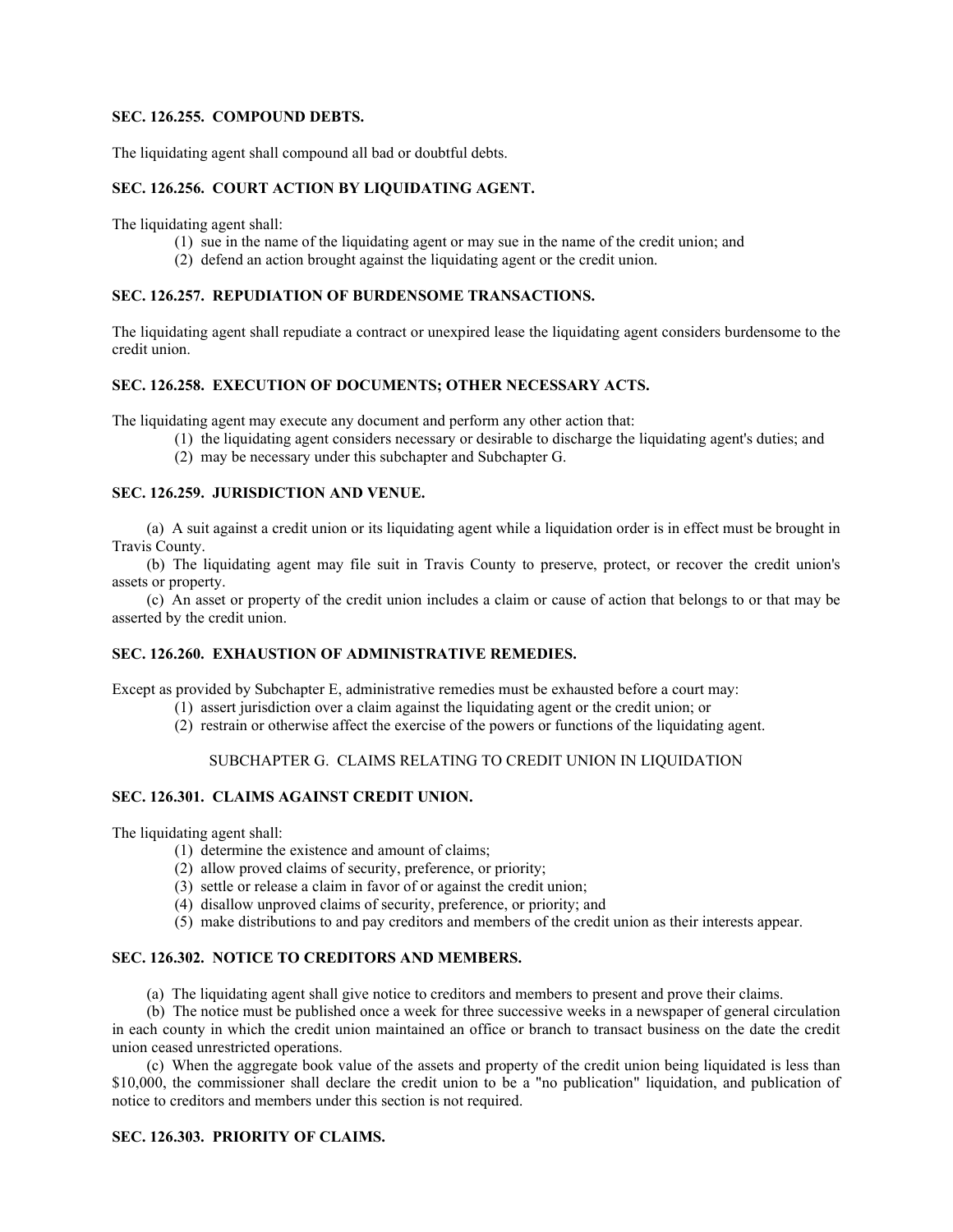#### **SEC. 126.255. COMPOUND DEBTS.**

The liquidating agent shall compound all bad or doubtful debts.

## **SEC. 126.256. COURT ACTION BY LIQUIDATING AGENT.**

The liquidating agent shall:

- (1) sue in the name of the liquidating agent or may sue in the name of the credit union; and
- (2) defend an action brought against the liquidating agent or the credit union.

## **SEC. 126.257. REPUDIATION OF BURDENSOME TRANSACTIONS.**

The liquidating agent shall repudiate a contract or unexpired lease the liquidating agent considers burdensome to the credit union.

## **SEC. 126.258. EXECUTION OF DOCUMENTS; OTHER NECESSARY ACTS.**

The liquidating agent may execute any document and perform any other action that:

- (1) the liquidating agent considers necessary or desirable to discharge the liquidating agent's duties; and
- (2) may be necessary under this subchapter and Subchapter G.

## **SEC. 126.259. JURISDICTION AND VENUE.**

(a) A suit against a credit union or its liquidating agent while a liquidation order is in effect must be brought in Travis County.

(b) The liquidating agent may file suit in Travis County to preserve, protect, or recover the credit union's assets or property.

(c) An asset or property of the credit union includes a claim or cause of action that belongs to or that may be asserted by the credit union.

## **SEC. 126.260. EXHAUSTION OF ADMINISTRATIVE REMEDIES.**

Except as provided by Subchapter E, administrative remedies must be exhausted before a court may:

- (1) assert jurisdiction over a claim against the liquidating agent or the credit union; or
- (2) restrain or otherwise affect the exercise of the powers or functions of the liquidating agent.

## SUBCHAPTER G. CLAIMS RELATING TO CREDIT UNION IN LIQUIDATION

## **SEC. 126.301. CLAIMS AGAINST CREDIT UNION.**

The liquidating agent shall:

- (1) determine the existence and amount of claims;
- (2) allow proved claims of security, preference, or priority;
- (3) settle or release a claim in favor of or against the credit union;
- (4) disallow unproved claims of security, preference, or priority; and
- (5) make distributions to and pay creditors and members of the credit union as their interests appear.

## **SEC. 126.302. NOTICE TO CREDITORS AND MEMBERS.**

(a) The liquidating agent shall give notice to creditors and members to present and prove their claims.

(b) The notice must be published once a week for three successive weeks in a newspaper of general circulation in each county in which the credit union maintained an office or branch to transact business on the date the credit union ceased unrestricted operations.

(c) When the aggregate book value of the assets and property of the credit union being liquidated is less than \$10,000, the commissioner shall declare the credit union to be a "no publication" liquidation, and publication of notice to creditors and members under this section is not required.

## **SEC. 126.303. PRIORITY OF CLAIMS.**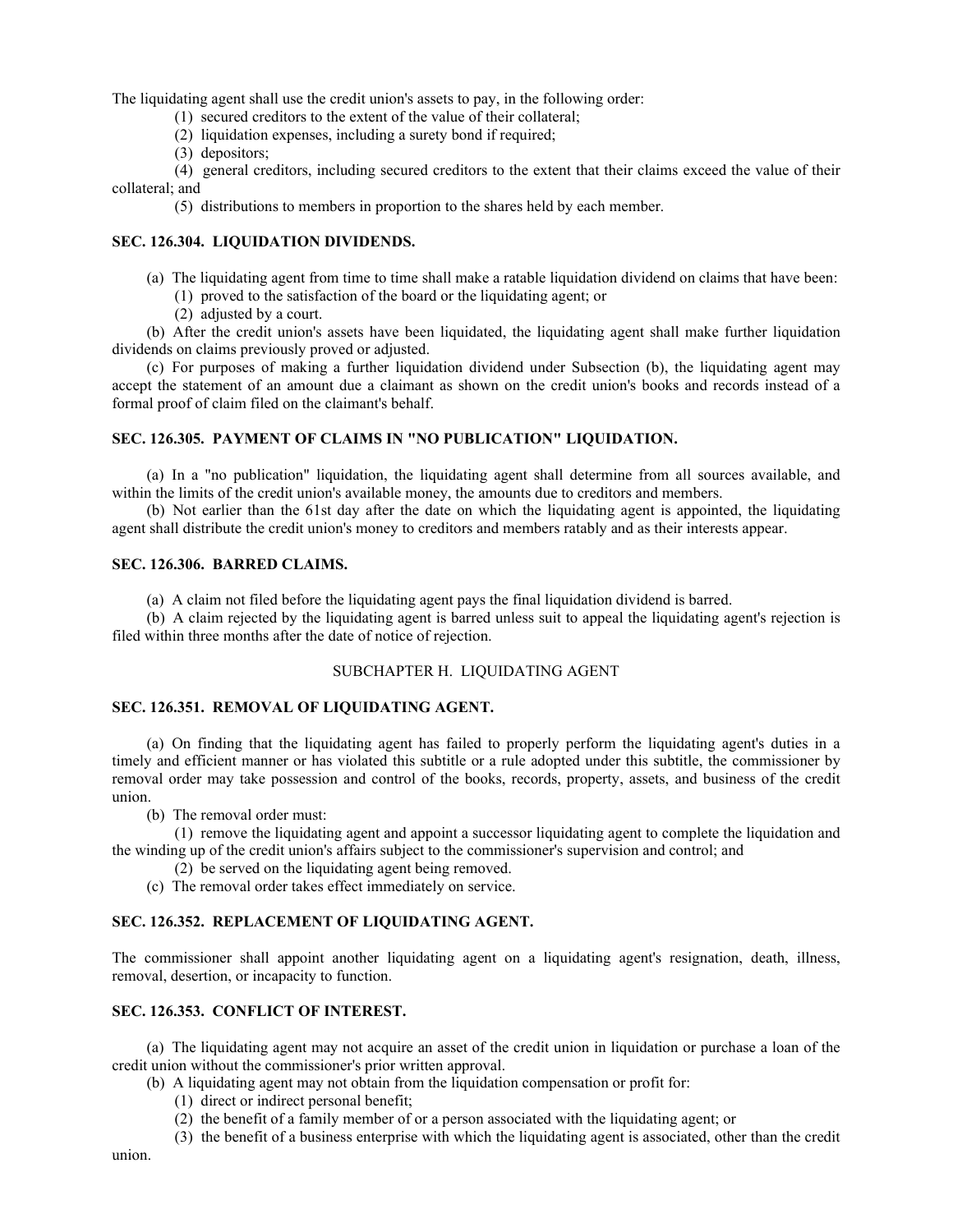The liquidating agent shall use the credit union's assets to pay, in the following order:

- (1) secured creditors to the extent of the value of their collateral;
- (2) liquidation expenses, including a surety bond if required;
- (3) depositors;

(4) general creditors, including secured creditors to the extent that their claims exceed the value of their collateral; and

(5) distributions to members in proportion to the shares held by each member.

#### **SEC. 126.304. LIQUIDATION DIVIDENDS.**

- (a) The liquidating agent from time to time shall make a ratable liquidation dividend on claims that have been:
	- (1) proved to the satisfaction of the board or the liquidating agent; or
	- (2) adjusted by a court.

(b) After the credit union's assets have been liquidated, the liquidating agent shall make further liquidation dividends on claims previously proved or adjusted.

(c) For purposes of making a further liquidation dividend under Subsection (b), the liquidating agent may accept the statement of an amount due a claimant as shown on the credit union's books and records instead of a formal proof of claim filed on the claimant's behalf.

## **SEC. 126.305. PAYMENT OF CLAIMS IN "NO PUBLICATION" LIQUIDATION.**

(a) In a "no publication" liquidation, the liquidating agent shall determine from all sources available, and within the limits of the credit union's available money, the amounts due to creditors and members.

(b) Not earlier than the 61st day after the date on which the liquidating agent is appointed, the liquidating agent shall distribute the credit union's money to creditors and members ratably and as their interests appear.

## **SEC. 126.306. BARRED CLAIMS.**

(a) A claim not filed before the liquidating agent pays the final liquidation dividend is barred.

(b) A claim rejected by the liquidating agent is barred unless suit to appeal the liquidating agent's rejection is filed within three months after the date of notice of rejection.

## SUBCHAPTER H. LIQUIDATING AGENT

## **SEC. 126.351. REMOVAL OF LIQUIDATING AGENT.**

(a) On finding that the liquidating agent has failed to properly perform the liquidating agent's duties in a timely and efficient manner or has violated this subtitle or a rule adopted under this subtitle, the commissioner by removal order may take possession and control of the books, records, property, assets, and business of the credit union.

(b) The removal order must:

(1) remove the liquidating agent and appoint a successor liquidating agent to complete the liquidation and the winding up of the credit union's affairs subject to the commissioner's supervision and control; and

(2) be served on the liquidating agent being removed.

(c) The removal order takes effect immediately on service.

## **SEC. 126.352. REPLACEMENT OF LIQUIDATING AGENT.**

The commissioner shall appoint another liquidating agent on a liquidating agent's resignation, death, illness, removal, desertion, or incapacity to function.

## **SEC. 126.353. CONFLICT OF INTEREST.**

(a) The liquidating agent may not acquire an asset of the credit union in liquidation or purchase a loan of the credit union without the commissioner's prior written approval.

(b) A liquidating agent may not obtain from the liquidation compensation or profit for:

- (1) direct or indirect personal benefit;
- (2) the benefit of a family member of or a person associated with the liquidating agent; or

(3) the benefit of a business enterprise with which the liquidating agent is associated, other than the credit

union.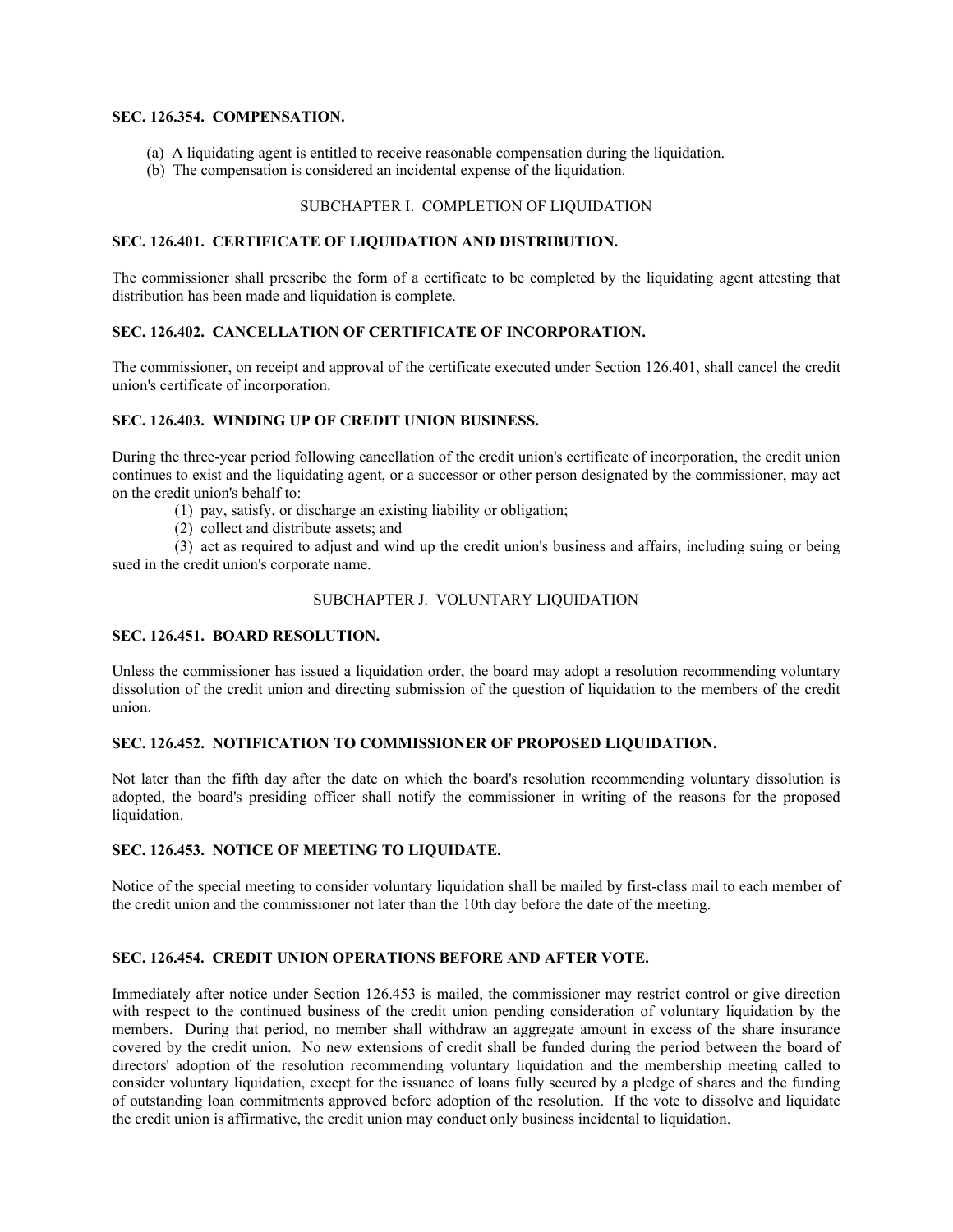## **SEC. 126.354. COMPENSATION.**

- (a) A liquidating agent is entitled to receive reasonable compensation during the liquidation.
- (b) The compensation is considered an incidental expense of the liquidation.

## SUBCHAPTER I. COMPLETION OF LIQUIDATION

#### **SEC. 126.401. CERTIFICATE OF LIQUIDATION AND DISTRIBUTION.**

The commissioner shall prescribe the form of a certificate to be completed by the liquidating agent attesting that distribution has been made and liquidation is complete.

## **SEC. 126.402. CANCELLATION OF CERTIFICATE OF INCORPORATION.**

The commissioner, on receipt and approval of the certificate executed under Section 126.401, shall cancel the credit union's certificate of incorporation.

## **SEC. 126.403. WINDING UP OF CREDIT UNION BUSINESS.**

During the three-year period following cancellation of the credit union's certificate of incorporation, the credit union continues to exist and the liquidating agent, or a successor or other person designated by the commissioner, may act on the credit union's behalf to:

- (1) pay, satisfy, or discharge an existing liability or obligation;
- (2) collect and distribute assets; and

(3) act as required to adjust and wind up the credit union's business and affairs, including suing or being sued in the credit union's corporate name.

## SUBCHAPTER J. VOLUNTARY LIQUIDATION

#### **SEC. 126.451. BOARD RESOLUTION.**

Unless the commissioner has issued a liquidation order, the board may adopt a resolution recommending voluntary dissolution of the credit union and directing submission of the question of liquidation to the members of the credit union.

## **SEC. 126.452. NOTIFICATION TO COMMISSIONER OF PROPOSED LIQUIDATION.**

Not later than the fifth day after the date on which the board's resolution recommending voluntary dissolution is adopted, the board's presiding officer shall notify the commissioner in writing of the reasons for the proposed liquidation.

#### **SEC. 126.453. NOTICE OF MEETING TO LIQUIDATE.**

Notice of the special meeting to consider voluntary liquidation shall be mailed by first-class mail to each member of the credit union and the commissioner not later than the 10th day before the date of the meeting.

## **SEC. 126.454. CREDIT UNION OPERATIONS BEFORE AND AFTER VOTE.**

Immediately after notice under Section 126.453 is mailed, the commissioner may restrict control or give direction with respect to the continued business of the credit union pending consideration of voluntary liquidation by the members. During that period, no member shall withdraw an aggregate amount in excess of the share insurance covered by the credit union. No new extensions of credit shall be funded during the period between the board of directors' adoption of the resolution recommending voluntary liquidation and the membership meeting called to consider voluntary liquidation, except for the issuance of loans fully secured by a pledge of shares and the funding of outstanding loan commitments approved before adoption of the resolution. If the vote to dissolve and liquidate the credit union is affirmative, the credit union may conduct only business incidental to liquidation.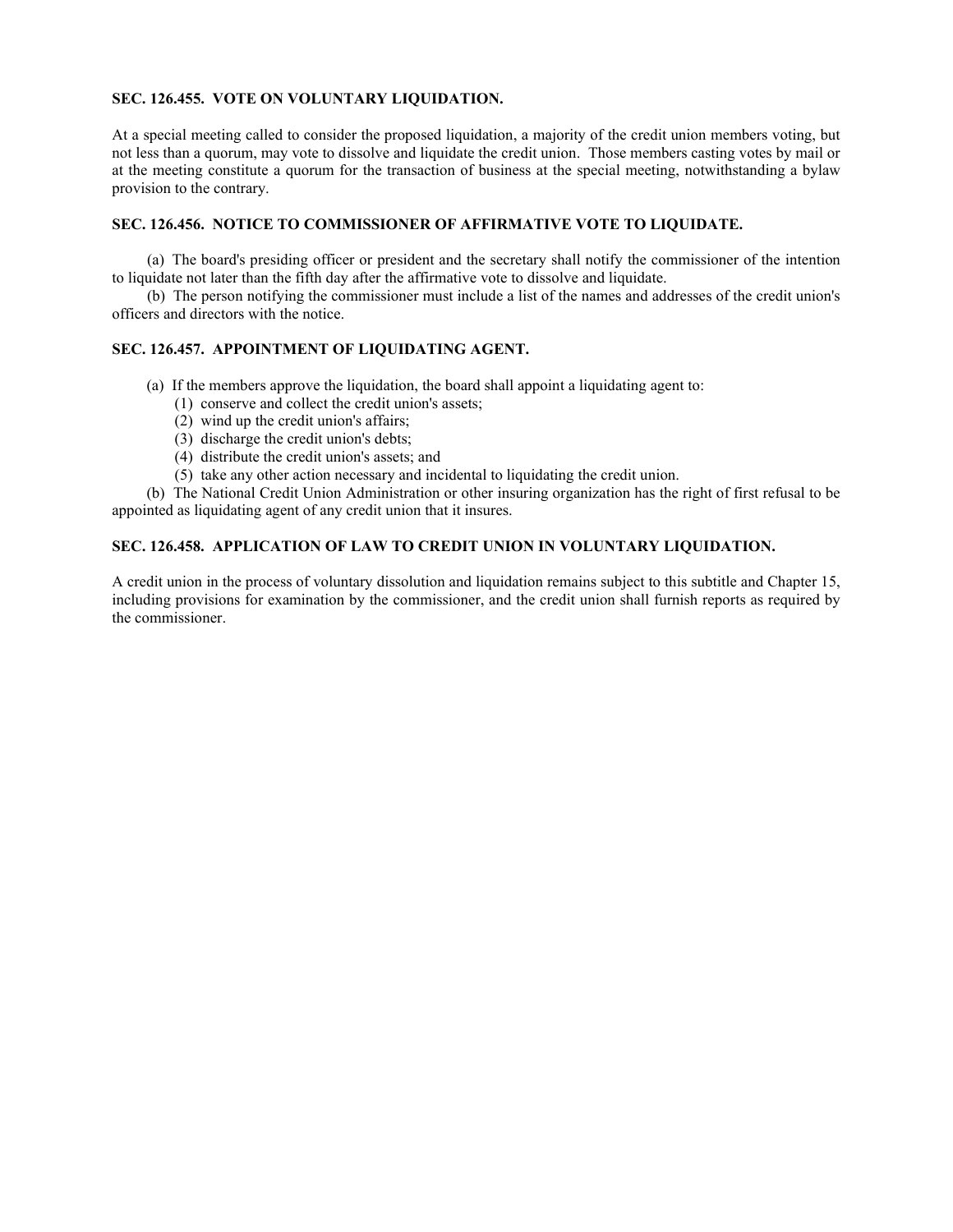## **SEC. 126.455. VOTE ON VOLUNTARY LIQUIDATION.**

At a special meeting called to consider the proposed liquidation, a majority of the credit union members voting, but not less than a quorum, may vote to dissolve and liquidate the credit union. Those members casting votes by mail or at the meeting constitute a quorum for the transaction of business at the special meeting, notwithstanding a bylaw provision to the contrary.

## **SEC. 126.456. NOTICE TO COMMISSIONER OF AFFIRMATIVE VOTE TO LIQUIDATE.**

(a) The board's presiding officer or president and the secretary shall notify the commissioner of the intention to liquidate not later than the fifth day after the affirmative vote to dissolve and liquidate.

(b) The person notifying the commissioner must include a list of the names and addresses of the credit union's officers and directors with the notice.

## **SEC. 126.457. APPOINTMENT OF LIQUIDATING AGENT.**

- (a) If the members approve the liquidation, the board shall appoint a liquidating agent to:
	- (1) conserve and collect the credit union's assets;
	- $(2)$  wind up the credit union's affairs;
	- (3) discharge the credit union's debts;
	- (4) distribute the credit union's assets; and
	- (5) take any other action necessary and incidental to liquidating the credit union.

(b) The National Credit Union Administration or other insuring organization has the right of first refusal to be appointed as liquidating agent of any credit union that it insures.

## **SEC. 126.458. APPLICATION OF LAW TO CREDIT UNION IN VOLUNTARY LIQUIDATION.**

A credit union in the process of voluntary dissolution and liquidation remains subject to this subtitle and Chapter 15, including provisions for examination by the commissioner, and the credit union shall furnish reports as required by the commissioner.